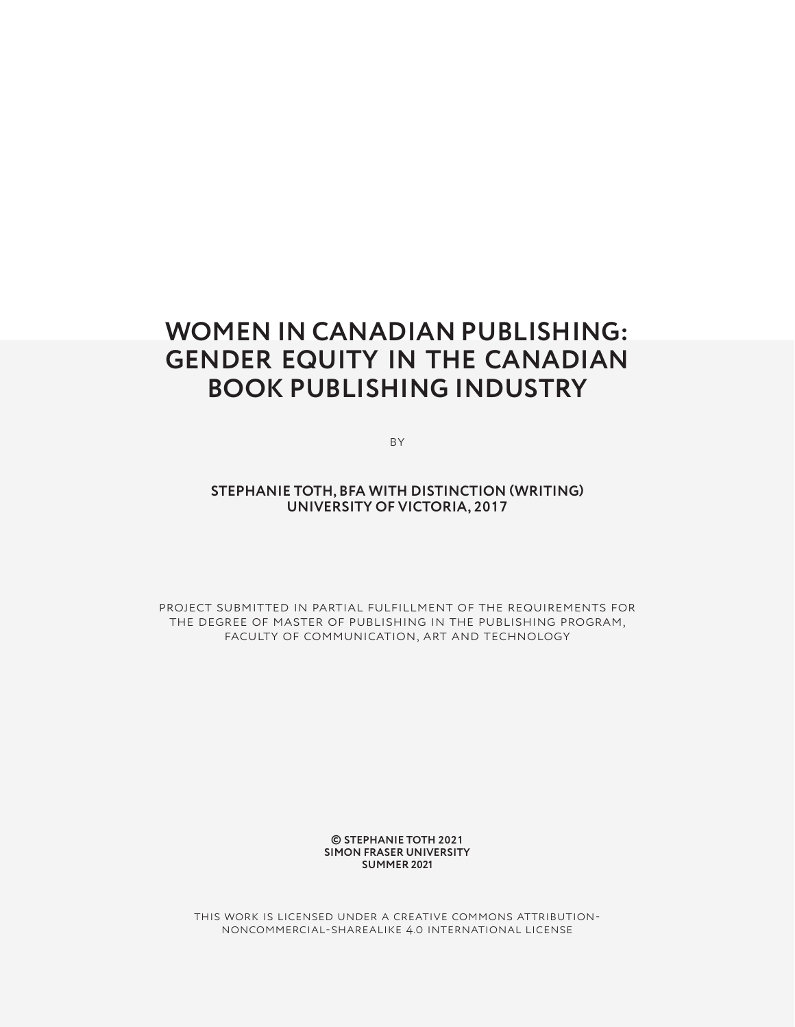# **WOMEN IN CANADIAN PUBLISHING: GENDER EQUITY IN THE CANADIAN BOOK PUBLISHING INDUSTRY**

**BY** 

**STEPHANIE TOTH, BFA WITH DISTINCTION (WRITING) UNIVERSITY OF VICTORIA, 2017**

Project submitted in partial fulfillment of the requirements for the degree of master of publishing in the publishing program, faculty of communication, art and technology

> **© STEPHANIE TOTH 2021 SIMON FRASER UNIVERSITY SUMMER 2021**

this work is licensed under a creative commons attributionnoncommercial-sharealike 4.0 international license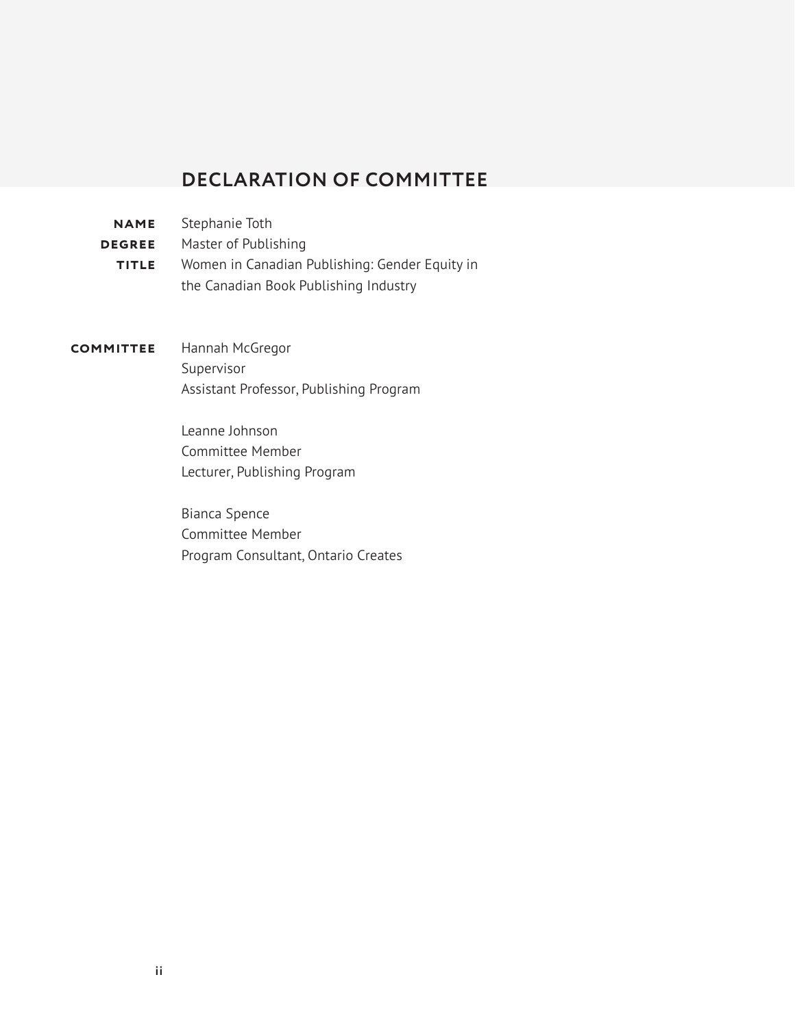# **DECLARATION OF COMMITTEE**

- <span id="page-1-0"></span>Stephanie Toth **name**
- **DEGREE** Master of Publishing
- Women in Canadian Publishing: Gender Equity in the Canadian Book Publishing Industry **title**
- Hannah McGregor Supervisor Assistant Professor, Publishing Program **committee**

Leanne Johnson Committee Member Lecturer, Publishing Program

Bianca Spence Committee Member Program Consultant, Ontario Creates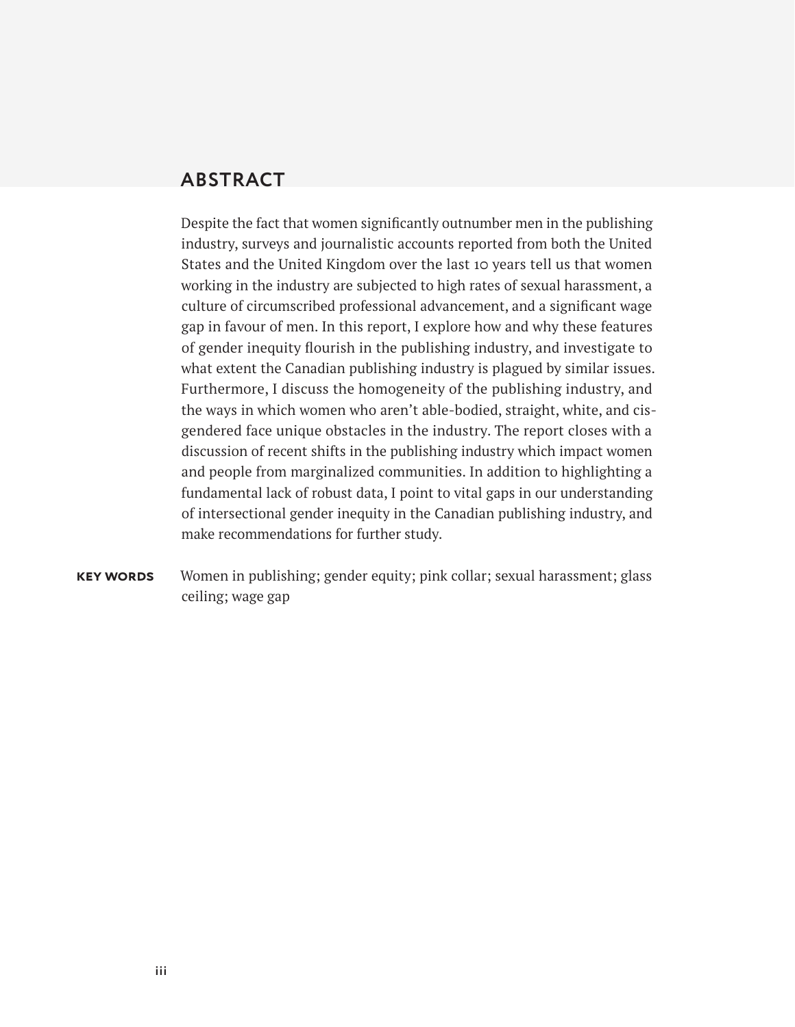# <span id="page-2-0"></span>**ABSTRACT**

Despite the fact that women significantly outnumber men in the publishing industry, surveys and journalistic accounts reported from both the United States and the United Kingdom over the last 10 years tell us that women working in the industry are subjected to high rates of sexual harassment, a culture of circumscribed professional advancement, and a significant wage gap in favour of men. In this report, I explore how and why these features of gender inequity flourish in the publishing industry, and investigate to what extent the Canadian publishing industry is plagued by similar issues. Furthermore, I discuss the homogeneity of the publishing industry, and the ways in which women who aren't able-bodied, straight, white, and cisgendered face unique obstacles in the industry. The report closes with a discussion of recent shifts in the publishing industry which impact women and people from marginalized communities. In addition to highlighting a fundamental lack of robust data, I point to vital gaps in our understanding of intersectional gender inequity in the Canadian publishing industry, and make recommendations for further study.

Women in publishing; gender equity; pink collar; sexual harassment; glass ceiling; wage gap **key words**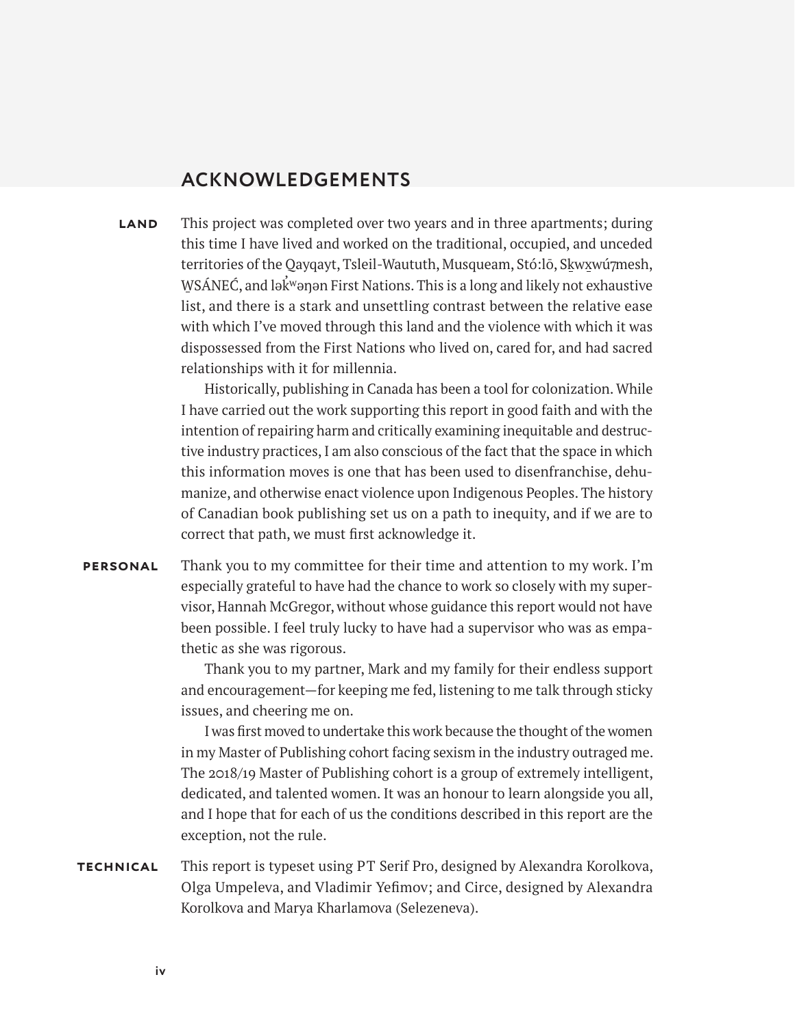# **ACKNOWLEDGEMENTS**

<span id="page-3-0"></span>**land** This project was completed over two years and in three apartments; during this time I have lived and worked on the traditional, occupied, and unceded territories of the Qayqayt, Tsleil-Waututh, Musqueam, Stó:lō, Skwxwú7mesh, WSÁNEĆ, and lək̃<sup>w</sup>əŋən First Nations. This is a long and likely not exhaustive list, and there is a stark and unsettling contrast between the relative ease with which I've moved through this land and the violence with which it was dispossessed from the First Nations who lived on, cared for, and had sacred relationships with it for millennia.

> Historically, publishing in Canada has been a tool for colonization. While I have carried out the work supporting this report in good faith and with the intention of repairing harm and critically examining inequitable and destructive industry practices, I am also conscious of the fact that the space in which this information moves is one that has been used to disenfranchise, dehumanize, and otherwise enact violence upon Indigenous Peoples. The history of Canadian book publishing set us on a path to inequity, and if we are to correct that path, we must first acknowledge it.

Thank you to my committee for their time and attention to my work. I'm especially grateful to have had the chance to work so closely with my supervisor, Hannah McGregor, without whose guidance this report would not have been possible. I feel truly lucky to have had a supervisor who was as empathetic as she was rigorous. **personal**

> Thank you to my partner, Mark and my family for their endless support and encouragement—for keeping me fed, listening to me talk through sticky issues, and cheering me on.

> I was first moved to undertake this work because the thought of the women in my Master of Publishing cohort facing sexism in the industry outraged me. The 2018/19 Master of Publishing cohort is a group of extremely intelligent, dedicated, and talented women. It was an honour to learn alongside you all, and I hope that for each of us the conditions described in this report are the exception, not the rule.

This report is typeset using PT Serif Pro, designed by Alexandra Korolkova, Olga Umpeleva, and Vladimir Yefimov; and Circe, designed by Alexandra Korolkova and Marya Kharlamova (Selezeneva). **technical**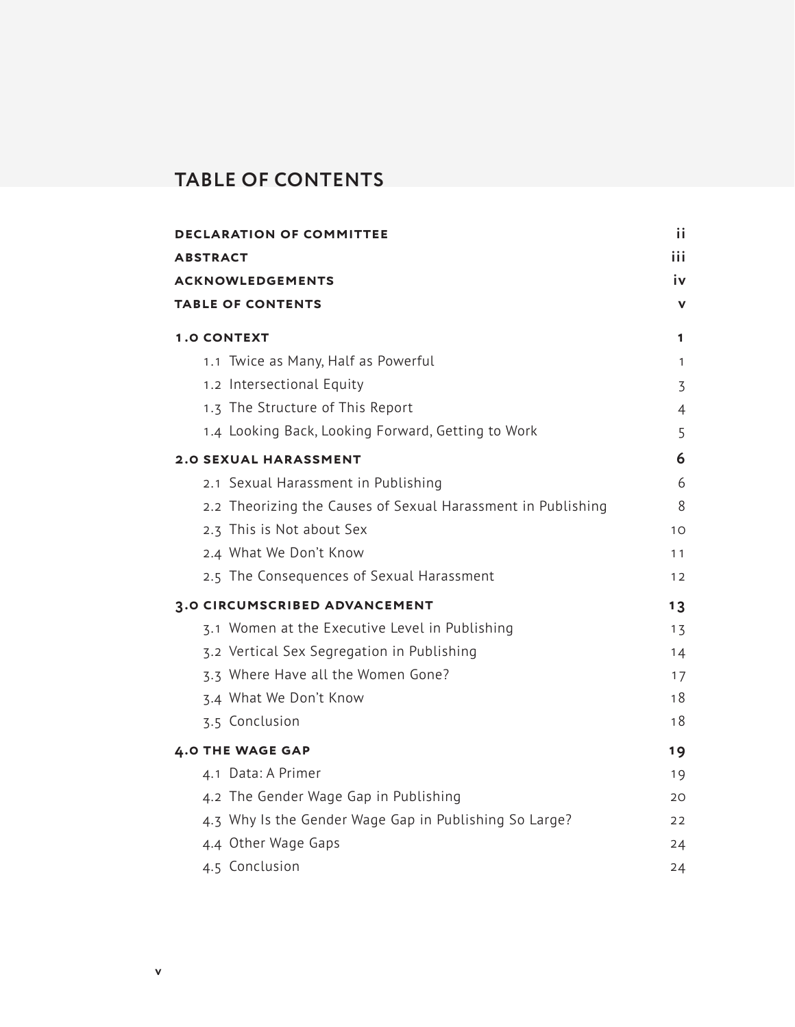# <span id="page-4-0"></span>**TABLE OF CONTENTS**

| <b>DECLARATION OF COMMITTEE</b>                              | iί  |
|--------------------------------------------------------------|-----|
| <b>ABSTRACT</b>                                              | iii |
| <b>ACKNOWLEDGEMENTS</b>                                      | iv  |
| <b>TABLE OF CONTENTS</b>                                     | v   |
| <b>1.0 CONTEXT</b>                                           | 1   |
| 1.1 Twice as Many, Half as Powerful                          | 1   |
| 1.2 Intersectional Equity                                    | 3   |
| 1.3 The Structure of This Report                             | 4   |
| 1.4 Looking Back, Looking Forward, Getting to Work           | 5   |
| <b>2.0 SEXUAL HARASSMENT</b>                                 | 6   |
| 2.1 Sexual Harassment in Publishing                          | 6   |
| 2.2 Theorizing the Causes of Sexual Harassment in Publishing | 8   |
| 2.3 This is Not about Sex                                    | 10  |
| 2.4 What We Don't Know                                       | 11  |
| 2.5 The Consequences of Sexual Harassment                    | 12  |
| 3.0 CIRCUMSCRIBED ADVANCEMENT                                | 13  |
| 3.1 Women at the Executive Level in Publishing               | 13  |
| 3.2 Vertical Sex Segregation in Publishing                   | 14  |
| 3.3 Where Have all the Women Gone?                           | 17  |
| 3.4 What We Don't Know                                       | 18  |
| 3.5 Conclusion                                               | 18  |
| <b>4.0 THE WAGE GAP</b>                                      | 19  |
| 4.1 Data: A Primer                                           | 19  |
| 4.2 The Gender Wage Gap in Publishing                        | 20  |
| 4.3 Why Is the Gender Wage Gap in Publishing So Large?       | 22  |
| 4.4 Other Wage Gaps                                          | 24  |
| 4.5 Conclusion                                               | 24  |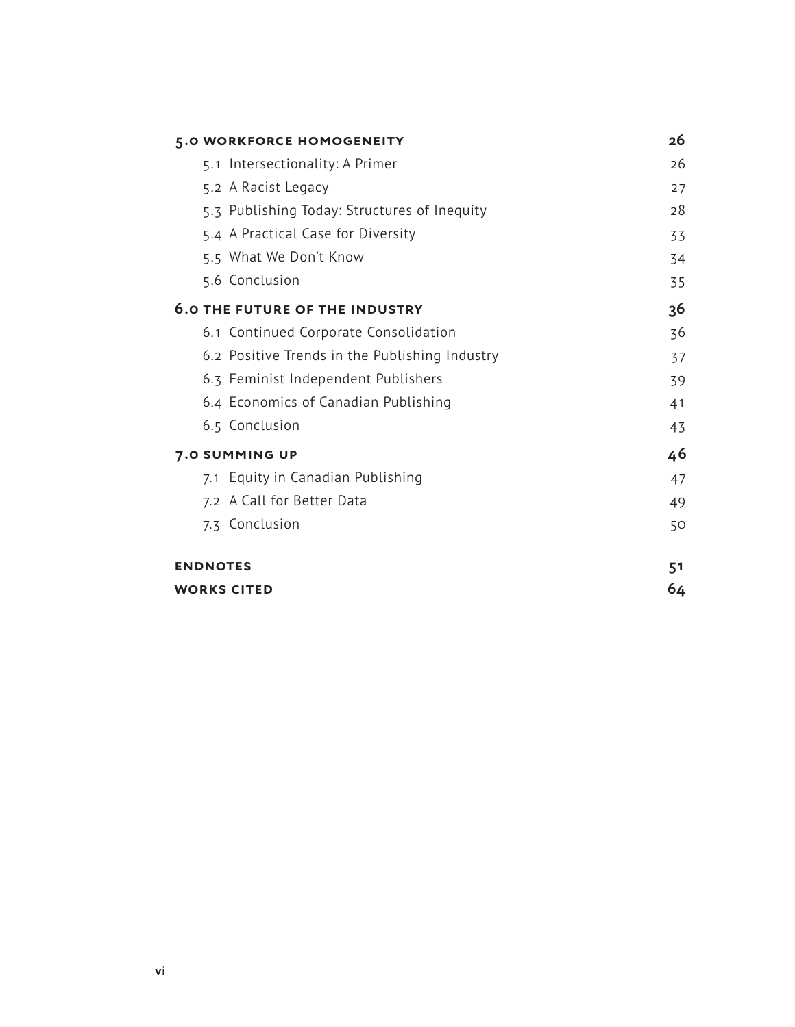| 5.0 WORKFORCE HOMOGENEITY                      | 26 |
|------------------------------------------------|----|
| 5.1 Intersectionality: A Primer                | 26 |
| 5.2 A Racist Legacy                            | 27 |
| 5.3 Publishing Today: Structures of Inequity   | 28 |
| 5.4 A Practical Case for Diversity             | 33 |
| 5.5 What We Don't Know                         | 34 |
| 5.6 Conclusion                                 | 35 |
| <b>6.0 THE FUTURE OF THE INDUSTRY</b>          | 36 |
| 6.1 Continued Corporate Consolidation          | 36 |
| 6.2 Positive Trends in the Publishing Industry | 37 |
| 6.3 Feminist Independent Publishers            | 39 |
| 6.4 Economics of Canadian Publishing           | 41 |
| 6.5 Conclusion                                 | 43 |
| 7.0 SUMMING UP                                 | 46 |
| 7.1 Equity in Canadian Publishing              | 47 |
| 7.2 A Call for Better Data                     | 49 |
| 7.3 Conclusion                                 | 50 |
| <b>ENDNOTES</b>                                | 51 |
| <b>WORKS CITED</b>                             | 64 |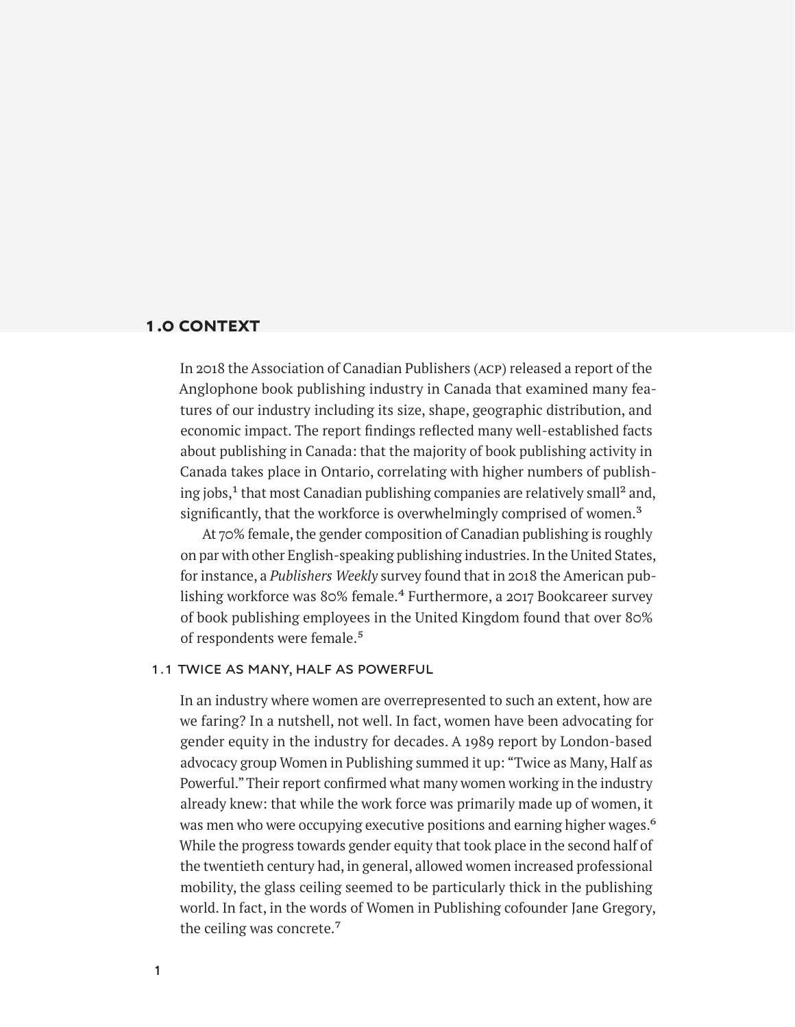# <span id="page-6-0"></span>**1.0 context**

In 2018 the Association of Canadian Publishers (acp) released a report of the Anglophone book publishing industry in Canada that examined many features of our industry including its size, shape, geographic distribution, and economic impact. The report findings reflected many well-established facts about publishing in Canada: that the majority of book publishing activity in Canada takes place in Ontario, correlating with higher numbers of publishing jobs, $<sup>1</sup>$  that most Canadian publishing companies are relatively small<sup>2</sup> and,</sup> significantly, that the workforce is overwhelmingly comprised of women.<sup>3</sup>

At 70% female, the gender composition of Canadian publishing is roughly on par with other English-speaking publishing industries. In the United States, for instance, a *Publishers Weekly* survey found that in 2018 the American publishing workforce was 80% female.<sup>4</sup> Furthermore, a 2017 Bookcareer survey of book publishing employees in the United Kingdom found that over 80% of respondents were female.<sup>5</sup>

### 1.1 twice as many, half as powerful

In an industry where women are overrepresented to such an extent, how are we faring? In a nutshell, not well. In fact, women have been advocating for gender equity in the industry for decades. A 1989 report by London-based advocacy group Women in Publishing summed it up: "Twice as Many, Half as Powerful." Their report confirmed what many women working in the industry already knew: that while the work force was primarily made up of women, it was men who were occupying executive positions and earning higher wages.<sup>6</sup> While the progress towards gender equity that took place in the second half of the twentieth century had, in general, allowed women increased professional mobility, the glass ceiling seemed to be particularly thick in the publishing world. In fact, in the words of Women in Publishing cofounder Jane Gregory, the ceiling was concrete.7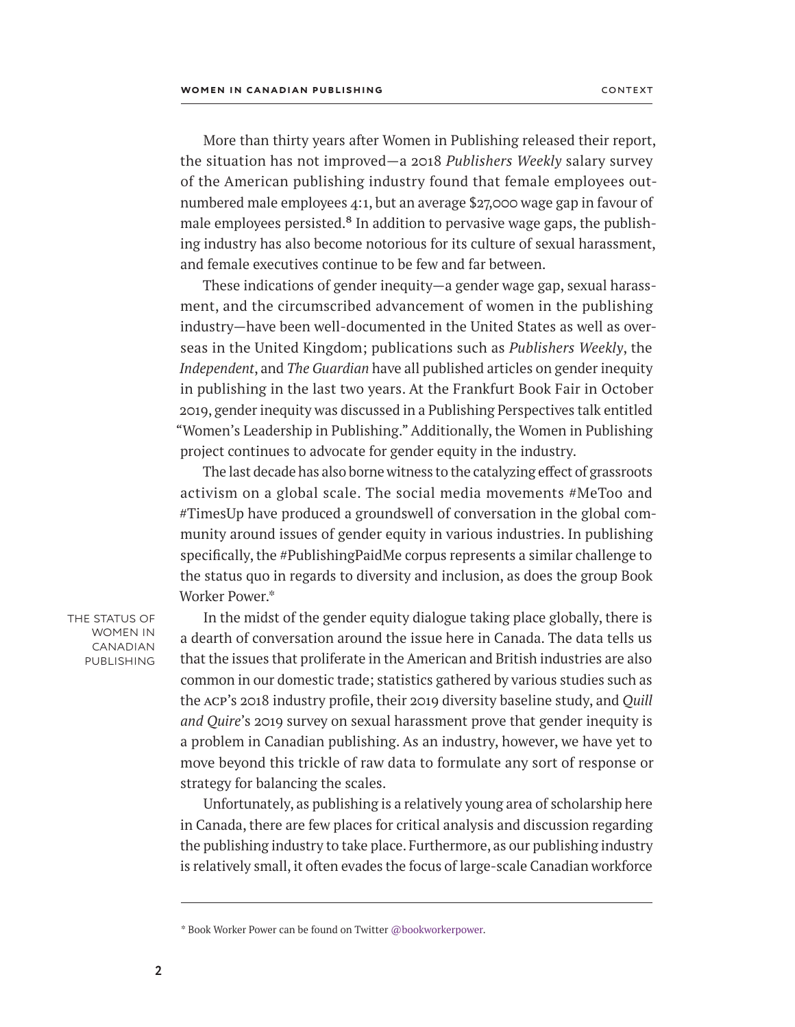More than thirty years after Women in Publishing released their report, the situation has not improved—a 2018 *Publishers Weekly* salary survey of the American publishing industry found that female employees out numbered male employees 4:1, but an average \$27,000 wage gap in favour of male employees persisted.<sup>8</sup> In addition to pervasive wage gaps, the publishing industry has also become notorious for its culture of sexual harassment, and female executives continue to be few and far between.

These indications of gender inequity—a gender wage gap, sexual harassment, and the circumscribed advancement of women in the publishing industry—have been well-documented in the United States as well as overseas in the United Kingdom; publications such as *Publishers Weekly*, the *Independent*, and *The Guardian* have all published articles on gender inequity in publishing in the last two years. At the Frankfurt Book Fair in October 2019, gender inequity was discussed in a Publishing Perspectives talk entitled "Women's Leadership in Publishing." Additionally, the Women in Publishing project continues to advocate for gender equity in the industry.

The last decade has also borne witness to the catalyzing effect of grassroots activism on a global scale. The social media movements #MeToo and #TimesUp have produced a groundswell of conversation in the global community around issues of gender equity in various industries. In publishing specifically, the #PublishingPaidMe corpus represents a similar challenge to the status quo in regards to diversity and inclusion, as does the group Book Worker Power.\*

THE STATUS OF women in canadian **PUBLISHING** 

In the midst of the gender equity dialogue taking place globally, there is a dearth of conversation around the issue here in Canada. The data tells us that the issues that proliferate in the American and British industries are also common in our domestic trade; statistics gathered by various studies such as the acp's 2018 industry profile, their 2019 diversity baseline study, and *Quill and Quire*'s 2019 survey on sexual harassment prove that gender inequity is a problem in Canadian publishing. As an industry, however, we have yet to move beyond this trickle of raw data to formulate any sort of response or strategy for balancing the scales.

Unfortunately, as publishing is a relatively young area of scholarship here in Canada, there are few places for critical analysis and discussion regarding the publishing industry to take place. Furthermore, as our publishing industry is relatively small, it often evades the focus of large-scale Canadian workforce

**2**

<sup>\*</sup> Book Worker Power can be found on Twitter [@bookworkerpower.](https://twitter.com/bookworkerpower)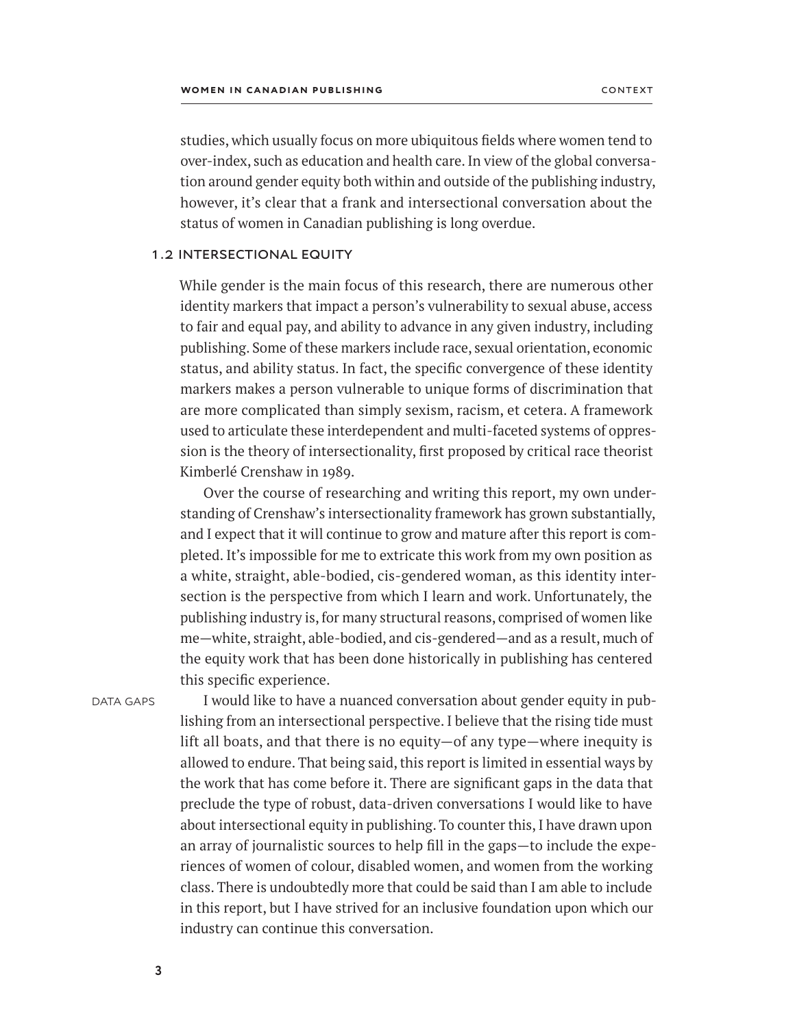studies, which usually focus on more ubiquitous fields where women tend to over-index, such as education and health care. In view of the global conversation around gender equity both within and outside of the publishing industry, however, it's clear that a frank and intersectional conversation about the status of women in Canadian publishing is long overdue.

#### 1.2 intersectional equity

While gender is the main focus of this research, there are numerous other identity markers that impact a person's vulnerability to sexual abuse, access to fair and equal pay, and ability to advance in any given industry, including publishing. Some of these markers include race, sexual orientation, economic status, and ability status. In fact, the specific convergence of these identity markers makes a person vulnerable to unique forms of discrimination that are more complicated than simply sexism, racism, et cetera. A framework used to articulate these interdependent and multi-faceted systems of oppression is the theory of intersectionality, first proposed by critical race theorist Kimberlé Crenshaw in 1989.

Over the course of researching and writing this report, my own understanding of Crenshaw's intersectionality framework has grown substantially, and I expect that it will continue to grow and mature after this report is completed. It's impossible for me to extricate this work from my own position as a white, straight, able-bodied, cis-gendered woman, as this identity intersection is the perspective from which I learn and work. Unfortunately, the publishing industry is, for many structural reasons, comprised of women like me—white, straight, able-bodied, and cis-gendered—and as a result, much of the equity work that has been done historically in publishing has centered this specific experience.

DATA GAPS

I would like to have a nuanced conversation about gender equity in publishing from an intersectional perspective. I believe that the rising tide must lift all boats, and that there is no equity—of any type—where inequity is allowed to endure. That being said, this report is limited in essential ways by the work that has come before it. There are significant gaps in the data that preclude the type of robust, data-driven conversations I would like to have about intersectional equity in publishing. To counter this, I have drawn upon an array of journalistic sources to help fill in the gaps—to include the experiences of women of colour, disabled women, and women from the working class. There is undoubtedly more that could be said than I am able to include in this report, but I have strived for an inclusive foundation upon which our industry can continue this conversation.

**3**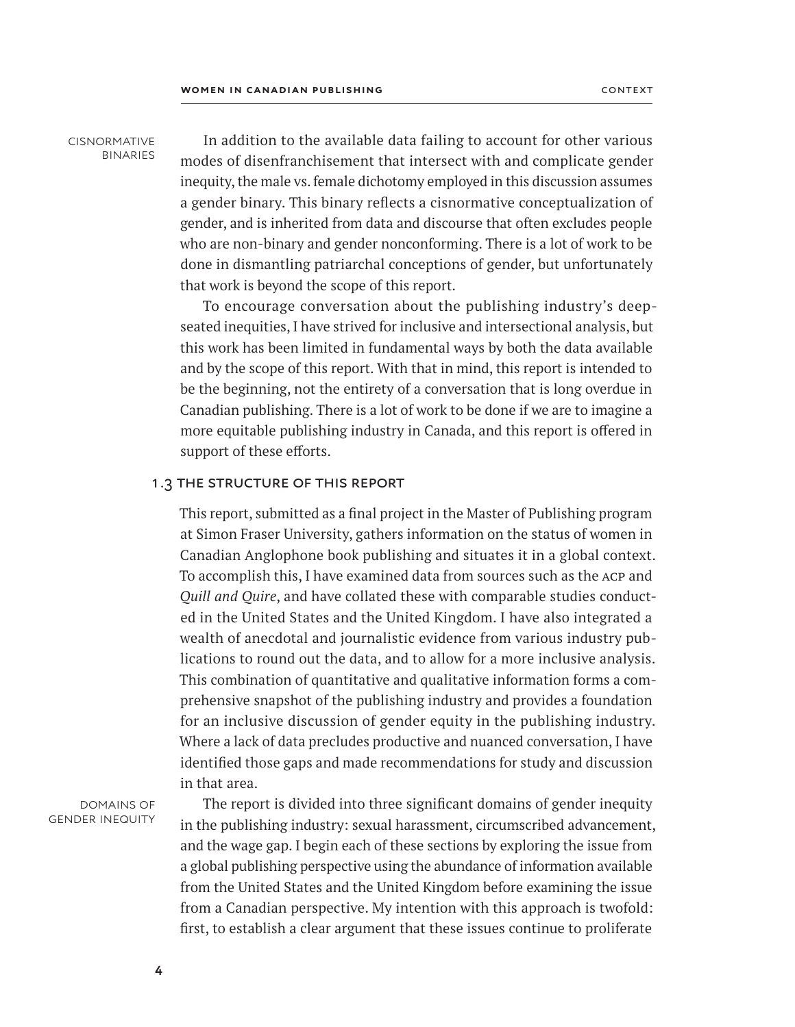cisnormative binaries

In addition to the available data failing to account for other various modes of disenfranchisement that intersect with and complicate gender inequity, the male vs. female dichotomy employed in this discussion assumes a gender binary. This binary reflects a cisnormative conceptualization of gender, and is inherited from data and discourse that often excludes people who are non-binary and gender nonconforming. There is a lot of work to be done in dismantling patriarchal conceptions of gender, but unfortunately that work is beyond the scope of this report.

To encourage conversation about the publishing industry's deepseated inequities, I have strived for inclusive and intersectional analysis, but this work has been limited in fundamental ways by both the data available and by the scope of this report. With that in mind, this report is intended to be the beginning, not the entirety of a conversation that is long overdue in Canadian publishing. There is a lot of work to be done if we are to imagine a more equitable publishing industry in Canada, and this report is offered in support of these efforts.

#### 1.3 the structure of this report

This report, submitted as a final project in the Master of Publishing program at Simon Fraser University, gathers information on the status of women in Canadian Anglophone book publishing and situates it in a global context. To accomplish this, I have examined data from sources such as the acp and *Quill and Quire*, and have collated these with comparable studies conducted in the United States and the United Kingdom. I have also integrated a wealth of anecdotal and journalistic evidence from various industry publications to round out the data, and to allow for a more inclusive analysis. This combination of quantitative and qualitative information forms a comprehensive snapshot of the publishing industry and provides a foundation for an inclusive discussion of gender equity in the publishing industry. Where a lack of data precludes productive and nuanced conversation, I have identified those gaps and made recommendations for study and discussion in that area.

domains of gender inequity

The report is divided into three significant domains of gender inequity in the publishing industry: sexual harassment, circumscribed advancement, and the wage gap. I begin each of these sections by exploring the issue from a global publishing perspective using the abundance of information available from the United States and the United Kingdom before examining the issue from a Canadian perspective. My intention with this approach is twofold: first, to establish a clear argument that these issues continue to proliferate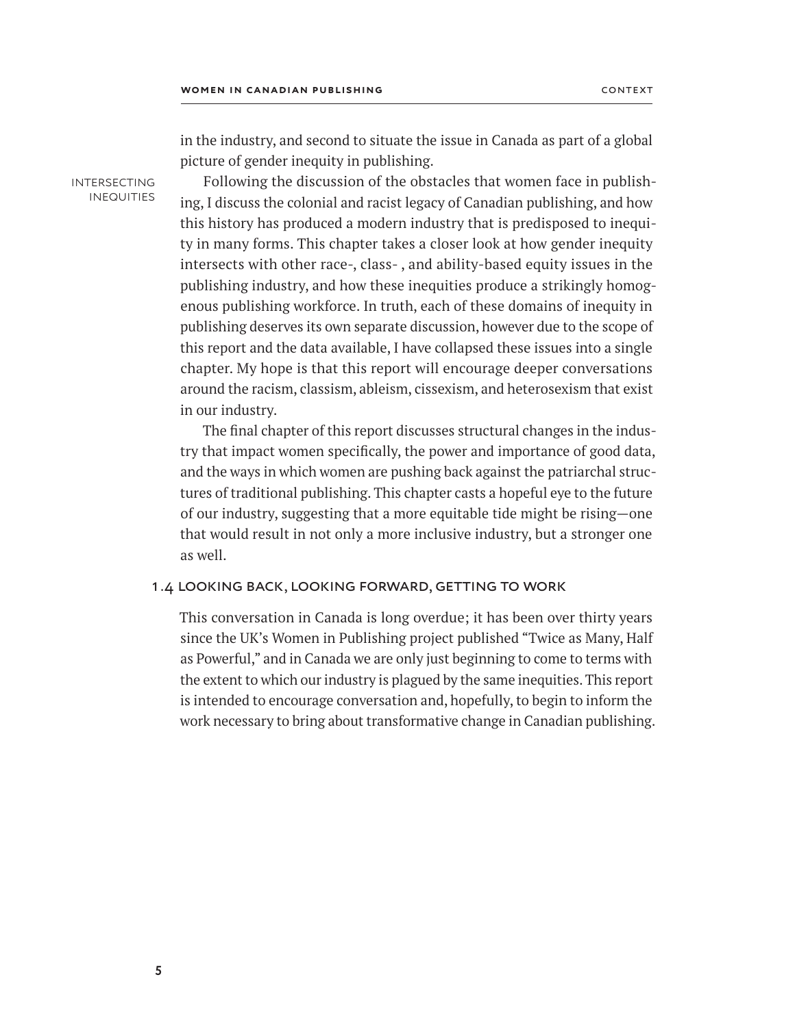in the industry, and second to situate the issue in Canada as part of a global picture of gender inequity in publishing.

intersecting **INEQUITIES** 

Following the discussion of the obstacles that women face in publishing, I discuss the colonial and racist legacy of Canadian publishing, and how this history has produced a modern industry that is predisposed to inequity in many forms. This chapter takes a closer look at how gender inequity intersects with other race-, class- , and ability-based equity issues in the publishing industry, and how these inequities produce a strikingly homogenous publishing workforce. In truth, each of these domains of inequity in publishing deserves its own separate discussion, however due to the scope of this report and the data available, I have collapsed these issues into a single chapter. My hope is that this report will encourage deeper conversations around the racism, classism, ableism, cissexism, and heterosexism that exist in our industry.

The final chapter of this report discusses structural changes in the industry that impact women specifically, the power and importance of good data, and the ways in which women are pushing back against the patriarchal structures of traditional publishing. This chapter casts a hopeful eye to the future of our industry, suggesting that a more equitable tide might be rising—one that would result in not only a more inclusive industry, but a stronger one as well.

# 1.4 looking back, looking forward, getting to work

This conversation in Canada is long overdue; it has been over thirty years since the UK's Women in Publishing project published "Twice as Many, Half as Powerful," and in Canada we are only just beginning to come to terms with the extent to which our industry is plagued by the same inequities. This report is intended to encourage conversation and, hopefully, to begin to inform the work necessary to bring about transformative change in Canadian publishing.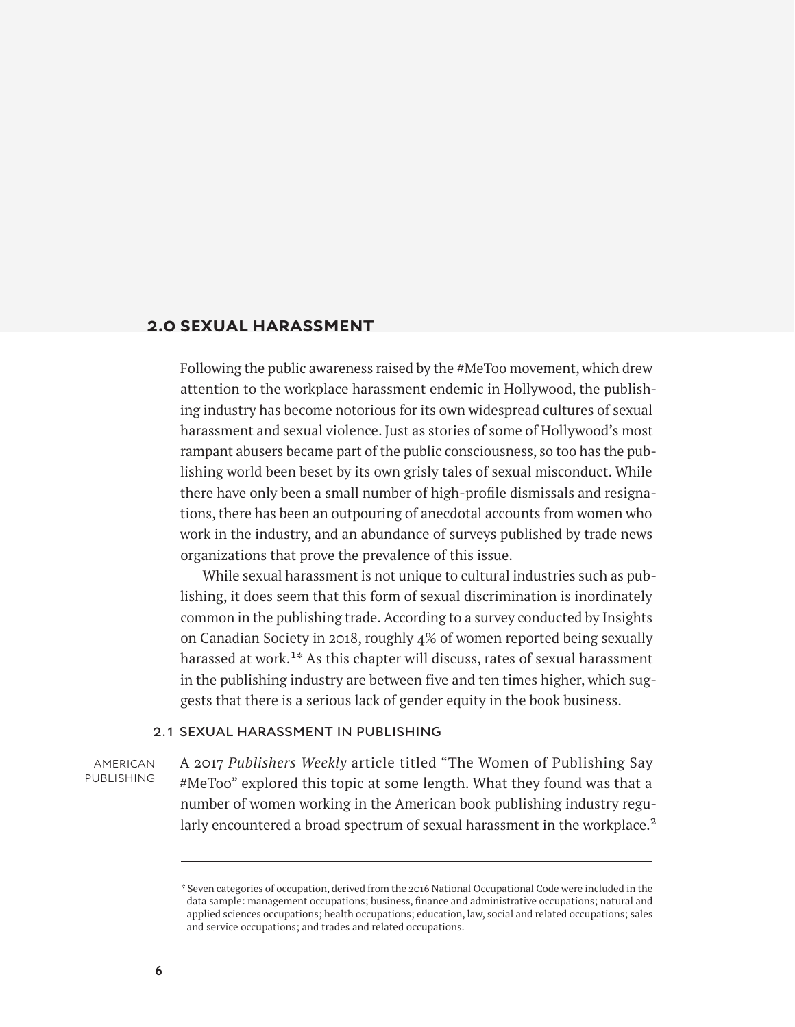# <span id="page-11-0"></span>**2.0 sexual harassment**

Following the public awareness raised by the #MeToo movement, which drew attention to the workplace harassment endemic in Hollywood, the publishing industry has become notorious for its own widespread cultures of sexual harassment and sexual violence. Just as stories of some of Hollywood's most rampant abusers became part of the public consciousness, so too has the publishing world been beset by its own grisly tales of sexual misconduct. While there have only been a small number of high-profile dismissals and resignations, there has been an outpouring of anecdotal accounts from women who work in the industry, and an abundance of surveys published by trade news organizations that prove the prevalence of this issue.

While sexual harassment is not unique to cultural industries such as publishing, it does seem that this form of sexual discrimination is inordinately common in the publishing trade. According to a survey conducted by Insights on Canadian Society in 2018, roughly 4% of women reported being sexually harassed at work.<sup>1\*</sup> As this chapter will discuss, rates of sexual harassment in the publishing industry are between five and ten times higher, which suggests that there is a serious lack of gender equity in the book business.

#### 2.1 sexual harassment in publishing

american **PUBLISHING**  A 2017 *Publishers Weekly* article titled "The Women of Publishing Say #MeToo" explored this topic at some length. What they found was that a number of women working in the American book publishing industry regularly encountered a broad spectrum of sexual harassment in the workplace.<sup>2</sup>

<sup>\*</sup> Seven categories of occupation, derived from the 2016 National Occupational Code were included in the data sample: management occupations; business, finance and administrative occupations; natural and applied sciences occupations; health occupations; education, law, social and related occupations; sales and service occupations; and trades and related occupations.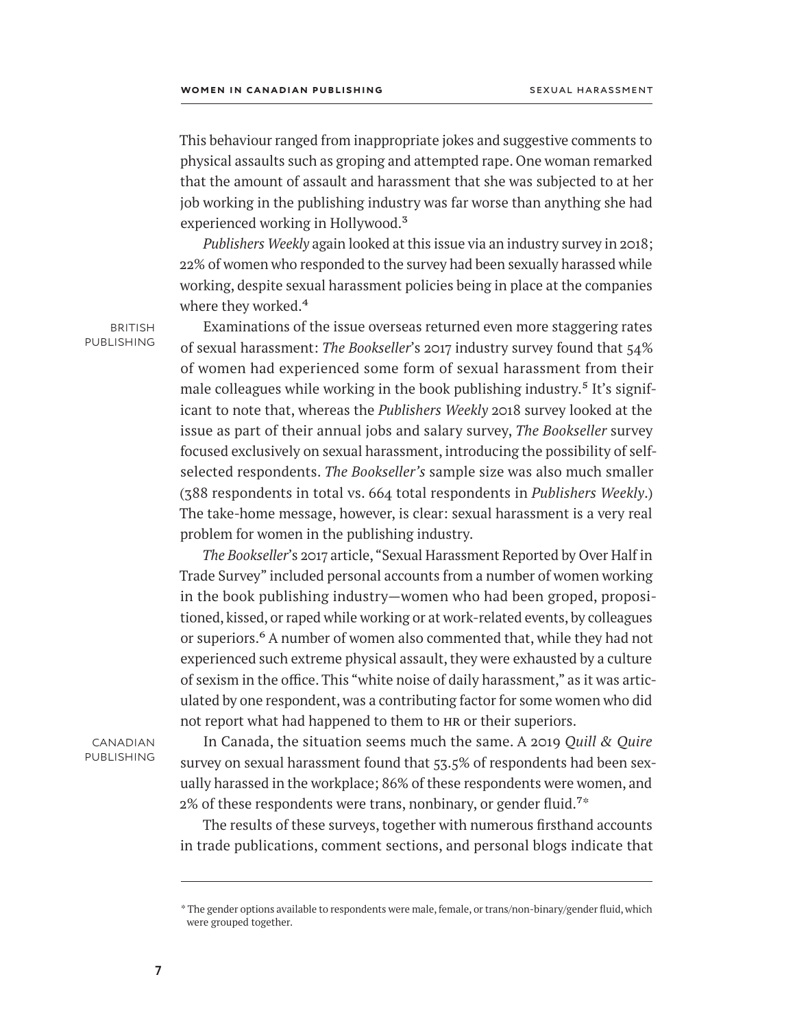This behaviour ranged from inappropriate jokes and suggestive comments to physical assaults such as groping and attempted rape. One woman remarked that the amount of assault and harassment that she was subjected to at her job working in the publishing industry was far worse than anything she had experienced working in Hollywood.<sup>3</sup>

*Publishers Weekly* again looked at this issue via an industry survey in 2018; 22% of women who responded to the survey had been sexually harassed while working, despite sexual harassment policies being in place at the companies where they worked.<sup>4</sup>

**BRITISH PUBLISHING** 

Examinations of the issue overseas returned even more staggering rates of sexual harassment: *The Bookseller*'s 2017 industry survey found that 54% of women had experienced some form of sexual harassment from their male colleagues while working in the book publishing industry.<sup>5</sup> It's significant to note that, whereas the *Publishers Weekly* 2018 survey looked at the issue as part of their annual jobs and salary survey, *The Bookseller* survey focused exclusively on sexual harassment, introducing the possibility of selfselected respondents. *The Bookseller's* sample size was also much smaller (388 respondents in total vs. 664 total respondents in *Publishers Weekly*.) The take-home message, however, is clear: sexual harassment is a very real problem for women in the publishing industry.

*The Bookseller*'s 2017 article, "Sexual Harassment Reported by Over Half in Trade Survey" included personal accounts from a number of women working in the book publishing industry—women who had been groped, propositioned, kissed, or raped while working or at work-related events, by colleagues or superiors.<sup>6</sup> A number of women also commented that, while they had not experienced such extreme physical assault, they were exhausted by a culture of sexism in the office. This "white noise of daily harassment," as it was articulated by one respondent, was a contributing factor for some women who did not report what had happened to them to HR or their superiors.

**CANADIAN PUBLISHING** 

In Canada, the situation seems much the same. A 2019 *Quill & Quire* survey on sexual harassment found that 53.5% of respondents had been sexually harassed in the workplace; 86% of these respondents were women, and  $2\%$  of these respondents were trans, nonbinary, or gender fluid.<sup>7\*</sup>

The results of these surveys, together with numerous firsthand accounts in trade publications, comment sections, and personal blogs indicate that

<sup>\*</sup> The gender options available to respondents were male, female, or trans/non-binary/gender fluid, which were grouped together.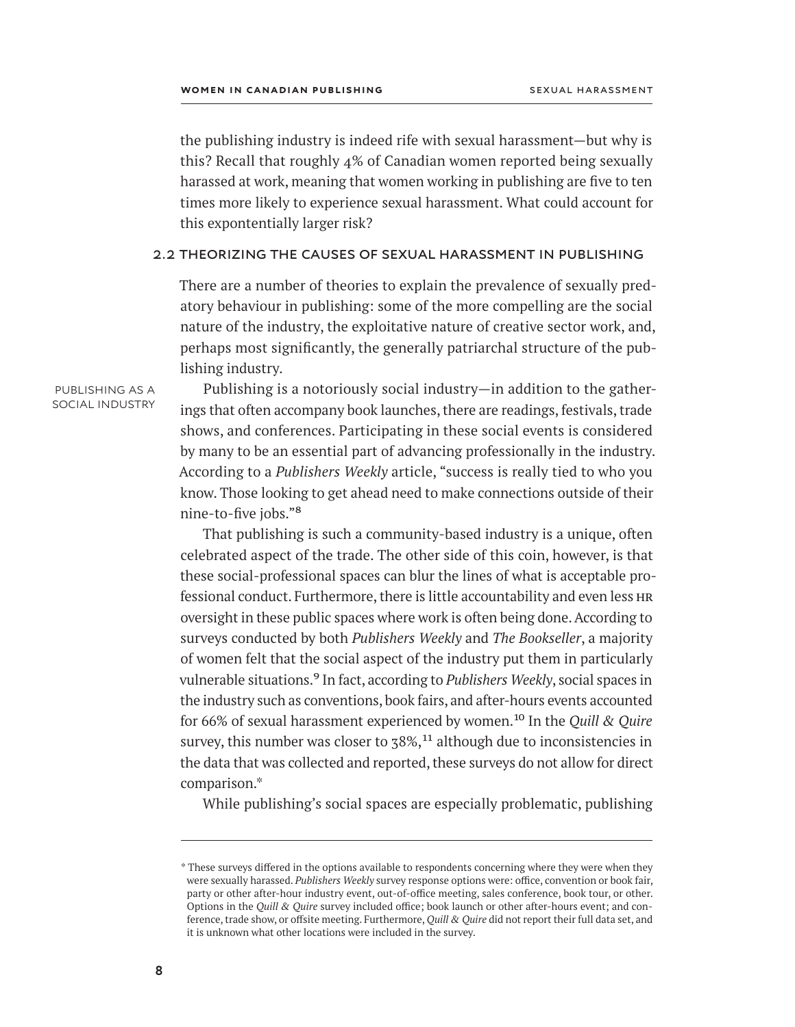the publishing industry is indeed rife with sexual harassment—but why is this? Recall that roughly 4% of Canadian women reported being sexually harassed at work, meaning that women working in publishing are five to ten times more likely to experience sexual harassment. What could account for this expontentially larger risk?

#### 2.2 theorizing the causes of sexual harassment in publishing

There are a number of theories to explain the prevalence of sexually predatory behaviour in publishing: some of the more compelling are the social nature of the industry, the exploitative nature of creative sector work, and, perhaps most significantly, the generally patriarchal structure of the publishing industry.

publishing as a social industry

Publishing is a notoriously social industry—in addition to the gatherings that often accompany book launches, there are readings, festivals, trade shows, and conferences. Participating in these social events is considered by many to be an essential part of advancing professionally in the industry. According to a *Publishers Weekly* article, "success is really tied to who you know. Those looking to get ahead need to make connections outside of their nine-to-five jobs."8

That publishing is such a community-based industry is a unique, often celebrated aspect of the trade. The other side of this coin, however, is that these social-professional spaces can blur the lines of what is acceptable professional conduct. Furthermore, there is little accountability and even less hr oversight in these public spaces where work is often being done. According to surveys conducted by both *Publishers Weekly* and *The Bookseller*, a majority of women felt that the social aspect of the industry put them in particularly vulnerable situations.9 In fact, according to *Publishers Weekly*, social spaces in the industry such as conventions, book fairs, and after-hours events accounted for 66% of sexual harassment experienced by women.10 In the *Quill & Quire* survey, this number was closer to  $78\%,^{11}$  although due to inconsistencies in the data that was collected and reported, these surveys do not allow for direct comparison.\*

While publishing's social spaces are especially problematic, publishing

<sup>\*</sup> These surveys differed in the options available to respondents concerning where they were when they were sexually harassed. *Publishers Weekly* survey response options were: office, convention or book fair, party or other after-hour industry event, out-of-office meeting, sales conference, book tour, or other. Options in the *Quill & Quire* survey included office; book launch or other after-hours event; and conference, trade show, or offsite meeting. Furthermore, *Quill & Quire* did not report their full data set, and it is unknown what other locations were included in the survey.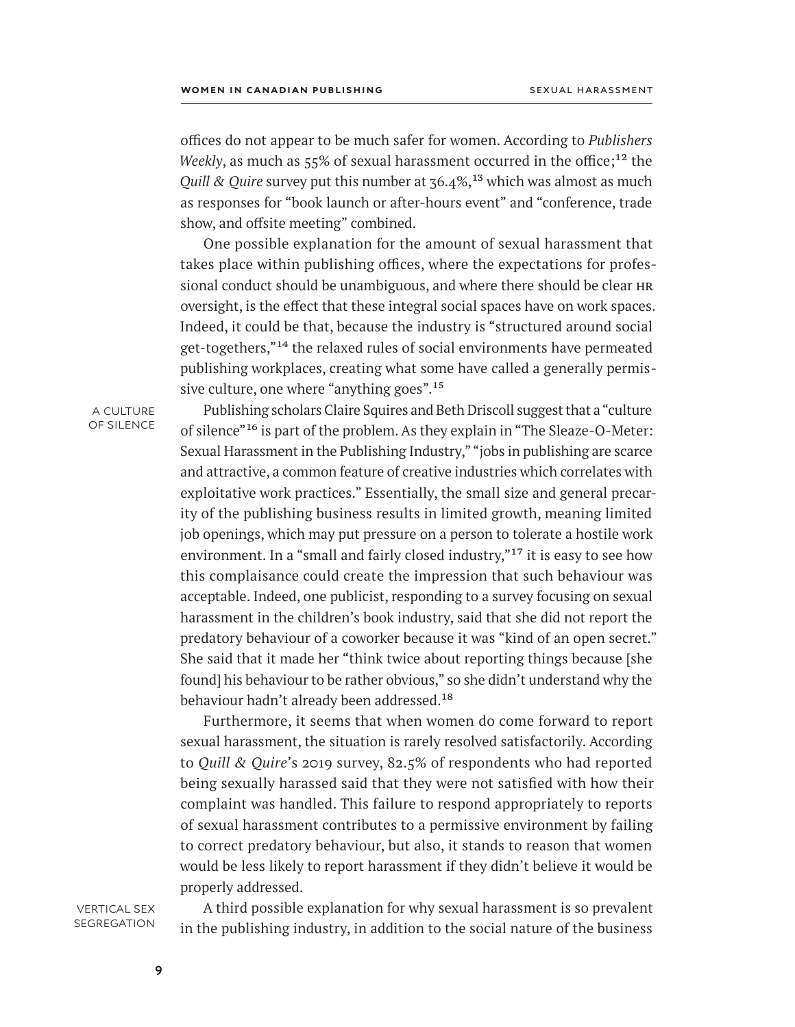offices do not appear to be much safer for women. According to *Publishers Weekly*, as much as 55% of sexual harassment occurred in the office;<sup>12</sup> the *Quill & Quire* survey put this number at  $36.4\%$ ,<sup>13</sup> which was almost as much as responses for "book launch or after-hours event" and "conference, trade show, and offsite meeting" combined.

One possible explanation for the amount of sexual harassment that takes place within publishing offices, where the expectations for professional conduct should be unambiguous, and where there should be clear hr oversight, is the effect that these integral social spaces have on work spaces. Indeed, it could be that, because the industry is "structured around social get-togethers,"14 the relaxed rules of social environments have permeated publishing workplaces, creating what some have called a generally permissive culture, one where "anything goes".<sup>15</sup>

a culture of silence

Publishing scholars Claire Squires and Beth Driscoll suggest that a "culture of silence"16 is part of the problem. As they explain in "The Sleaze-O-Meter: Sexual Harassment in the Publishing Industry," "jobs in publishing are scarce and attractive, a common feature of creative industries which correlates with exploitative work practices." Essentially, the small size and general precarity of the publishing business results in limited growth, meaning limited job openings, which may put pressure on a person to tolerate a hostile work environment. In a "small and fairly closed industry,"<sup>17</sup> it is easy to see how this complaisance could create the impression that such behaviour was acceptable. Indeed, one publicist, responding to a survey focusing on sexual harassment in the children's book industry, said that she did not report the predatory behaviour of a coworker because it was "kind of an open secret." She said that it made her "think twice about reporting things because [she found] his behaviour to be rather obvious," so she didn't understand why the behaviour hadn't already been addressed.<sup>18</sup>

Furthermore, it seems that when women do come forward to report sexual harassment, the situation is rarely resolved satisfactorily. According to *Quill & Quire*'s 2019 survey, 82.5% of respondents who had reported being sexually harassed said that they were not satisfied with how their complaint was handled. This failure to respond appropriately to reports of sexual harassment contributes to a permissive environment by failing to correct predatory behaviour, but also, it stands to reason that women would be less likely to report harassment if they didn't believe it would be properly addressed.

vertical sex **SEGREGATION** 

A third possible explanation for why sexual harassment is so prevalent in the publishing industry, in addition to the social nature of the business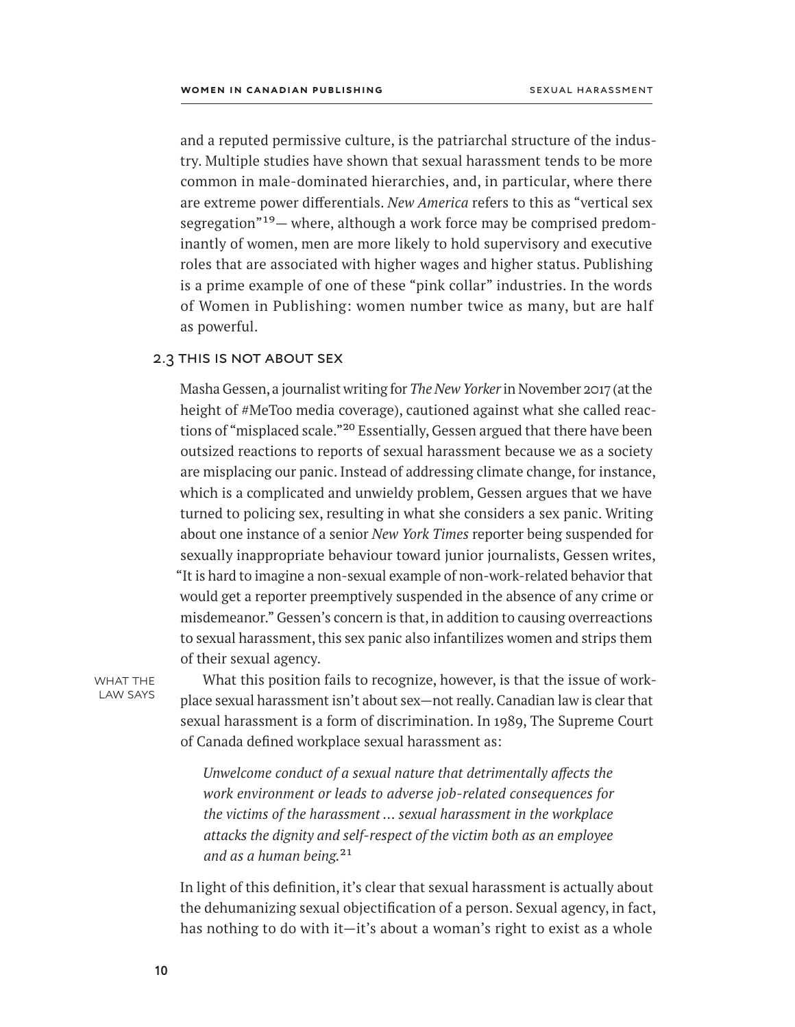and a reputed permissive culture, is the patriarchal structure of the industry. Multiple studies have shown that sexual harassment tends to be more common in male-dominated hierarchies, and, in particular, where there are extreme power differentials. *New America* refers to this as "vertical sex segregation"19— where, although a work force may be comprised predominantly of women, men are more likely to hold supervisory and executive roles that are associated with higher wages and higher status. Publishing is a prime example of one of these "pink collar" industries. In the words of Women in Publishing: women number twice as many, but are half as powerful.

#### 2.3 this is not about sex

Masha Gessen, a journalist writing for *The New Yorker* in November 2017 (at the height of #MeToo media coverage), cautioned against what she called reactions of "misplaced scale."<sup>20</sup> Essentially, Gessen argued that there have been outsized reactions to reports of sexual harassment because we as a society are misplacing our panic. Instead of addressing climate change, for instance, which is a complicated and unwieldy problem, Gessen argues that we have turned to policing sex, resulting in what she considers a sex panic. Writing about one instance of a senior *New York Times* reporter being suspended for sexually inappropriate behaviour toward junior journalists, Gessen writes, "It is hard to imagine a non-sexual example of non-work-related behavior that would get a reporter preemptively suspended in the absence of any crime or misdemeanor." Gessen's concern is that, in addition to causing overreactions to sexual harassment, this sex panic also infantilizes women and strips them of their sexual agency.

WHAT THE law says

What this position fails to recognize, however, is that the issue of workplace sexual harassment isn't about sex—not really. Canadian law is clear that sexual harassment is a form of discrimination. In 1989, The Supreme Court of Canada defined workplace sexual harassment as:

*Unwelcome conduct of a sexual nature that detrimentally affects the work environment or leads to adverse job‑related consequences for the victims of the harassment … sexual harassment in the workplace attacks the dignity and self‑respect of the victim both as an employee and as a human being.*21

In light of this definition, it's clear that sexual harassment is actually about the dehumanizing sexual objectification of a person. Sexual agency, in fact, has nothing to do with it—it's about a woman's right to exist as a whole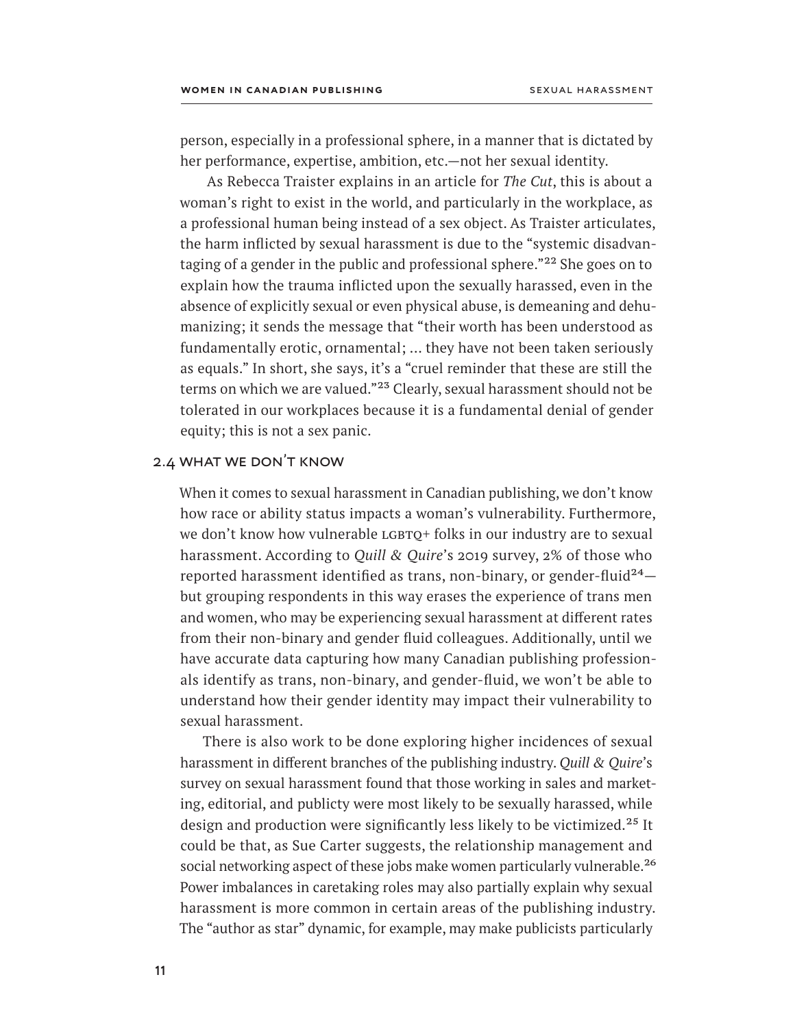person, especially in a professional sphere, in a manner that is dictated by her performance, expertise, ambition, etc.—not her sexual identity.

 As Rebecca Traister explains in an article for *The Cut*, this is about a woman's right to exist in the world, and particularly in the workplace, as a professional human being instead of a sex object. As Traister articulates, the harm inflicted by sexual harassment is due to the "systemic disadvantaging of a gender in the public and professional sphere."<sup>22</sup> She goes on to explain how the trauma inflicted upon the sexually harassed, even in the absence of explicitly sexual or even physical abuse, is demeaning and dehumanizing; it sends the message that "their worth has been understood as fundamentally erotic, ornamental; … they have not been taken seriously as equals." In short, she says, it's a "cruel reminder that these are still the terms on which we are valued."<sup>23</sup> Clearly, sexual harassment should not be tolerated in our workplaces because it is a fundamental denial of gender equity; this is not a sex panic.

## 2.4 what we don't know

When it comes to sexual harassment in Canadian publishing, we don't know how race or ability status impacts a woman's vulnerability. Furthermore, we don't know how vulnerable LGBTQ+ folks in our industry are to sexual harassment. According to *Quill & Quire*'s 2019 survey, 2% of those who reported harassment identified as trans, non-binary, or gender-fluid<sup>24</sup> $$ but grouping respondents in this way erases the experience of trans men and women, who may be experiencing sexual harassment at different rates from their non-binary and gender fluid colleagues. Additionally, until we have accurate data capturing how many Canadian publishing professionals identify as trans, non-binary, and gender-fluid, we won't be able to understand how their gender identity may impact their vulnerability to sexual harassment.

There is also work to be done exploring higher incidences of sexual harassment in different branches of the publishing industry. *Quill & Quire*'s survey on sexual harassment found that those working in sales and marketing, editorial, and publicty were most likely to be sexually harassed, while design and production were significantly less likely to be victimized.<sup>25</sup> It could be that, as Sue Carter suggests, the relationship management and social networking aspect of these jobs make women particularly vulnerable.<sup>26</sup> Power imbalances in caretaking roles may also partially explain why sexual harassment is more common in certain areas of the publishing industry. The "author as star" dynamic, for example, may make publicists particularly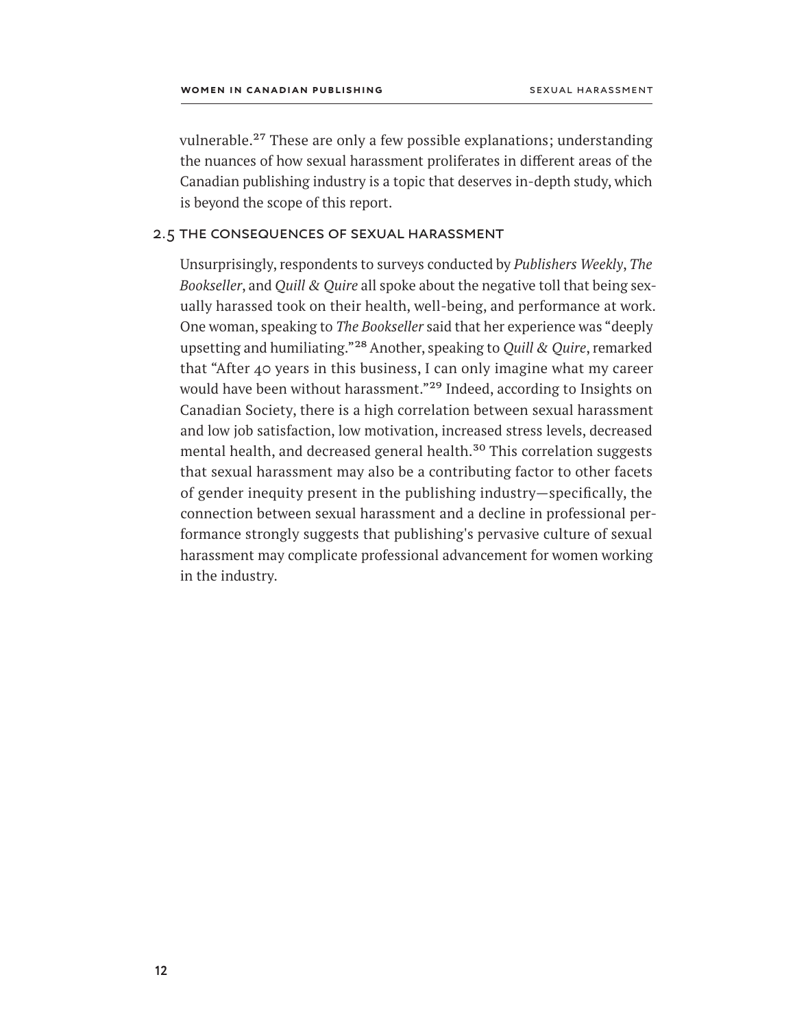vulnerable.27 These are only a few possible explanations; understanding the nuances of how sexual harassment proliferates in different areas of the Canadian publishing industry is a topic that deserves in-depth study, which is beyond the scope of this report.

# 2.5 the consequences of sexual harassment

Unsurprisingly, respondents to surveys conducted by *Publishers Weekly*, *The Bookseller*, and *Quill & Quire* all spoke about the negative toll that being sexually harassed took on their health, well-being, and performance at work. One woman, speaking to *The Bookseller* said that her experience was "deeply upsetting and humiliating."28 Another, speaking to *Quill & Quire*, remarked that "After 40 years in this business, I can only imagine what my career would have been without harassment."29 Indeed, according to Insights on Canadian Society, there is a high correlation between sexual harassment and low job satisfaction, low motivation, increased stress levels, decreased mental health, and decreased general health.<sup>30</sup> This correlation suggests that sexual harassment may also be a contributing factor to other facets of gender inequity present in the publishing industry—specifically, the connection between sexual harassment and a decline in professional performance strongly suggests that publishing's pervasive culture of sexual harassment may complicate professional advancement for women working in the industry.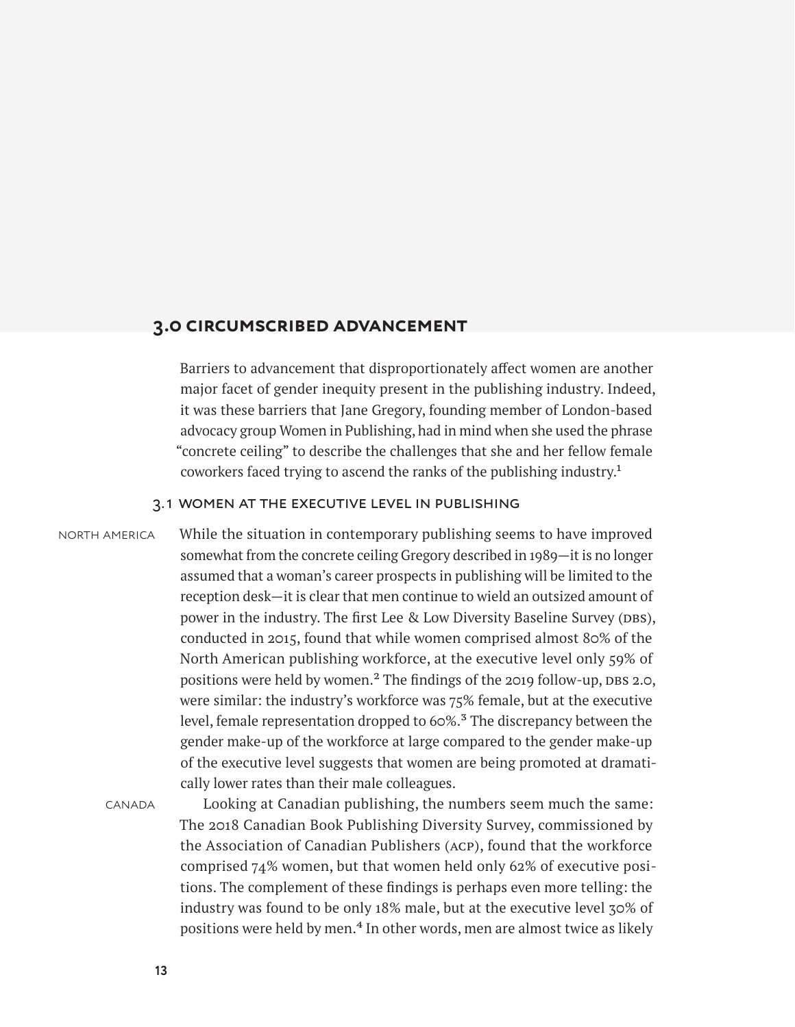# <span id="page-18-0"></span>**3.0 circumscribed advancement**

Barriers to advancement that disproportionately affect women are another major facet of gender inequity present in the publishing industry. Indeed, it was these barriers that Jane Gregory, founding member of London-based advocacy group Women in Publishing, had in mind when she used the phrase "concrete ceiling" to describe the challenges that she and her fellow female coworkers faced trying to ascend the ranks of the publishing industry.1

#### 3.1 women at the executive level in publishing

#### north america

While the situation in contemporary publishing seems to have improved somewhat from the concrete ceiling Gregory described in 1989—it is no longer assumed that a woman's career prospects in publishing will be limited to the reception desk—it is clear that men continue to wield an outsized amount of power in the industry. The first Lee & Low Diversity Baseline Survey (DBS), conducted in 2015, found that while women comprised almost 80% of the North American publishing workforce, at the executive level only 59% of positions were held by women.<sup>2</sup> The findings of the 2019 follow-up, DBS 2.0, were similar: the industry's workforce was 75% female, but at the executive level, female representation dropped to 60%.<sup>3</sup> The discrepancy between the gender make-up of the workforce at large compared to the gender make-up of the executive level suggests that women are being promoted at dramatically lower rates than their male colleagues.

**CANADA** 

Looking at Canadian publishing, the numbers seem much the same: The 2018 Canadian Book Publishing Diversity Survey, commissioned by the Association of Canadian Publishers (acp), found that the workforce comprised 74% women, but that women held only 62% of executive positions. The complement of these findings is perhaps even more telling: the industry was found to be only 18% male, but at the executive level 30% of positions were held by men.<sup>4</sup> In other words, men are almost twice as likely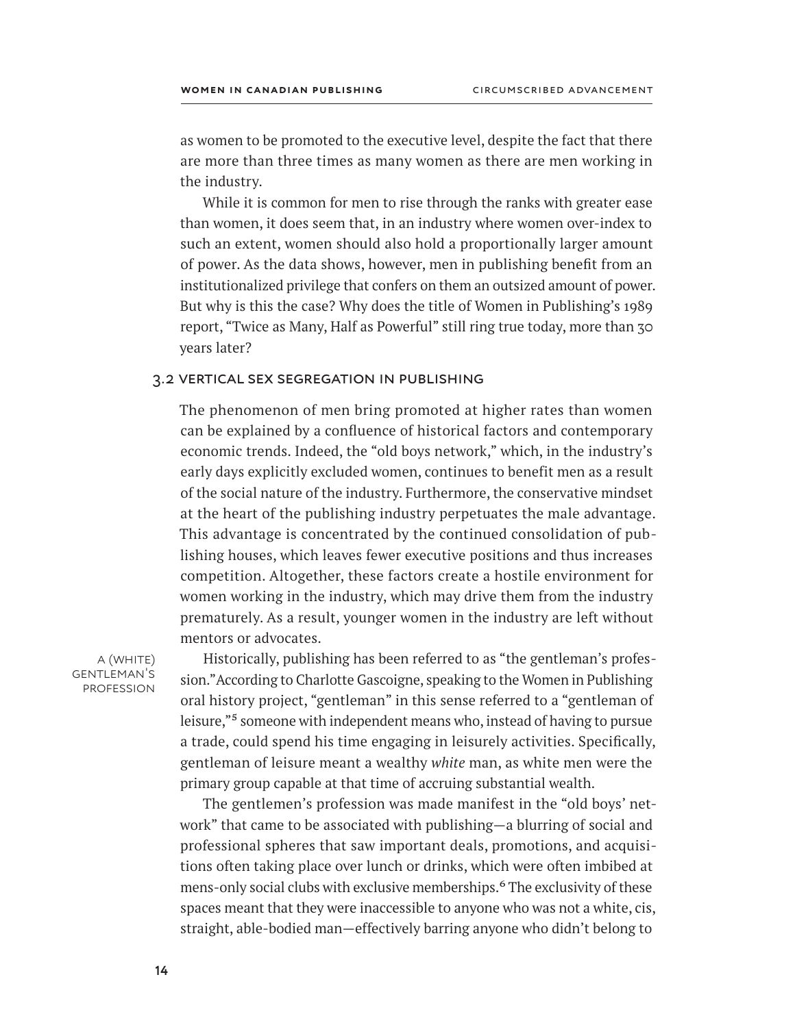as women to be promoted to the executive level, despite the fact that there are more than three times as many women as there are men working in the industry.

While it is common for men to rise through the ranks with greater ease than women, it does seem that, in an industry where women over-index to such an extent, women should also hold a proportionally larger amount of power. As the data shows, however, men in publishing benefit from an institutionalized privilege that confers on them an outsized amount of power. But why is this the case? Why does the title of Women in Publishing's 1989 report, "Twice as Many, Half as Powerful" still ring true today, more than 30 years later?

#### 3.2 vertical sex segregation in publishing

The phenomenon of men bring promoted at higher rates than women can be explained by a confluence of historical factors and contemporary economic trends. Indeed, the "old boys network," which, in the industry's early days explicitly excluded women, continues to benefit men as a result of the social nature of the industry. Furthermore, the conservative mindset at the heart of the publishing industry perpetuates the male advantage. This advantage is concentrated by the continued consolidation of publishing houses, which leaves fewer executive positions and thus increases competition. Altogether, these factors create a hostile environment for women working in the industry, which may drive them from the industry prematurely. As a result, younger women in the industry are left without mentors or advocates.

a (white) gentleman's **PROFESSION** 

Historically, publishing has been referred to as "the gentleman's profession." According to Charlotte Gascoigne, speaking to the Women in Publishing oral history project, "gentleman" in this sense referred to a "gentleman of leisure,"<sup>5</sup> someone with independent means who, instead of having to pursue a trade, could spend his time engaging in leisurely activities. Specifically, gentleman of leisure meant a wealthy *white* man, as white men were the primary group capable at that time of accruing substantial wealth.

The gentlemen's profession was made manifest in the "old boys' network" that came to be associated with publishing—a blurring of social and professional spheres that saw important deals, promotions, and acquisitions often taking place over lunch or drinks, which were often imbibed at mens-only social clubs with exclusive memberships.<sup>6</sup> The exclusivity of these spaces meant that they were inaccessible to anyone who was not a white, cis, straight, able-bodied man—effectively barring anyone who didn't belong to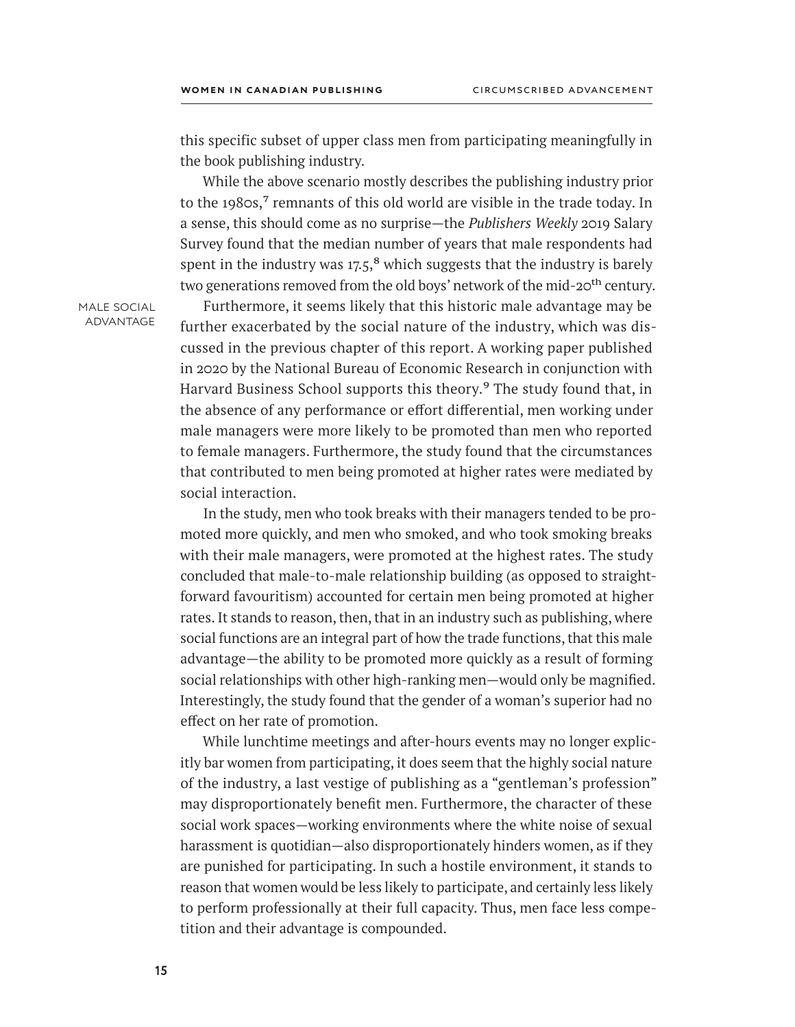this specific subset of upper class men from participating meaningfully in the book publishing industry.

While the above scenario mostly describes the publishing industry prior to the 1980s, $<sup>7</sup>$  remnants of this old world are visible in the trade today. In</sup> a sense, this should come as no surprise—the *Publishers Weekly* 2019 Salary Survey found that the median number of years that male respondents had spent in the industry was  $17.5$ <sup>8</sup> which suggests that the industry is barely two generations removed from the old boys' network of the mid-20<sup>th</sup> century.

male social advantage

Furthermore, it seems likely that this historic male advantage may be further exacerbated by the social nature of the industry, which was discussed in the previous chapter of this report. A working paper published in 2020 by the National Bureau of Economic Research in conjunction with Harvard Business School supports this theory.<sup>9</sup> The study found that, in the absence of any performance or effort differential, men working under male managers were more likely to be promoted than men who reported to female managers. Furthermore, the study found that the circumstances that contributed to men being promoted at higher rates were mediated by social interaction.

In the study, men who took breaks with their managers tended to be promoted more quickly, and men who smoked, and who took smoking breaks with their male managers, were promoted at the highest rates. The study concluded that male-to-male relationship building (as opposed to straightforward favouritism) accounted for certain men being promoted at higher rates. It stands to reason, then, that in an industry such as publishing, where social functions are an integral part of how the trade functions, that this male advantage—the ability to be promoted more quickly as a result of forming social relationships with other high-ranking men—would only be magnified. Interestingly, the study found that the gender of a woman's superior had no effect on her rate of promotion.

While lunchtime meetings and after-hours events may no longer explicitly bar women from participating, it does seem that the highly social nature of the industry, a last vestige of publishing as a "gentleman's profession" may disproportionately benefit men. Furthermore, the character of these social work spaces—working environments where the white noise of sexual harassment is quotidian—also disproportionately hinders women, as if they are punished for participating. In such a hostile environment, it stands to reason that women would be less likely to participate, and certainly less likely to perform professionally at their full capacity. Thus, men face less competition and their advantage is compounded.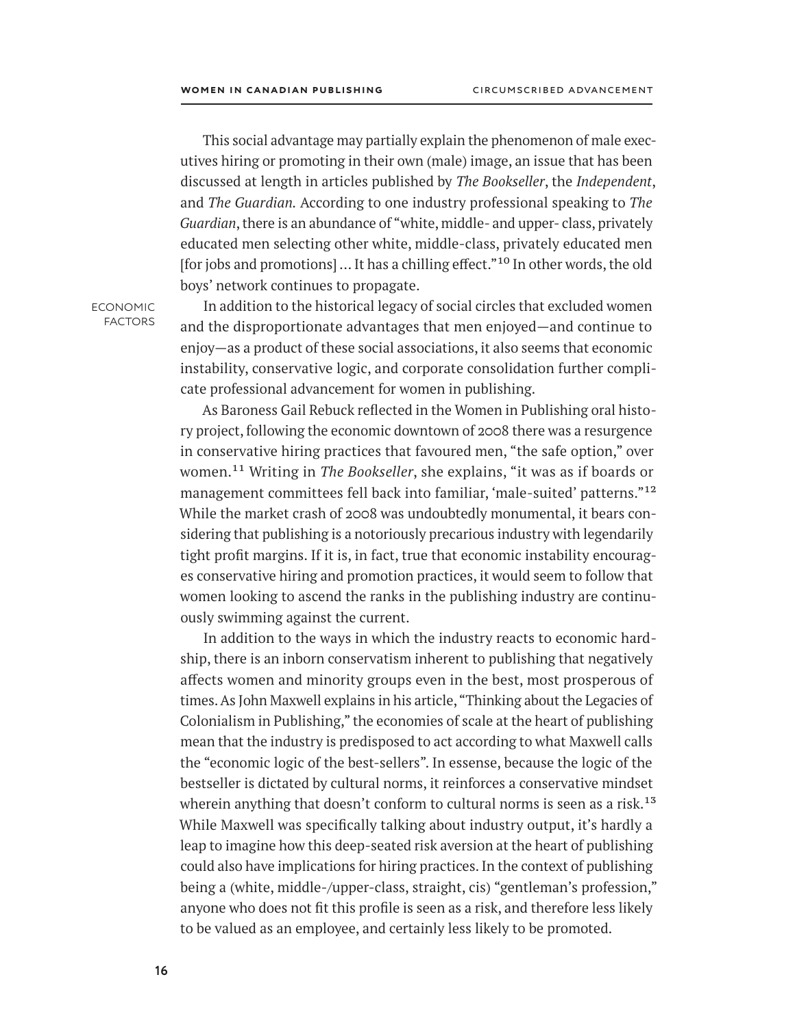This social advantage may partially explain the phenomenon of male executives hiring or promoting in their own (male) image, an issue that has been discussed at length in articles published by *The Bookseller*, the *Independent*, and *The Guardian.* According to one industry professional speaking to *The Guardian*, there is an abundance of "white, middle- and upper- class, privately educated men selecting other white, middle-class, privately educated men [for jobs and promotions] ... It has a chilling effect."10 In other words, the old boys' network continues to propagate.

economic factors

In addition to the historical legacy of social circles that excluded women and the disproportionate advantages that men enjoyed—and continue to enjoy—as a product of these social associations, it also seems that economic instability, conservative logic, and corporate consolidation further complicate professional advancement for women in publishing.

As Baroness Gail Rebuck reflected in the Women in Publishing oral history project, following the economic downtown of 2008 there was a resurgence in conservative hiring practices that favoured men, "the safe option," over women.11 Writing in *The Bookseller*, she explains, "it was as if boards or management committees fell back into familiar, 'male-suited' patterns."12 While the market crash of 2008 was undoubtedly monumental, it bears considering that publishing is a notoriously precarious industry with legendarily tight profit margins. If it is, in fact, true that economic instability encourages conservative hiring and promotion practices, it would seem to follow that women looking to ascend the ranks in the publishing industry are continuously swimming against the current.

In addition to the ways in which the industry reacts to economic hardship, there is an inborn conservatism inherent to publishing that negatively affects women and minority groups even in the best, most prosperous of times. As John Maxwell explains in his article, "Thinking about the Legacies of Colonialism in Publishing," the economies of scale at the heart of publishing mean that the industry is predisposed to act according to what Maxwell calls the "economic logic of the best-sellers". In essense, because the logic of the bestseller is dictated by cultural norms, it reinforces a conservative mindset wherein anything that doesn't conform to cultural norms is seen as a risk.<sup>13</sup> While Maxwell was specifically talking about industry output, it's hardly a leap to imagine how this deep-seated risk aversion at the heart of publishing could also have implications for hiring practices. In the context of publishing being a (white, middle-/upper-class, straight, cis) "gentleman's profession," anyone who does not fit this profile is seen as a risk, and therefore less likely to be valued as an employee, and certainly less likely to be promoted.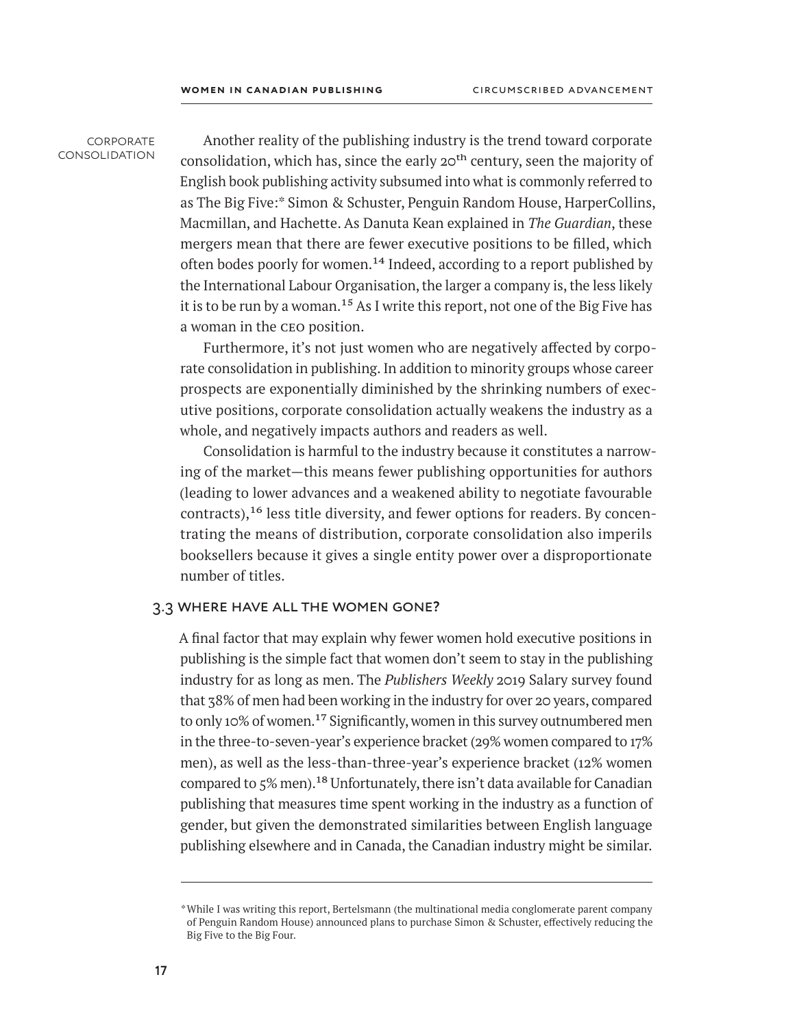#### **CORPORATE** consolidation

Another reality of the publishing industry is the trend toward corporate consolidation, which has, since the early  $20<sup>th</sup>$  century, seen the majority of English book publishing activity subsumed into what is commonly referred to as The Big Five:\* Simon & Schuster, Penguin Random House, HarperCollins, Macmillan, and Hachette. As Danuta Kean explained in *The Guardian*, these mergers mean that there are fewer executive positions to be filled, which often bodes poorly for women.<sup>14</sup> Indeed, according to a report published by the International Labour Organisation, the larger a company is, the less likely it is to be run by a woman.<sup>15</sup> As I write this report, not one of the Big Five has a woman in the ceo position.

Furthermore, it's not just women who are negatively affected by corporate consolidation in publishing. In addition to minority groups whose career prospects are exponentially diminished by the shrinking numbers of executive positions, corporate consolidation actually weakens the industry as a whole, and negatively impacts authors and readers as well.

Consolidation is harmful to the industry because it constitutes a narrowing of the market—this means fewer publishing opportunities for authors (leading to lower advances and a weakened ability to negotiate favourable contracts),16 less title diversity, and fewer options for readers. By concentrating the means of distribution, corporate consolidation also imperils booksellers because it gives a single entity power over a disproportionate number of titles.

# 3.3 where have all the women gone**?**

A final factor that may explain why fewer women hold executive positions in publishing is the simple fact that women don't seem to stay in the publishing industry for as long as men. The *Publishers Weekly* 2019 Salary survey found that 38% of men had been working in the industry for over 20 years, compared to only 10% of women.<sup>17</sup> Significantly, women in this survey outnumbered men in the three-to-seven-year's experience bracket (29% women compared to 17% men), as well as the less-than-three-year's experience bracket (12% women compared to 5% men).<sup>18</sup> Unfortunately, there isn't data available for Canadian publishing that measures time spent working in the industry as a function of gender, but given the demonstrated similarities between English language publishing elsewhere and in Canada, the Canadian industry might be similar.

<sup>\*</sup>While I was writing this report, Bertelsmann (the multinational media conglomerate parent company of Penguin Random House) announced plans to purchase Simon & Schuster, effectively reducing the Big Five to the Big Four.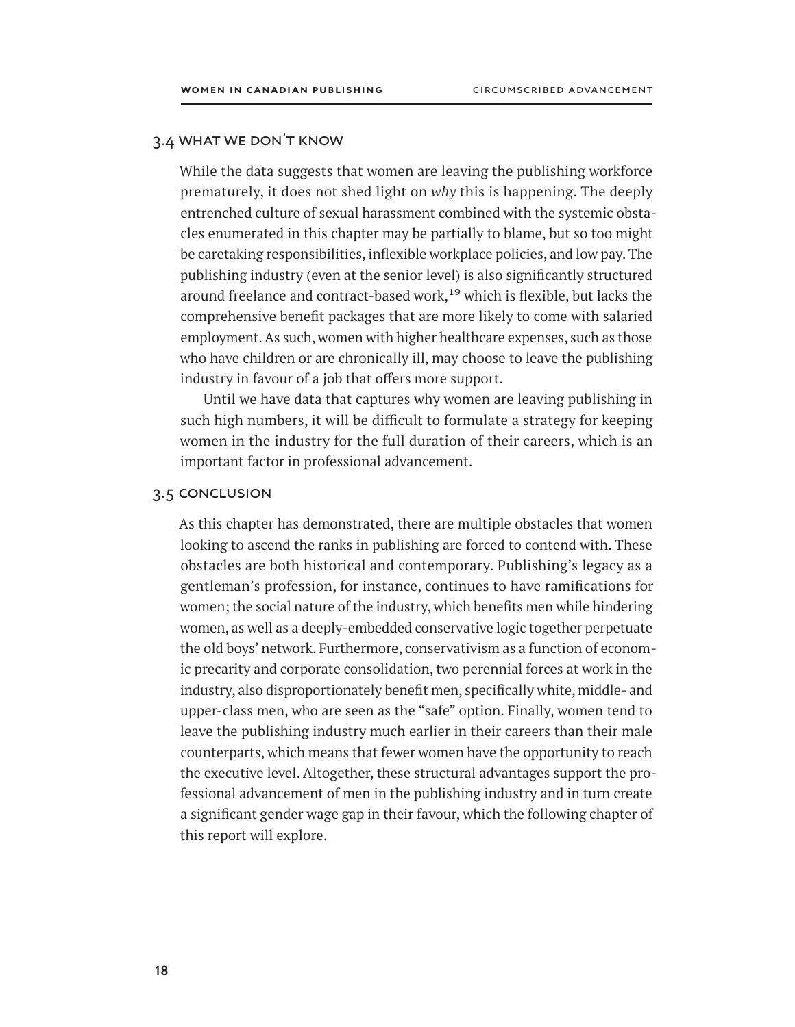# 3.4 what we don't know

While the data suggests that women are leaving the publishing workforce prematurely, it does not shed light on *why* this is happening. The deeply entrenched culture of sexual harassment combined with the systemic obstacles enumerated in this chapter may be partially to blame, but so too might be caretaking responsibilities, inflexible workplace policies, and low pay. The publishing industry (even at the senior level) is also significantly structured around freelance and contract-based work,<sup>19</sup> which is flexible, but lacks the comprehensive benefit packages that are more likely to come with salaried employment. As such, women with higher healthcare expenses, such as those who have children or are chronically ill, may choose to leave the publishing industry in favour of a job that offers more support.

Until we have data that captures why women are leaving publishing in such high numbers, it will be difficult to formulate a strategy for keeping women in the industry for the full duration of their careers, which is an important factor in professional advancement.

#### 3.5 conclusion

As this chapter has demonstrated, there are multiple obstacles that women looking to ascend the ranks in publishing are forced to contend with. These obstacles are both historical and contemporary. Publishing's legacy as a gentleman's profession, for instance, continues to have ramifications for women; the social nature of the industry, which benefits men while hindering women, as well as a deeply-embedded conservative logic together perpetuate the old boys' network. Furthermore, conservativism as a function of economic precarity and corporate consolidation, two perennial forces at work in the industry, also disproportionately benefit men, specifically white, middle- and upper-class men, who are seen as the "safe" option. Finally, women tend to leave the publishing industry much earlier in their careers than their male counterparts, which means that fewer women have the opportunity to reach the executive level. Altogether, these structural advantages support the professional advancement of men in the publishing industry and in turn create a significant gender wage gap in their favour, which the following chapter of this report will explore.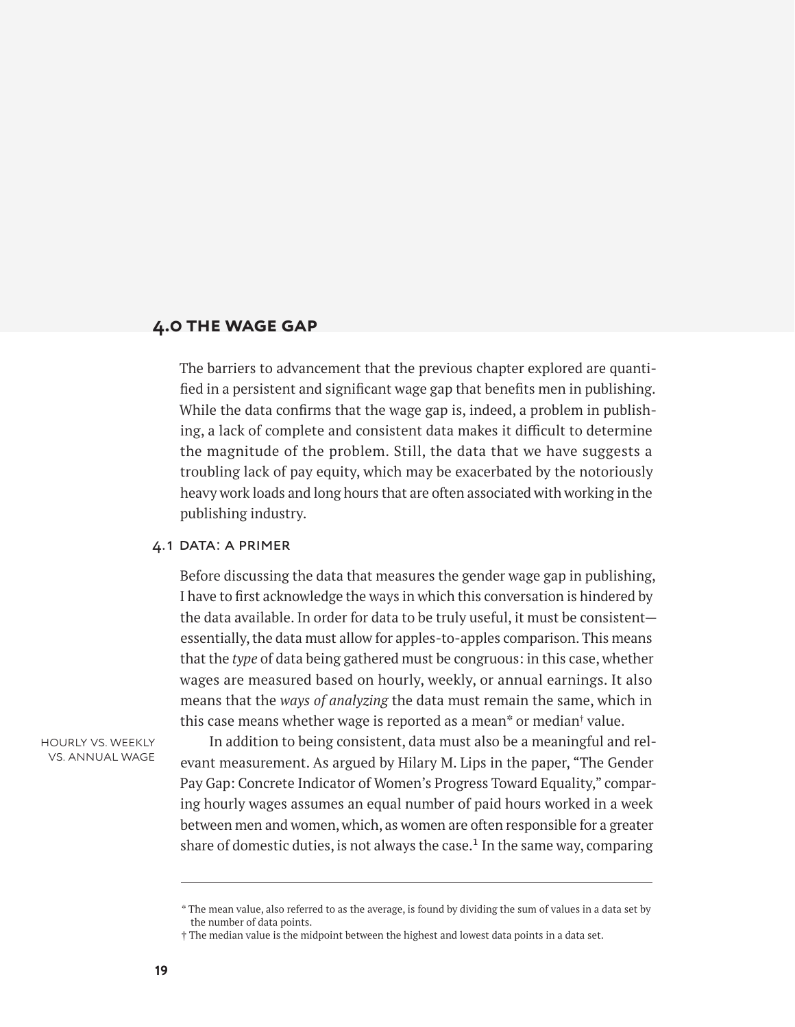# <span id="page-24-0"></span>**4.0 the wage gap**

The barriers to advancement that the previous chapter explored are quantified in a persistent and significant wage gap that benefits men in publishing. While the data confirms that the wage gap is, indeed, a problem in publishing, a lack of complete and consistent data makes it difficult to determine the magnitude of the problem. Still, the data that we have suggests a troubling lack of pay equity, which may be exacerbated by the notoriously heavy work loads and long hours that are often associated with working in the publishing industry.

## 4.1 data: a primer

Before discussing the data that measures the gender wage gap in publishing, I have to first acknowledge the ways in which this conversation is hindered by the data available. In order for data to be truly useful, it must be consistent essentially, the data must allow for apples-to-apples comparison. This means that the *type* of data being gathered must be congruous: in this case, whether wages are measured based on hourly, weekly, or annual earnings. It also means that the *ways of analyzing* the data must remain the same, which in this case means whether wage is reported as a mean\* or median† value.

hourly vs. weekly vs. annual wage

In addition to being consistent, data must also be a meaningful and relevant measurement. As argued by Hilary M. Lips in the paper, "The Gender Pay Gap: Concrete Indicator of Women's Progress Toward Equality," comparing hourly wages assumes an equal number of paid hours worked in a week between men and women, which, as women are often responsible for a greater share of domestic duties, is not always the case.<sup>1</sup> In the same way, comparing

<sup>\*</sup> The mean value, also referred to as the average, is found by dividing the sum of values in a data set by the number of data points.

<sup>†</sup> The median value is the midpoint between the highest and lowest data points in a data set.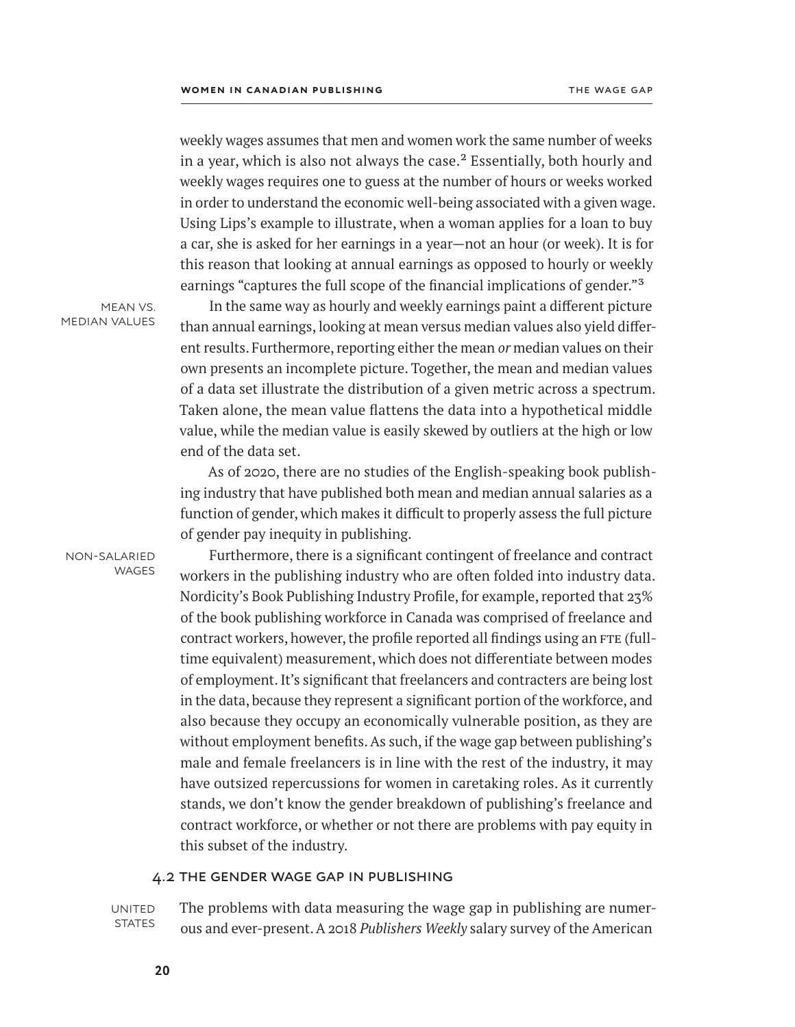weekly wages assumes that men and women work the same number of weeks in a year, which is also not always the case. $<sup>2</sup>$  Essentially, both hourly and</sup> weekly wages requires one to guess at the number of hours or weeks worked in order to understand the economic well-being associated with a given wage. Using Lips's example to illustrate, when a woman applies for a loan to buy a car, she is asked for her earnings in a year—not an hour (or week). It is for this reason that looking at annual earnings as opposed to hourly or weekly earnings "captures the full scope of the financial implications of gender."3

mean vs. median values

In the same way as hourly and weekly earnings paint a different picture than annual earnings, looking at mean versus median values also yield different results. Furthermore, reporting either the mean *or* median values on their own presents an incomplete picture. Together, the mean and median values of a data set illustrate the distribution of a given metric across a spectrum. Taken alone, the mean value flattens the data into a hypothetical middle value, while the median value is easily skewed by outliers at the high or low end of the data set.

As of 2020, there are no studies of the English-speaking book publishing industry that have published both mean and median annual salaries as a function of gender, which makes it difficult to properly assess the full picture of gender pay inequity in publishing.

non-salaried **WAGES** 

Furthermore, there is a significant contingent of freelance and contract workers in the publishing industry who are often folded into industry data. Nordicity's Book Publishing Industry Profile, for example, reported that 23% of the book publishing workforce in Canada was comprised of freelance and contract workers, however, the profile reported all findings using an FTE (fulltime equivalent) measurement, which does not differentiate between modes of employment. It's significant that freelancers and contracters are being lost in the data, because they represent a significant portion of the workforce, and also because they occupy an economically vulnerable position, as they are without employment benefits. As such, if the wage gap between publishing's male and female freelancers is in line with the rest of the industry, it may have outsized repercussions for women in caretaking roles. As it currently stands, we don't know the gender breakdown of publishing's freelance and contract workforce, or whether or not there are problems with pay equity in this subset of the industry.

# 4.2 the gender wage gap in publishing

**UNITED STATES**  The problems with data measuring the wage gap in publishing are numerous and ever-present. A 2018 *Publishers Weekly* salary survey of the American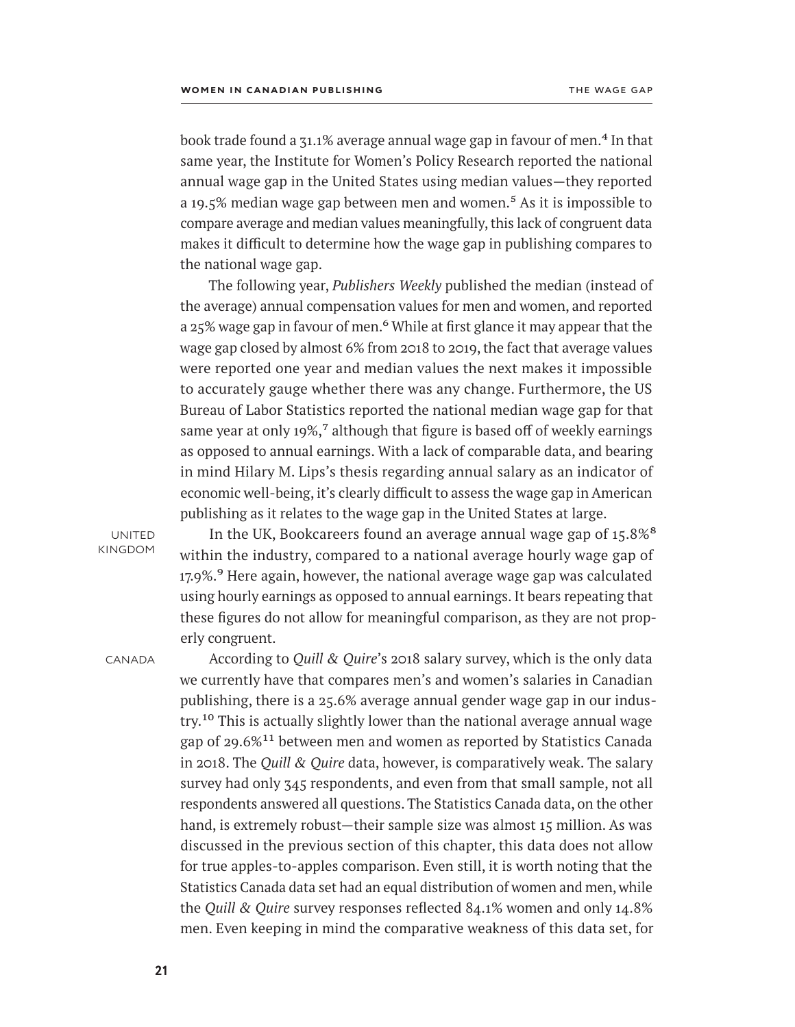book trade found a  $31.1\%$  average annual wage gap in favour of men.<sup>4</sup> In that same year, the Institute for Women's Policy Research reported the national annual wage gap in the United States using median values—they reported a 19.5% median wage gap between men and women.<sup>5</sup> As it is impossible to compare average and median values meaningfully, this lack of congruent data makes it difficult to determine how the wage gap in publishing compares to the national wage gap.

The following year, *Publishers Weekly* published the median (instead of the average) annual compensation values for men and women, and reported a 25% wage gap in favour of men.<sup>6</sup> While at first glance it may appear that the wage gap closed by almost 6% from 2018 to 2019, the fact that average values were reported one year and median values the next makes it impossible to accurately gauge whether there was any change. Furthermore, the US Bureau of Labor Statistics reported the national median wage gap for that same year at only 19%, $\frac{7}{7}$  although that figure is based off of weekly earnings as opposed to annual earnings. With a lack of comparable data, and bearing in mind Hilary M. Lips's thesis regarding annual salary as an indicator of economic well-being, it's clearly difficult to assess the wage gap in American publishing as it relates to the wage gap in the United States at large.

**UNITED** kingdom

In the UK, Bookcareers found an average annual wage gap of 15.8%<sup>8</sup> within the industry, compared to a national average hourly wage gap of 17.9%.<sup>9</sup> Here again, however, the national average wage gap was calculated using hourly earnings as opposed to annual earnings. It bears repeating that these figures do not allow for meaningful comparison, as they are not properly congruent.

**CANADA** 

According to *Quill & Quire*'s 2018 salary survey, which is the only data we currently have that compares men's and women's salaries in Canadian publishing, there is a 25.6% average annual gender wage gap in our industry.<sup>10</sup> This is actually slightly lower than the national average annual wage gap of 29.6%<sup>11</sup> between men and women as reported by Statistics Canada in 2018. The *Quill & Quire* data, however, is comparatively weak. The salary survey had only 345 respondents, and even from that small sample, not all respondents answered all questions. The Statistics Canada data, on the other hand, is extremely robust—their sample size was almost 15 million. As was discussed in the previous section of this chapter, this data does not allow for true apples-to-apples comparison. Even still, it is worth noting that the Statistics Canada data set had an equal distribution of women and men, while the *Quill & Quire* survey responses reflected 84.1% women and only 14.8% men. Even keeping in mind the comparative weakness of this data set, for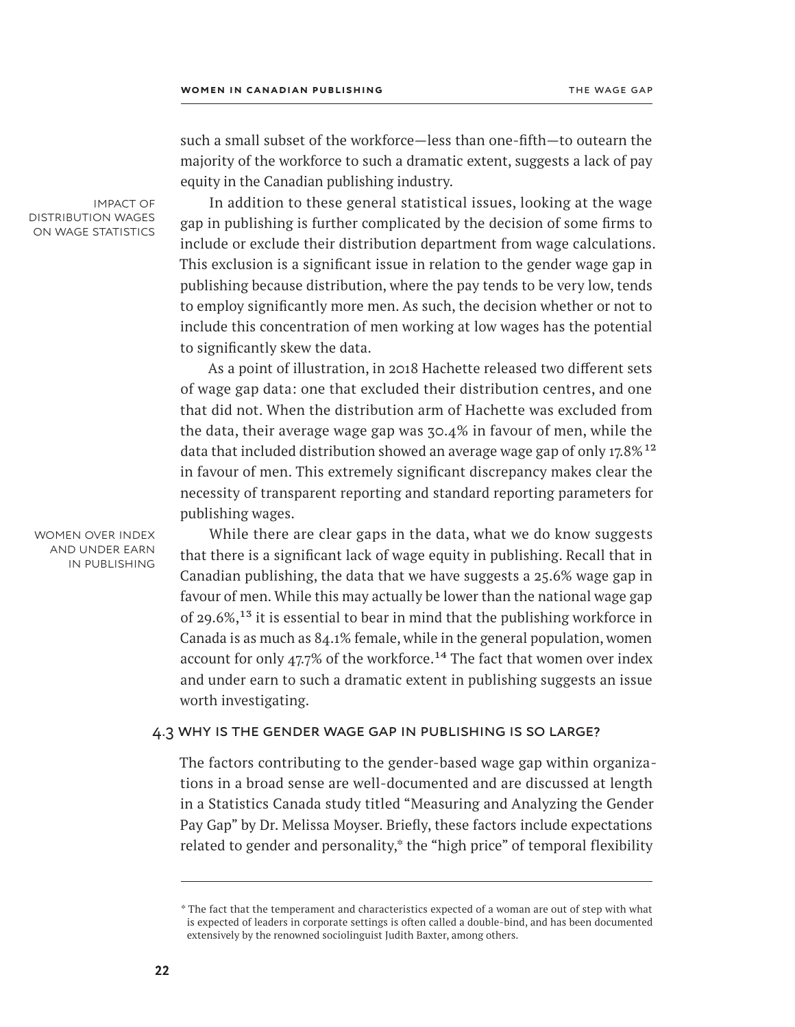such a small subset of the workforce—less than one-fifth—to outearn the majority of the workforce to such a dramatic extent, suggests a lack of pay equity in the Canadian publishing industry.

impact of distribution wages on wage statistics

In addition to these general statistical issues, looking at the wage gap in publishing is further complicated by the decision of some firms to include or exclude their distribution department from wage calculations. This exclusion is a significant issue in relation to the gender wage gap in publishing because distribution, where the pay tends to be very low, tends to employ significantly more men. As such, the decision whether or not to include this concentration of men working at low wages has the potential to significantly skew the data.

As a point of illustration, in 2018 Hachette released two different sets of wage gap data: one that excluded their distribution centres, and one that did not. When the distribution arm of Hachette was excluded from the data, their average wage gap was 30.4% in favour of men, while the data that included distribution showed an average wage gap of only  $17.8\%$ <sup>12</sup> in favour of men. This extremely significant discrepancy makes clear the necessity of transparent reporting and standard reporting parameters for publishing wages.

While there are clear gaps in the data, what we do know suggests that there is a significant lack of wage equity in publishing. Recall that in Canadian publishing, the data that we have suggests a 25.6% wage gap in favour of men. While this may actually be lower than the national wage gap of 29.6%,13 it is essential to bear in mind that the publishing workforce in Canada is as much as 84.1% female, while in the general population, women account for only 47.7% of the workforce.<sup>14</sup> The fact that women over index and under earn to such a dramatic extent in publishing suggests an issue worth investigating.

#### 4.3 why is the gender wage gap in publishing is so large?

The factors contributing to the gender-based wage gap within organizations in a broad sense are well-documented and are discussed at length in a Statistics Canada study titled "Measuring and Analyzing the Gender Pay Gap" by Dr. Melissa Moyser. Briefly, these factors include expectations related to gender and personality,\* the "high price" of temporal flexibility

women over index and under earn in publishing

<sup>\*</sup> The fact that the temperament and characteristics expected of a woman are out of step with what is expected of leaders in corporate settings is often called a double-bind, and has been documented extensively by the renowned sociolinguist Judith Baxter, among others.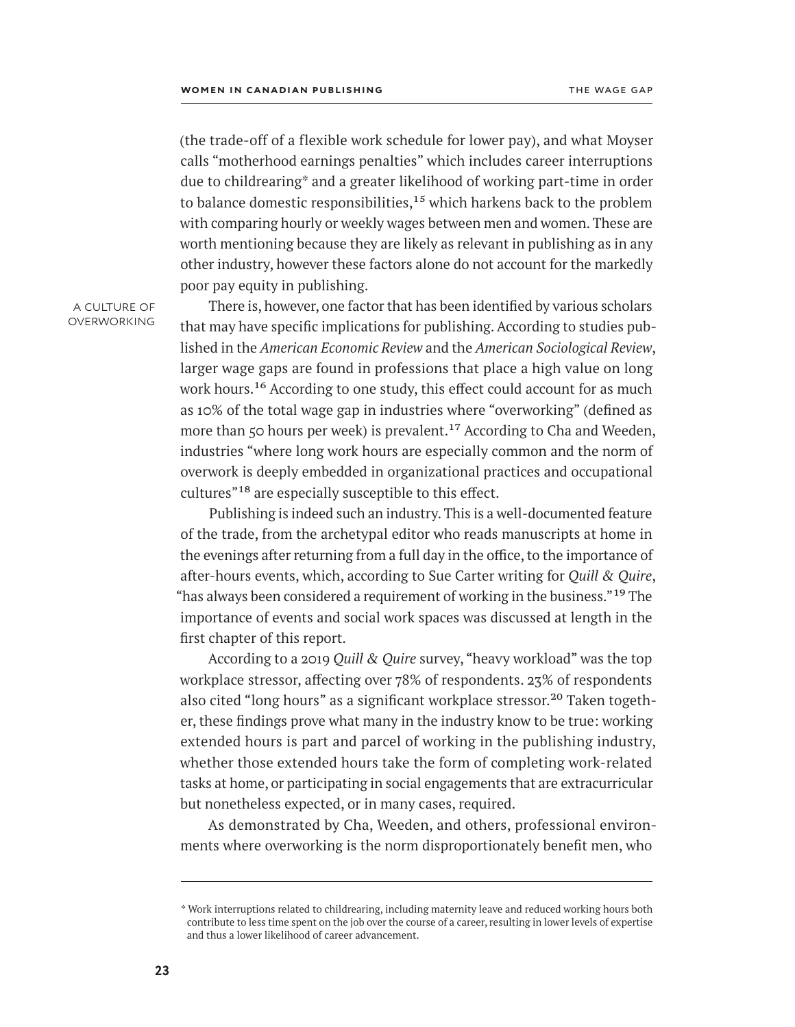(the trade-off of a flexible work schedule for lower pay), and what Moyser calls "motherhood earnings penalties" which includes career interruptions due to childrearing\* and a greater likelihood of working part-time in order to balance domestic responsibilities,  $15$  which harkens back to the problem with comparing hourly or weekly wages between men and women. These are worth mentioning because they are likely as relevant in publishing as in any other industry, however these factors alone do not account for the markedly poor pay equity in publishing.

a culture of overworking

There is, however, one factor that has been identified by various scholars that may have specific implications for publishing. According to studies published in the *American Economic Review* and the *American Sociological Review*, larger wage gaps are found in professions that place a high value on long work hours.<sup>16</sup> According to one study, this effect could account for as much as 10% of the total wage gap in industries where "overworking" (defined as more than 50 hours per week) is prevalent.<sup>17</sup> According to Cha and Weeden, industries "where long work hours are especially common and the norm of overwork is deeply embedded in organizational practices and occupational cultures"18 are especially susceptible to this effect.

Publishing is indeed such an industry. This is a well-documented feature of the trade, from the archetypal editor who reads manuscripts at home in the evenings after returning from a full day in the office, to the importance of after-hours events, which, according to Sue Carter writing for *Quill & Quire*, "has always been considered a requirement of working in the business."19 The importance of events and social work spaces was discussed at length in the first chapter of this report.

According to a 2019 *Quill & Quire* survey, "heavy workload" was the top workplace stressor, affecting over 78% of respondents. 23% of respondents also cited "long hours" as a significant workplace stressor.<sup>20</sup> Taken together, these findings prove what many in the industry know to be true: working extended hours is part and parcel of working in the publishing industry, whether those extended hours take the form of completing work-related tasks at home, or participating in social engagements that are extracurricular but nonetheless expected, or in many cases, required.

As demonstrated by Cha, Weeden, and others, professional environments where overworking is the norm disproportionately benefit men, who

<sup>\*</sup> Work interruptions related to childrearing, including maternity leave and reduced working hours both contribute to less time spent on the job over the course of a career, resulting in lower levels of expertise and thus a lower likelihood of career advancement.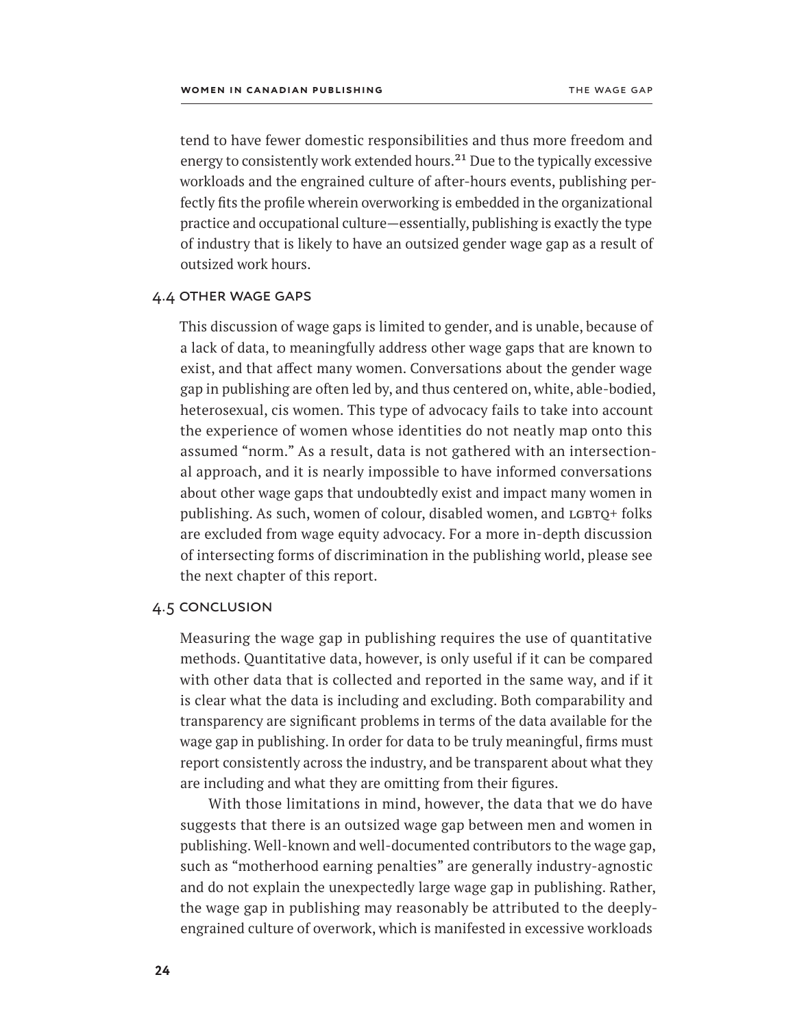tend to have fewer domestic responsibilities and thus more freedom and energy to consistently work extended hours.<sup>21</sup> Due to the typically excessive workloads and the engrained culture of after-hours events, publishing perfectly fits the profile wherein overworking is embedded in the organizational practice and occupational culture—essentially, publishing is exactly the type of industry that is likely to have an outsized gender wage gap as a result of outsized work hours.

### 4.4 other wage gaps

This discussion of wage gaps is limited to gender, and is unable, because of a lack of data, to meaningfully address other wage gaps that are known to exist, and that affect many women. Conversations about the gender wage gap in publishing are often led by, and thus centered on, white, able-bodied, heterosexual, cis women. This type of advocacy fails to take into account the experience of women whose identities do not neatly map onto this assumed "norm." As a result, data is not gathered with an intersectional approach, and it is nearly impossible to have informed conversations about other wage gaps that undoubtedly exist and impact many women in publishing. As such, women of colour, disabled women, and LGBTQ+ folks are excluded from wage equity advocacy. For a more in-depth discussion of intersecting forms of discrimination in the publishing world, please see the next chapter of this report.

#### 4.5 conclusion

Measuring the wage gap in publishing requires the use of quantitative methods. Quantitative data, however, is only useful if it can be compared with other data that is collected and reported in the same way, and if it is clear what the data is including and excluding. Both comparability and transparency are significant problems in terms of the data available for the wage gap in publishing. In order for data to be truly meaningful, firms must report consistently across the industry, and be transparent about what they are including and what they are omitting from their figures.

With those limitations in mind, however, the data that we do have suggests that there is an outsized wage gap between men and women in publishing. Well-known and well-documented contributors to the wage gap, such as "motherhood earning penalties" are generally industry-agnostic and do not explain the unexpectedly large wage gap in publishing. Rather, the wage gap in publishing may reasonably be attributed to the deeplyengrained culture of overwork, which is manifested in excessive workloads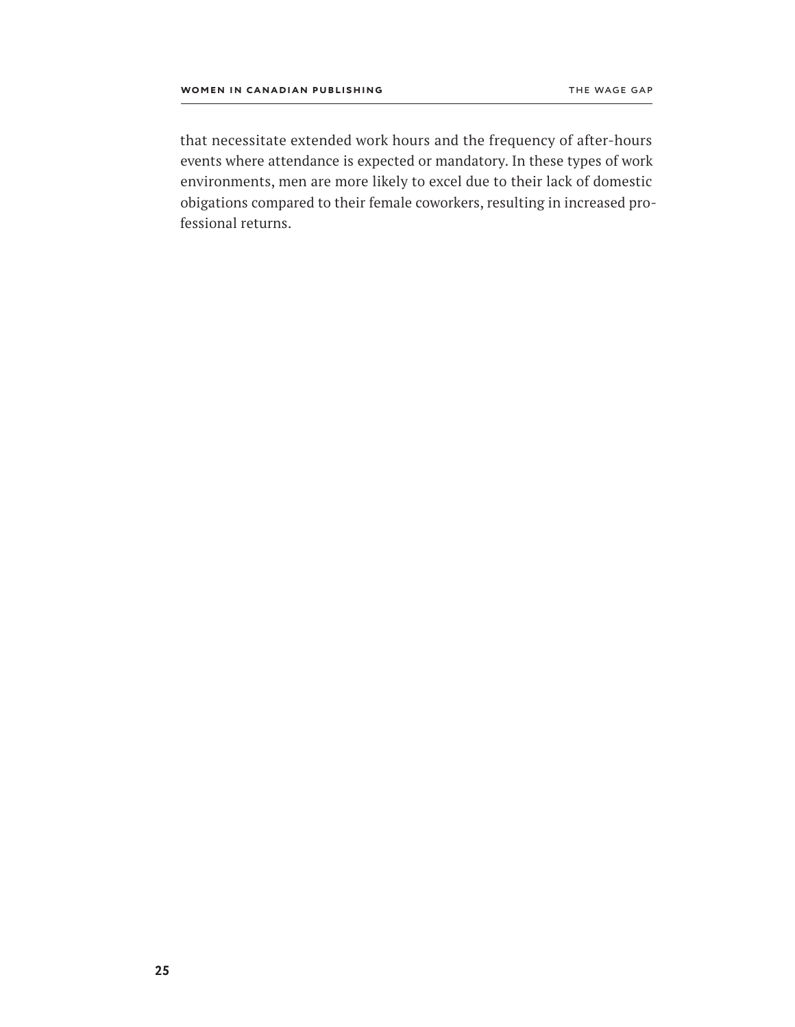that necessitate extended work hours and the frequency of after-hours events where attendance is expected or mandatory. In these types of work environments, men are more likely to excel due to their lack of domestic obigations compared to their female coworkers, resulting in increased professional returns.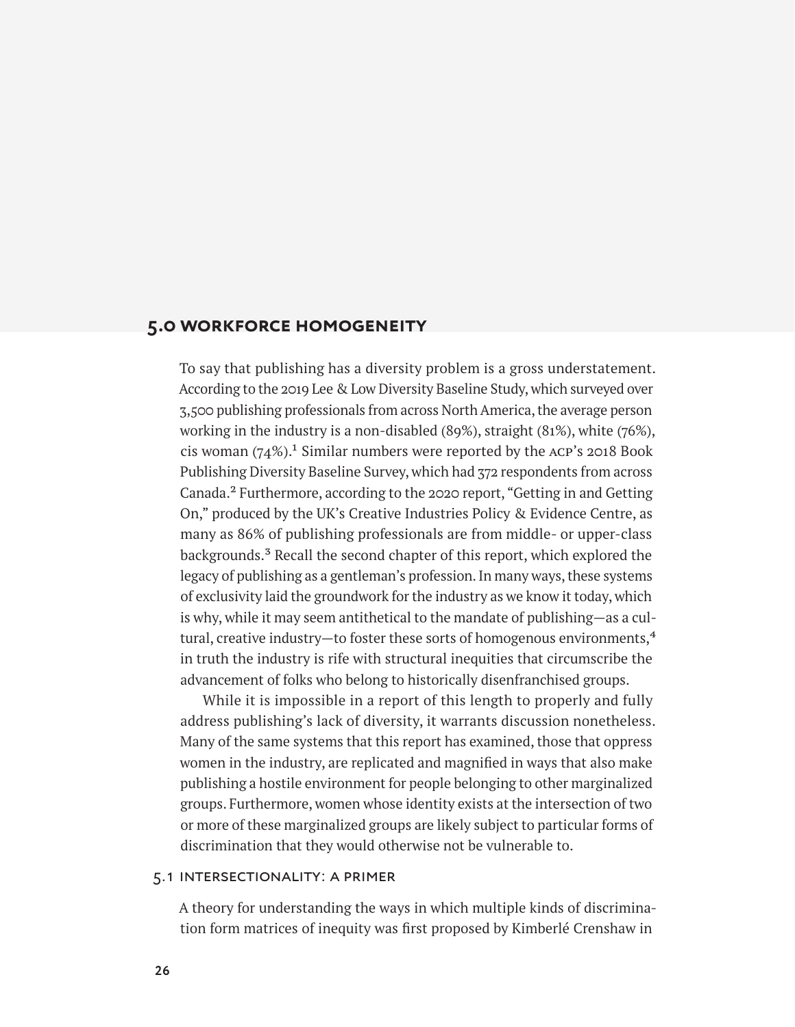# <span id="page-31-0"></span>**5.0 workforce homogeneity**

To say that publishing has a diversity problem is a gross understatement. According to the 2019 Lee & Low Diversity Baseline Study, which surveyed over 3,500 publishing professionals from across North America, the average person working in the industry is a non-disabled (89%), straight (81%), white (76%), cis woman  $(74\%)$ .<sup>1</sup> Similar numbers were reported by the ACP's 2018 Book Publishing Diversity Baseline Survey, which had 372 respondents from across Canada.2 Furthermore, according to the 2020 report, "Getting in and Getting On," produced by the UK's Creative Industries Policy & Evidence Centre, as many as 86% of publishing professionals are from middle- or upper-class backgrounds.<sup>3</sup> Recall the second chapter of this report, which explored the legacy of publishing as a gentleman's profession. In many ways, these systems of exclusivity laid the groundwork for the industry as we know it today, which is why, while it may seem antithetical to the mandate of publishing—as a cultural, creative industry—to foster these sorts of homogenous environments, $4$ in truth the industry is rife with structural inequities that circumscribe the advancement of folks who belong to historically disenfranchised groups.

While it is impossible in a report of this length to properly and fully address publishing's lack of diversity, it warrants discussion nonetheless. Many of the same systems that this report has examined, those that oppress women in the industry, are replicated and magnified in ways that also make publishing a hostile environment for people belonging to other marginalized groups. Furthermore, women whose identity exists at the intersection of two or more of these marginalized groups are likely subject to particular forms of discrimination that they would otherwise not be vulnerable to.

# 5.1 intersectionality: a primer

A theory for understanding the ways in which multiple kinds of discrimination form matrices of inequity was first proposed by Kimberlé Crenshaw in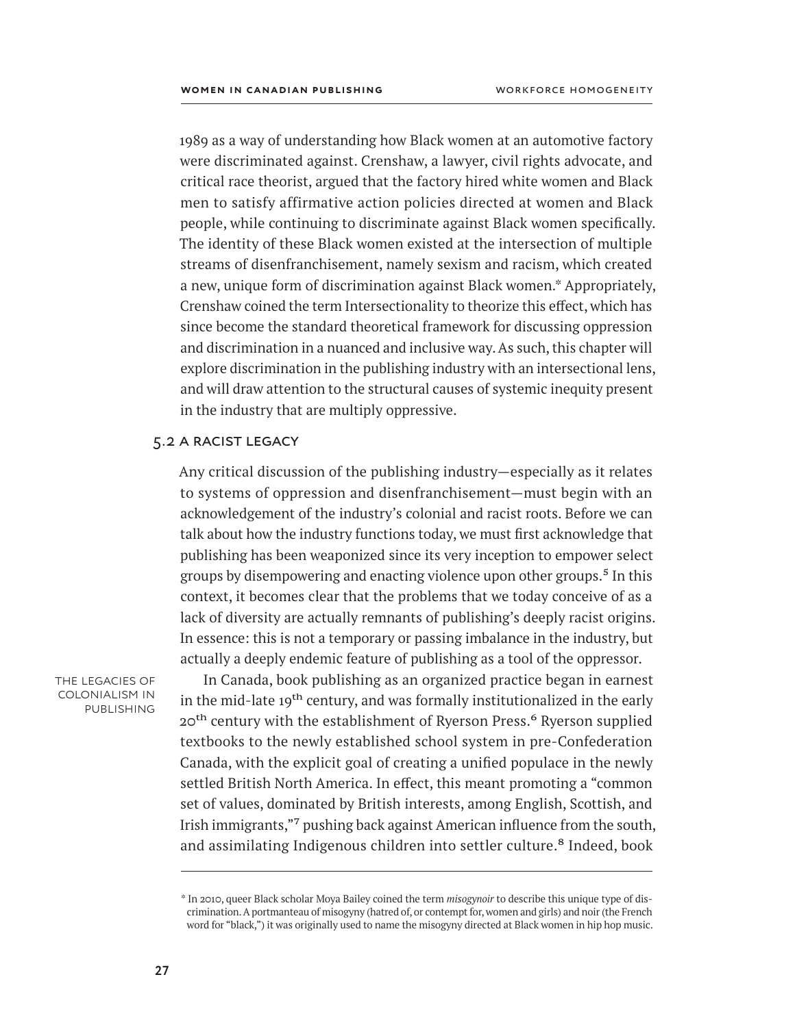1989 as a way of understanding how Black women at an automotive factory were discriminated against. Crenshaw, a lawyer, civil rights advocate, and critical race theorist, argued that the factory hired white women and Black men to satisfy affirmative action policies directed at women and Black people, while continuing to discriminate against Black women specifically. The identity of these Black women existed at the intersection of multiple streams of disenfranchisement, namely sexism and racism, which created a new, unique form of discrimination against Black women.\* Appropriately, Crenshaw coined the term Intersectionality to theorize this effect, which has since become the standard theoretical framework for discussing oppression and discrimination in a nuanced and inclusive way. As such, this chapter will explore discrimination in the publishing industry with an intersectional lens, and will draw attention to the structural causes of systemic inequity present in the industry that are multiply oppressive.

### 5.2 a racist legacy

Any critical discussion of the publishing industry—especially as it relates to systems of oppression and disenfranchisement—must begin with an acknowledgement of the industry's colonial and racist roots. Before we can talk about how the industry functions today, we must first acknowledge that publishing has been weaponized since its very inception to empower select groups by disempowering and enacting violence upon other groups.<sup>5</sup> In this context, it becomes clear that the problems that we today conceive of as a lack of diversity are actually remnants of publishing's deeply racist origins. In essence: this is not a temporary or passing imbalance in the industry, but actually a deeply endemic feature of publishing as a tool of the oppressor.

the legacies of colonialism in **PUBLISHING** 

In Canada, book publishing as an organized practice began in earnest in the mid-late 19<sup>th</sup> century, and was formally institutionalized in the early 20<sup>th</sup> century with the establishment of Ryerson Press.<sup>6</sup> Ryerson supplied textbooks to the newly established school system in pre-Confederation Canada, with the explicit goal of creating a unified populace in the newly settled British North America. In effect, this meant promoting a "common set of values, dominated by British interests, among English, Scottish, and Irish immigrants,"7 pushing back against American influence from the south, and assimilating Indigenous children into settler culture.<sup>8</sup> Indeed, book

<sup>\*</sup> In 2010, queer Black scholar Moya Bailey coined the term *misogynoir* to describe this unique type of discrimination. A portmanteau of misogyny (hatred of, or contempt for, women and girls) and noir (the French word for "black,") it was originally used to name the misogyny directed at Black women in hip hop music.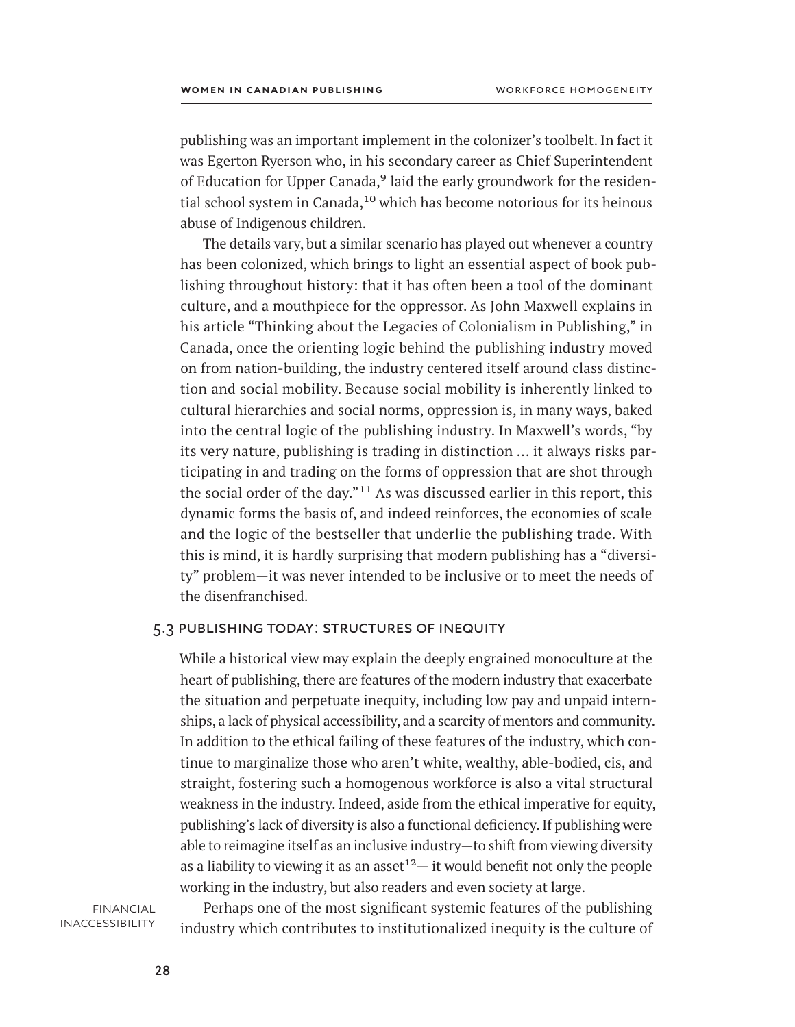publishing was an important implement in the colonizer's toolbelt. In fact it was Egerton Ryerson who, in his secondary career as Chief Superintendent of Education for Upper Canada,<sup>9</sup> laid the early groundwork for the residential school system in Canada,<sup>10</sup> which has become notorious for its heinous abuse of Indigenous children.

The details vary, but a similar scenario has played out whenever a country has been colonized, which brings to light an essential aspect of book publishing throughout history: that it has often been a tool of the dominant culture, and a mouthpiece for the oppressor. As John Maxwell explains in his article "Thinking about the Legacies of Colonialism in Publishing," in Canada, once the orienting logic behind the publishing industry moved on from nation-building, the industry centered itself around class distinction and social mobility. Because social mobility is inherently linked to cultural hierarchies and social norms, oppression is, in many ways, baked into the central logic of the publishing industry. In Maxwell's words, "by its very nature, publishing is trading in distinction ... it always risks participating in and trading on the forms of oppression that are shot through the social order of the day."11 As was discussed earlier in this report, this dynamic forms the basis of, and indeed reinforces, the economies of scale and the logic of the bestseller that underlie the publishing trade. With this is mind, it is hardly surprising that modern publishing has a "diversity" problem—it was never intended to be inclusive or to meet the needs of the disenfranchised.

# 5.3 publishing today: structures of inequity

While a historical view may explain the deeply engrained monoculture at the heart of publishing, there are features of the modern industry that exacerbate the situation and perpetuate inequity, including low pay and unpaid internships, a lack of physical accessibility, and a scarcity of mentors and community. In addition to the ethical failing of these features of the industry, which continue to marginalize those who aren't white, wealthy, able-bodied, cis, and straight, fostering such a homogenous workforce is also a vital structural weakness in the industry. Indeed, aside from the ethical imperative for equity, publishing's lack of diversity is also a functional deficiency. If publishing were able to reimagine itself as an inclusive industry—to shift from viewing diversity as a liability to viewing it as an asset<sup>12</sup> $-$  it would benefit not only the people working in the industry, but also readers and even society at large.

**FINANCIAL INACCESSIBILITY** 

Perhaps one of the most significant systemic features of the publishing industry which contributes to institutionalized inequity is the culture of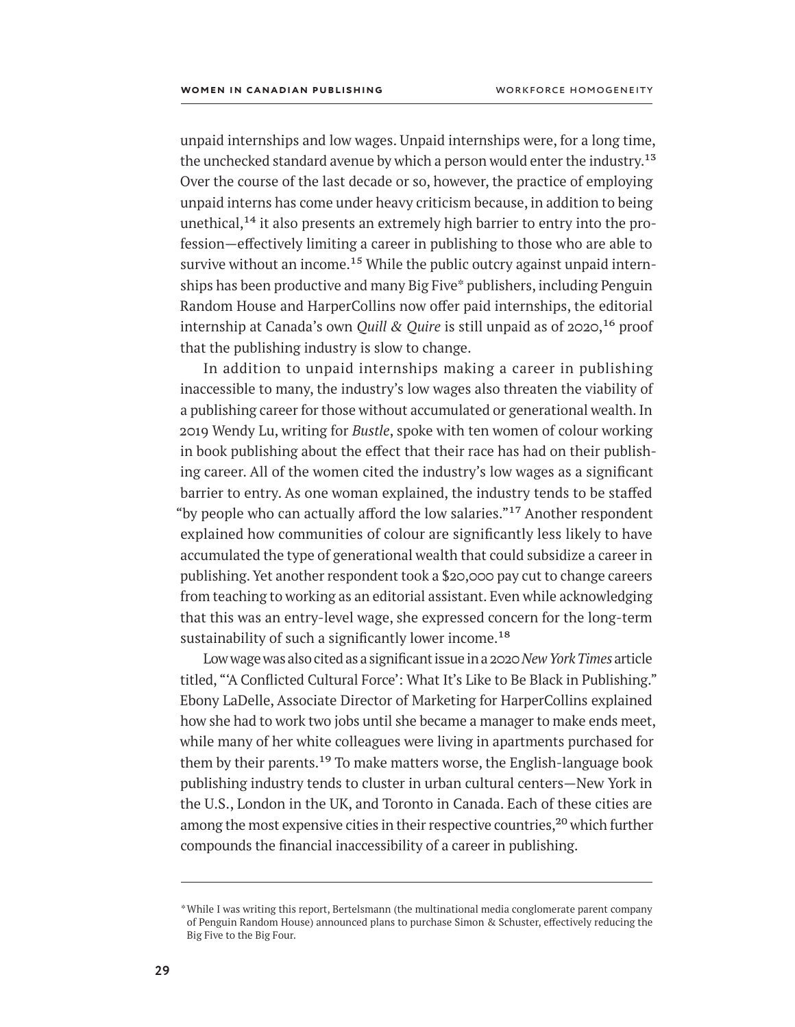unpaid internships and low wages. Unpaid internships were, for a long time, the unchecked standard avenue by which a person would enter the industry.<sup>13</sup> Over the course of the last decade or so, however, the practice of employing unpaid interns has come under heavy criticism because, in addition to being unethical, $14$  it also presents an extremely high barrier to entry into the profession—effectively limiting a career in publishing to those who are able to survive without an income.<sup>15</sup> While the public outcry against unpaid internships has been productive and many Big Five\* publishers, including Penguin Random House and HarperCollins now offer paid internships, the editorial internship at Canada's own *Quill & Quire* is still unpaid as of 2020,<sup>16</sup> proof that the publishing industry is slow to change.

In addition to unpaid internships making a career in publishing inaccessible to many, the industry's low wages also threaten the viability of a publishing career for those without accumulated or generational wealth. In 2019 Wendy Lu, writing for *Bustle*, spoke with ten women of colour working in book publishing about the effect that their race has had on their publishing career. All of the women cited the industry's low wages as a significant barrier to entry. As one woman explained, the industry tends to be staffed "by people who can actually afford the low salaries."<sup>17</sup> Another respondent explained how communities of colour are significantly less likely to have accumulated the type of generational wealth that could subsidize a career in publishing. Yet another respondent took a \$20,000 pay cut to change careers from teaching to working as an editorial assistant. Even while acknowledging that this was an entry-level wage, she expressed concern for the long-term sustainability of such a significantly lower income.<sup>18</sup>

Low wage was also cited as a significant issue in a 2020 *New York Times* article titled, "'A Conflicted Cultural Force': What It's Like to Be Black in Publishing." Ebony LaDelle, Associate Director of Marketing for HarperCollins explained how she had to work two jobs until she became a manager to make ends meet, while many of her white colleagues were living in apartments purchased for them by their parents.<sup>19</sup> To make matters worse, the English-language book publishing industry tends to cluster in urban cultural centers—New York in the U.S., London in the UK, and Toronto in Canada. Each of these cities are among the most expensive cities in their respective countries,<sup>20</sup> which further compounds the financial inaccessibility of a career in publishing.

<sup>\*</sup>While I was writing this report, Bertelsmann (the multinational media conglomerate parent company of Penguin Random House) announced plans to purchase Simon & Schuster, effectively reducing the Big Five to the Big Four.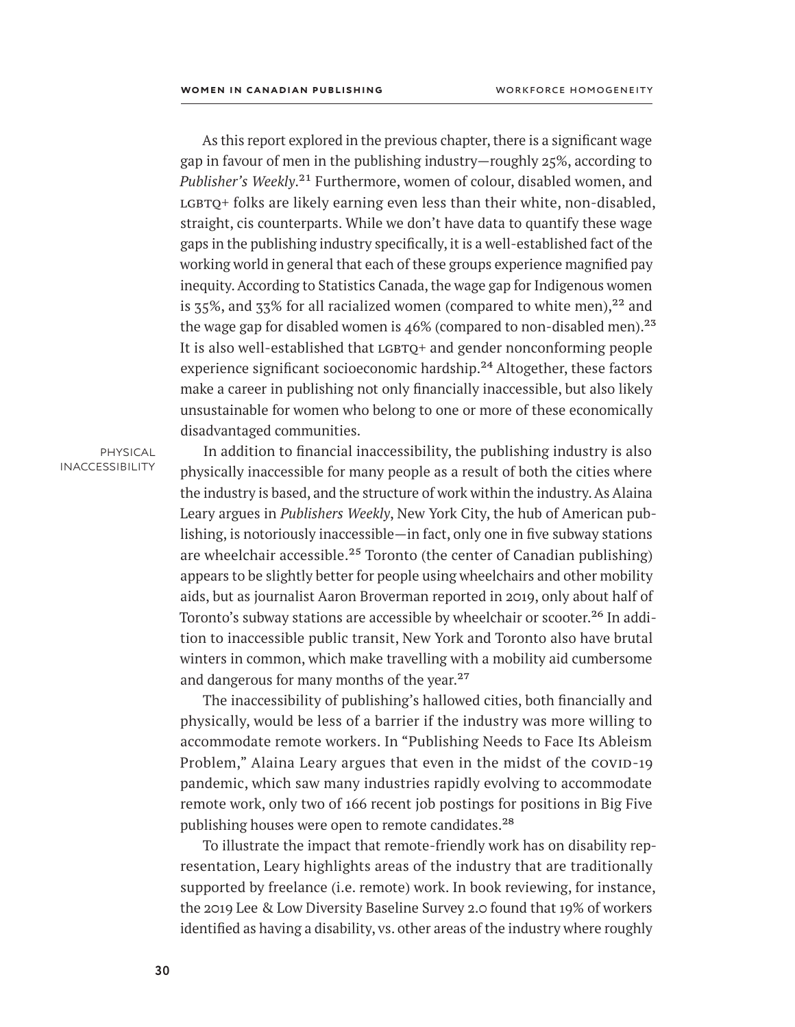As this report explored in the previous chapter, there is a significant wage gap in favour of men in the publishing industry—roughly 25%, according to Publisher's Weekly.<sup>21</sup> Furthermore, women of colour, disabled women, and  $LGBTQ+$  folks are likely earning even less than their white, non-disabled, straight, cis counterparts. While we don't have data to quantify these wage gaps in the publishing industry specifically, it is a well-established fact of the working world in general that each of these groups experience magnified pay inequity. According to Statistics Canada, the wage gap for Indigenous women is  $35\%$ , and  $33\%$  for all racialized women (compared to white men),<sup>22</sup> and the wage gap for disabled women is  $46\%$  (compared to non-disabled men).<sup>23</sup> It is also well-established that  $LGBTO+$  and gender nonconforming people experience significant socioeconomic hardship.<sup>24</sup> Altogether, these factors make a career in publishing not only financially inaccessible, but also likely unsustainable for women who belong to one or more of these economically disadvantaged communities.

physical **INACCESSIBILITY** 

In addition to financial inaccessibility, the publishing industry is also physically inaccessible for many people as a result of both the cities where the industry is based, and the structure of work within the industry. As Alaina Leary argues in *Publishers Weekly*, New York City, the hub of American publishing, is notoriously inaccessible—in fact, only one in five subway stations are wheelchair accessible.<sup>25</sup> Toronto (the center of Canadian publishing) appears to be slightly better for people using wheelchairs and other mobility aids, but as journalist Aaron Broverman reported in 2019, only about half of Toronto's subway stations are accessible by wheelchair or scooter.<sup>26</sup> In addition to inaccessible public transit, New York and Toronto also have brutal winters in common, which make travelling with a mobility aid cumbersome and dangerous for many months of the year.<sup>27</sup>

The inaccessibility of publishing's hallowed cities, both financially and physically, would be less of a barrier if the industry was more willing to accommodate remote workers. In "Publishing Needs to Face Its Ableism Problem," Alaina Leary argues that even in the midst of the COVID-19 pandemic, which saw many industries rapidly evolving to accommodate remote work, only two of 166 recent job postings for positions in Big Five publishing houses were open to remote candidates.<sup>28</sup>

To illustrate the impact that remote-friendly work has on disability representation, Leary highlights areas of the industry that are traditionally supported by freelance (i.e. remote) work. In book reviewing, for instance, the 2019 Lee & Low Diversity Baseline Survey 2.0 found that 19% of workers identified as having a disability, vs. other areas of the industry where roughly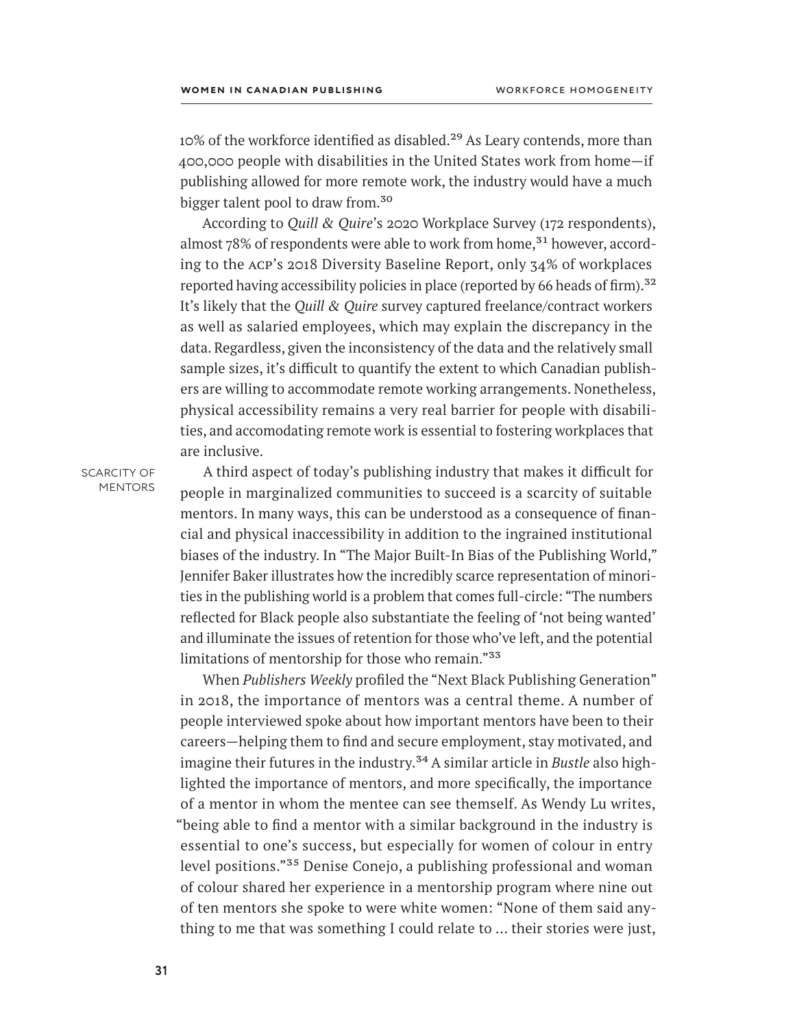10% of the workforce identified as disabled.<sup>29</sup> As Leary contends, more than 400,000 people with disabilities in the United States work from home—if publishing allowed for more remote work, the industry would have a much bigger talent pool to draw from.<sup>30</sup>

According to *Quill & Quire*'s 2020 Workplace Survey (172 respondents), almost 78% of respondents were able to work from home,<sup>31</sup> however, according to the acp's 2018 Diversity Baseline Report, only 34% of workplaces reported having accessibility policies in place (reported by 66 heads of firm).<sup>32</sup> It's likely that the *Quill & Quire* survey captured freelance/contract workers as well as salaried employees, which may explain the discrepancy in the data. Regardless, given the inconsistency of the data and the relatively small sample sizes, it's difficult to quantify the extent to which Canadian publishers are willing to accommodate remote working arrangements. Nonetheless, physical accessibility remains a very real barrier for people with disabilities, and accomodating remote work is essential to fostering workplaces that are inclusive.

SCARCITY OF **MENTORS** 

A third aspect of today's publishing industry that makes it difficult for people in marginalized communities to succeed is a scarcity of suitable mentors. In many ways, this can be understood as a consequence of financial and physical inaccessibility in addition to the ingrained institutional biases of the industry. In "The Major Built-In Bias of the Publishing World," Jennifer Baker illustrates how the incredibly scarce representation of minorities in the publishing world is a problem that comes full-circle: "The numbers reflected for Black people also substantiate the feeling of 'not being wanted' and illuminate the issues of retention for those who've left, and the potential limitations of mentorship for those who remain."<sup>33</sup>

When *Publishers Weekly* profiled the "Next Black Publishing Generation" in 2018, the importance of mentors was a central theme. A number of people interviewed spoke about how important mentors have been to their careers—helping them to find and secure employment, stay motivated, and imagine their futures in the industry.34 A similar article in *Bustle* also highlighted the importance of mentors, and more specifically, the importance of a mentor in whom the mentee can see themself. As Wendy Lu writes, "being able to find a mentor with a similar background in the industry is essential to one's success, but especially for women of colour in entry level positions."35 Denise Conejo, a publishing professional and woman of colour shared her experience in a mentorship program where nine out of ten mentors she spoke to were white women: "None of them said anything to me that was something I could relate to … their stories were just,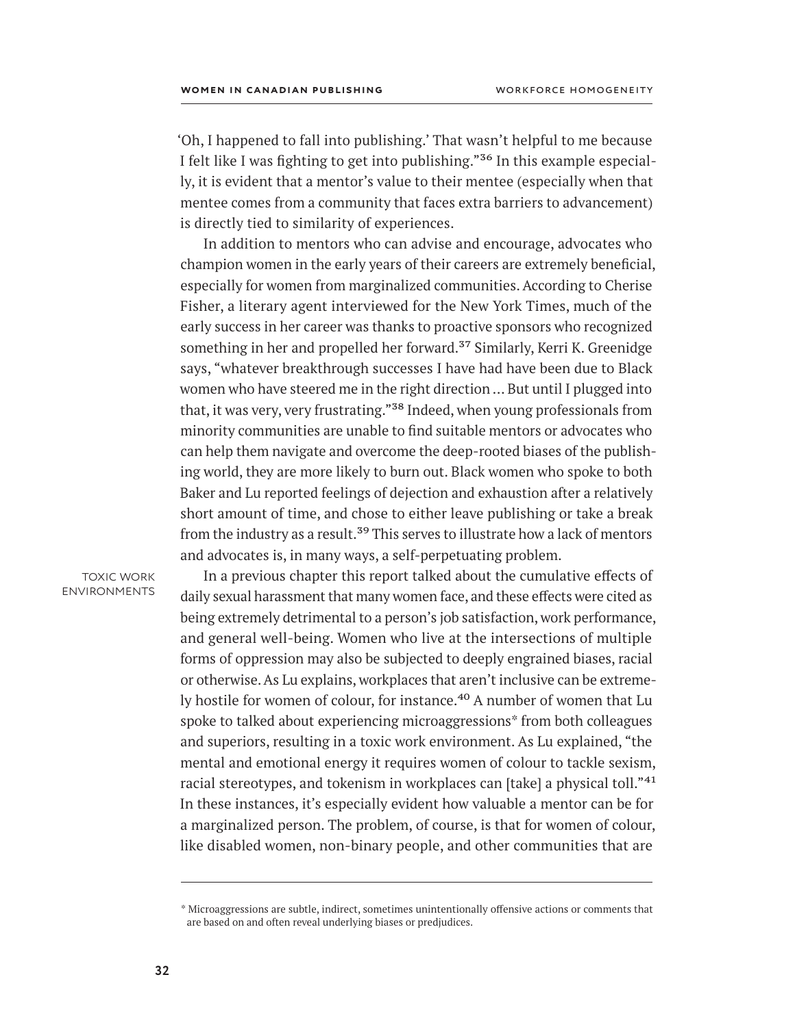'Oh, I happened to fall into publishing.' That wasn't helpful to me because I felt like I was fighting to get into publishing."<sup>36</sup> In this example especially, it is evident that a mentor's value to their mentee (especially when that mentee comes from a community that faces extra barriers to advancement) is directly tied to similarity of experiences.

In addition to mentors who can advise and encourage, advocates who champion women in the early years of their careers are extremely beneficial, especially for women from marginalized communities. According to Cherise Fisher, a literary agent interviewed for the New York Times, much of the early success in her career was thanks to proactive sponsors who recognized something in her and propelled her forward.<sup>37</sup> Similarly, Kerri K. Greenidge says, "whatever breakthrough successes I have had have been due to Black women who have steered me in the right direction … But until I plugged into that, it was very, very frustrating."<sup>38</sup> Indeed, when young professionals from minority communities are unable to find suitable mentors or advocates who can help them navigate and overcome the deep-rooted biases of the publishing world, they are more likely to burn out. Black women who spoke to both Baker and Lu reported feelings of dejection and exhaustion after a relatively short amount of time, and chose to either leave publishing or take a break from the industry as a result.<sup>39</sup> This serves to illustrate how a lack of mentors and advocates is, in many ways, a self-perpetuating problem.

toxic work environments

In a previous chapter this report talked about the cumulative effects of daily sexual harassment that many women face, and these effects were cited as being extremely detrimental to a person's job satisfaction, work performance, and general well-being. Women who live at the intersections of multiple forms of oppression may also be subjected to deeply engrained biases, racial or otherwise. As Lu explains, workplaces that aren't inclusive can be extremely hostile for women of colour, for instance.<sup>40</sup> A number of women that Lu spoke to talked about experiencing microaggressions\* from both colleagues and superiors, resulting in a toxic work environment. As Lu explained, "the mental and emotional energy it requires women of colour to tackle sexism, racial stereotypes, and tokenism in workplaces can [take] a physical toll."<sup>41</sup> In these instances, it's especially evident how valuable a mentor can be for a marginalized person. The problem, of course, is that for women of colour, like disabled women, non-binary people, and other communities that are

<sup>\*</sup> Microaggressions are subtle, indirect, sometimes unintentionally offensive actions or comments that are based on and often reveal underlying biases or predjudices.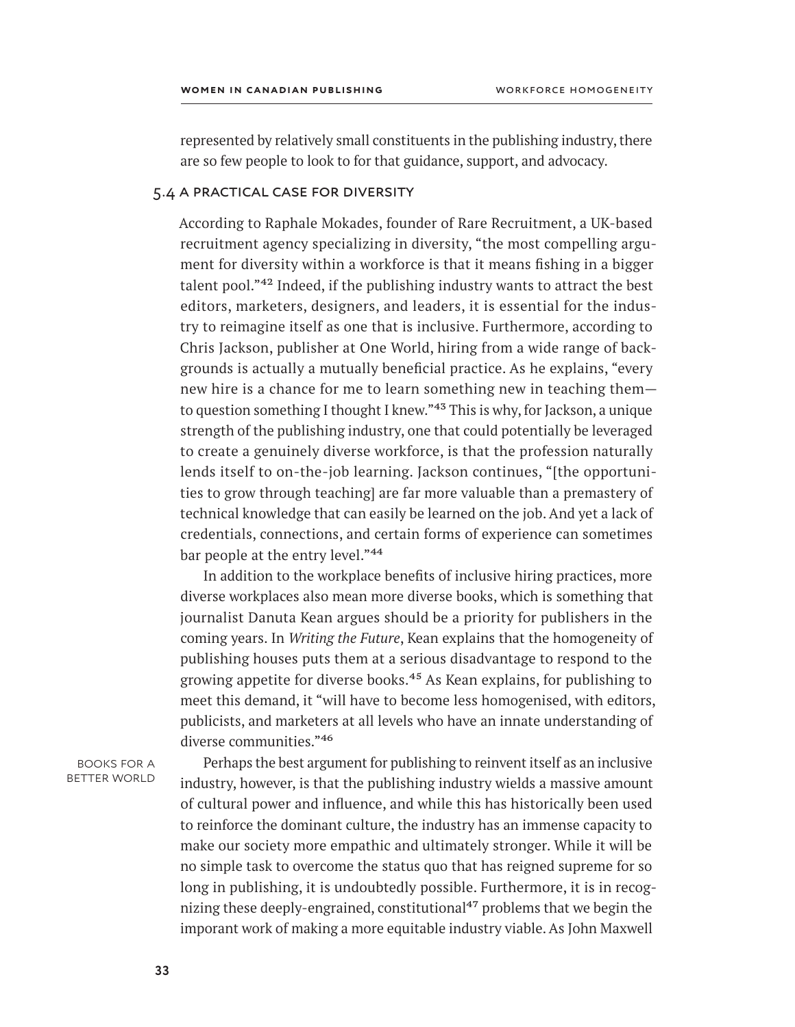represented by relatively small constituents in the publishing industry, there are so few people to look to for that guidance, support, and advocacy.

# 5.4 a practical case for diversity

According to Raphale Mokades, founder of Rare Recruitment, a UK-based recruitment agency specializing in diversity, "the most compelling argument for diversity within a workforce is that it means fishing in a bigger talent pool."42 Indeed, if the publishing industry wants to attract the best editors, marketers, designers, and leaders, it is essential for the industry to reimagine itself as one that is inclusive. Furthermore, according to Chris Jackson, publisher at One World, hiring from a wide range of backgrounds is actually a mutually beneficial practice. As he explains, "every new hire is a chance for me to learn something new in teaching them to question something I thought I knew."43 This is why, for Jackson, a unique strength of the publishing industry, one that could potentially be leveraged to create a genuinely diverse workforce, is that the profession naturally lends itself to on-the-job learning. Jackson continues, "[the opportunities to grow through teaching] are far more valuable than a premastery of technical knowledge that can easily be learned on the job. And yet a lack of credentials, connections, and certain forms of experience can sometimes bar people at the entry level."<sup>44</sup>

In addition to the workplace benefits of inclusive hiring practices, more diverse workplaces also mean more diverse books, which is something that journalist Danuta Kean argues should be a priority for publishers in the coming years. In *Writing the Future*, Kean explains that the homogeneity of publishing houses puts them at a serious disadvantage to respond to the growing appetite for diverse books.<sup>45</sup> As Kean explains, for publishing to meet this demand, it "will have to become less homogenised, with editors, publicists, and marketers at all levels who have an innate understanding of diverse communities."46

books for a better world

Perhaps the best argument for publishing to reinvent itself as an inclusive industry, however, is that the publishing industry wields a massive amount of cultural power and influence, and while this has historically been used to reinforce the dominant culture, the industry has an immense capacity to make our society more empathic and ultimately stronger. While it will be no simple task to overcome the status quo that has reigned supreme for so long in publishing, it is undoubtedly possible. Furthermore, it is in recognizing these deeply-engrained, constitutional<sup>47</sup> problems that we begin the imporant work of making a more equitable industry viable. As John Maxwell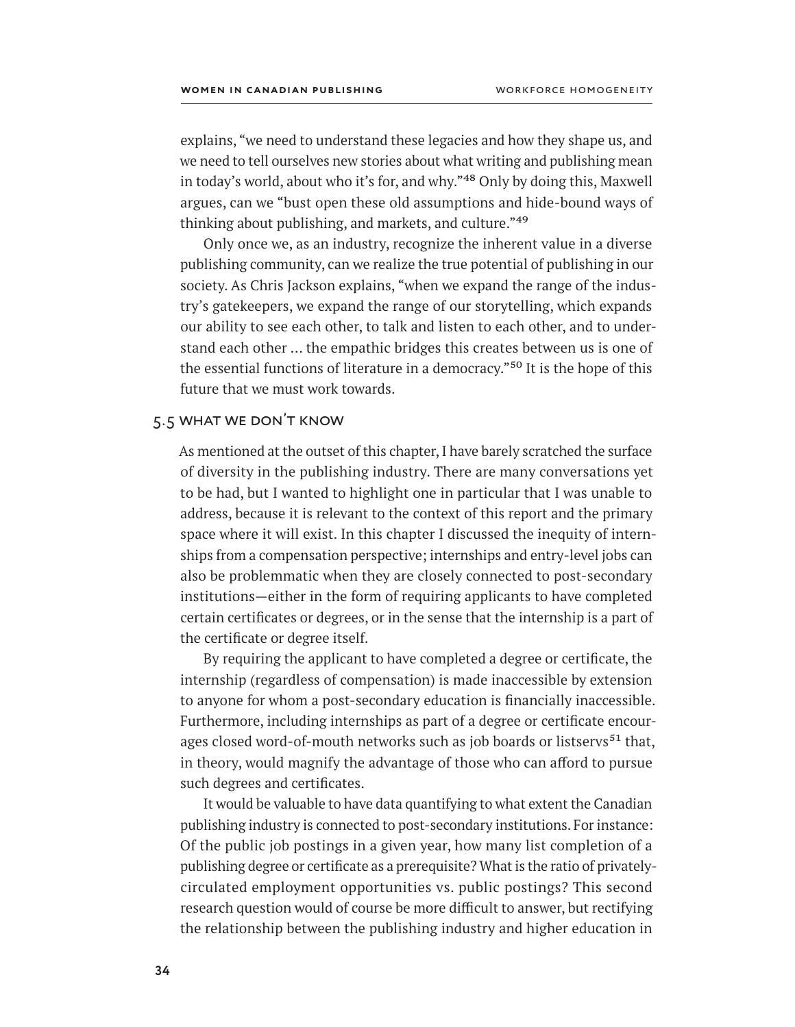explains, "we need to understand these legacies and how they shape us, and we need to tell ourselves new stories about what writing and publishing mean in today's world, about who it's for, and why."<sup>48</sup> Only by doing this, Maxwell argues, can we "bust open these old assumptions and hide-bound ways of thinking about publishing, and markets, and culture."49

Only once we, as an industry, recognize the inherent value in a diverse publishing community, can we realize the true potential of publishing in our society. As Chris Jackson explains, "when we expand the range of the industry's gatekeepers, we expand the range of our storytelling, which expands our ability to see each other, to talk and listen to each other, and to understand each other … the empathic bridges this creates between us is one of the essential functions of literature in a democracy."50 It is the hope of this future that we must work towards.

# 5.5 what we don't know

As mentioned at the outset of this chapter, I have barely scratched the surface of diversity in the publishing industry. There are many conversations yet to be had, but I wanted to highlight one in particular that I was unable to address, because it is relevant to the context of this report and the primary space where it will exist. In this chapter I discussed the inequity of internships from a compensation perspective; internships and entry-level jobs can also be problemmatic when they are closely connected to post-secondary institutions—either in the form of requiring applicants to have completed certain certificates or degrees, or in the sense that the internship is a part of the certificate or degree itself.

By requiring the applicant to have completed a degree or certificate, the internship (regardless of compensation) is made inaccessible by extension to anyone for whom a post-secondary education is financially inaccessible. Furthermore, including internships as part of a degree or certificate encourages closed word-of-mouth networks such as job boards or listservs<sup>51</sup> that, in theory, would magnify the advantage of those who can afford to pursue such degrees and certificates.

It would be valuable to have data quantifying to what extent the Canadian publishing industry is connected to post-secondary institutions. For instance: Of the public job postings in a given year, how many list completion of a publishing degree or certificate as a prerequisite? What is the ratio of privatelycirculated employment opportunities vs. public postings? This second research question would of course be more difficult to answer, but rectifying the relationship between the publishing industry and higher education in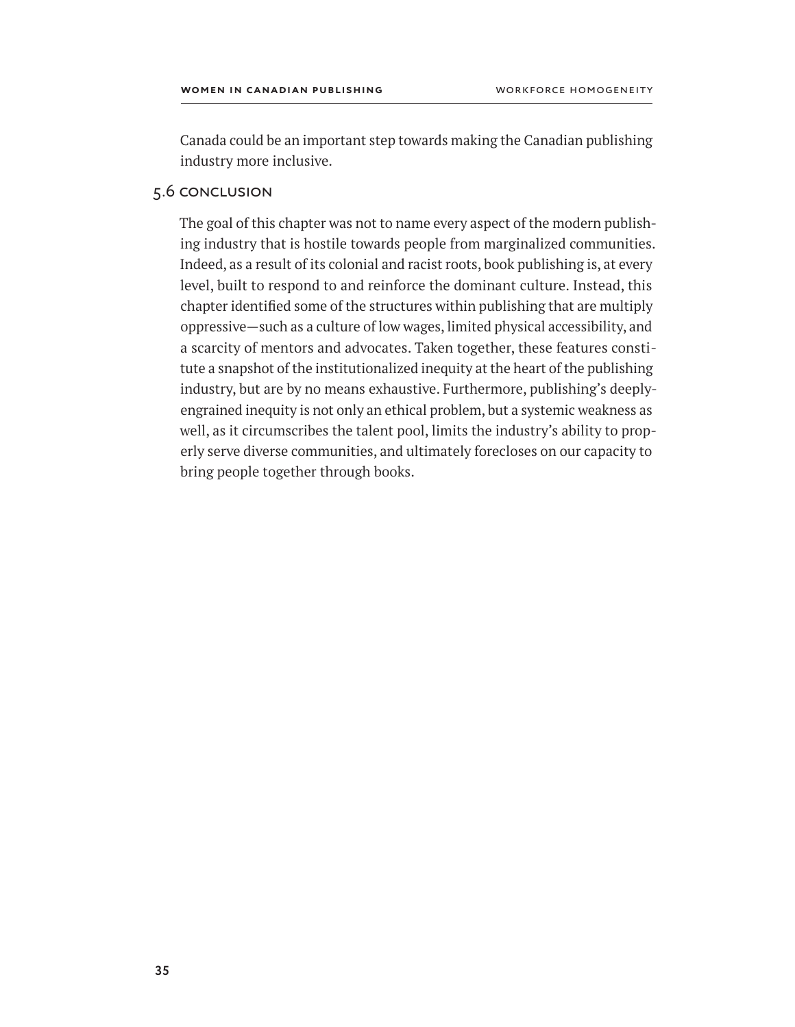Canada could be an important step towards making the Canadian publishing industry more inclusive.

# 5.6 conclusion

The goal of this chapter was not to name every aspect of the modern publishing industry that is hostile towards people from marginalized communities. Indeed, as a result of its colonial and racist roots, book publishing is, at every level, built to respond to and reinforce the dominant culture. Instead, this chapter identified some of the structures within publishing that are multiply oppressive—such as a culture of low wages, limited physical accessibility, and a scarcity of mentors and advocates. Taken together, these features constitute a snapshot of the institutionalized inequity at the heart of the publishing industry, but are by no means exhaustive. Furthermore, publishing's deeplyengrained inequity is not only an ethical problem, but a systemic weakness as well, as it circumscribes the talent pool, limits the industry's ability to properly serve diverse communities, and ultimately forecloses on our capacity to bring people together through books.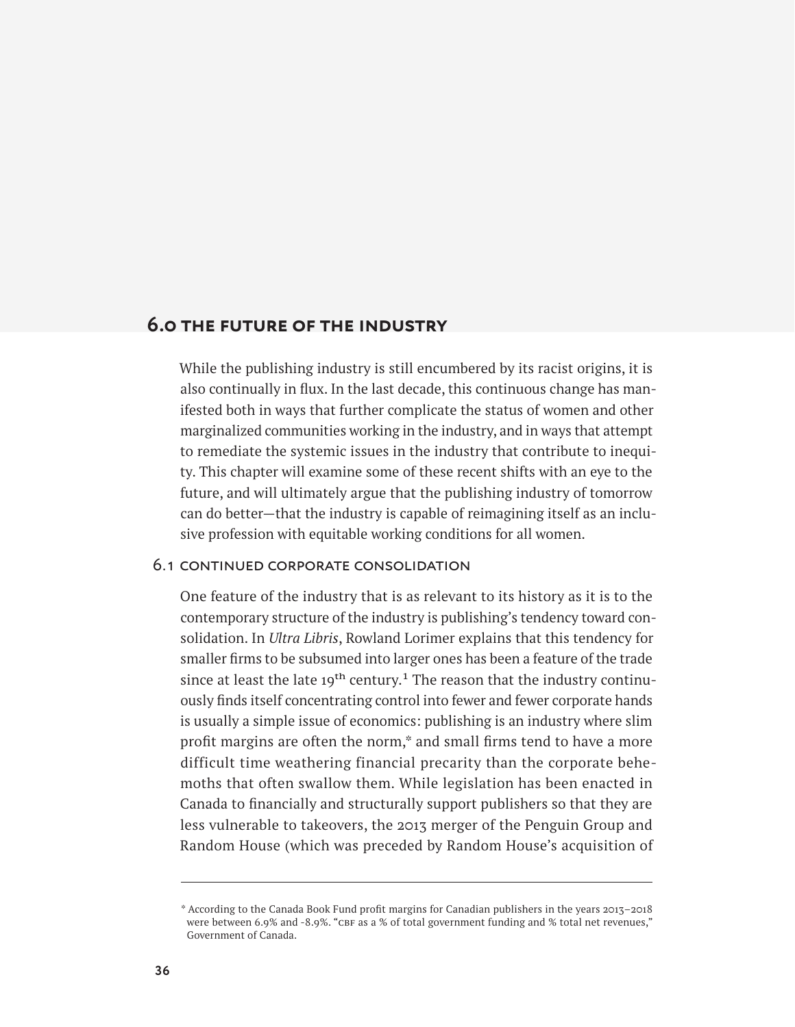# **6.0 the future of the industry**

While the publishing industry is still encumbered by its racist origins, it is also continually in flux. In the last decade, this continuous change has manifested both in ways that further complicate the status of women and other marginalized communities working in the industry, and in ways that attempt to remediate the systemic issues in the industry that contribute to inequity. This chapter will examine some of these recent shifts with an eye to the future, and will ultimately argue that the publishing industry of tomorrow can do better—that the industry is capable of reimagining itself as an inclusive profession with equitable working conditions for all women.

# 6.1 continued corporate consolidation

One feature of the industry that is as relevant to its history as it is to the contemporary structure of the industry is publishing's tendency toward consolidation. In *Ultra Libris*, Rowland Lorimer explains that this tendency for smaller firms to be subsumed into larger ones has been a feature of the trade since at least the late  $19<sup>th</sup>$  century.<sup>1</sup> The reason that the industry continuously finds itself concentrating control into fewer and fewer corporate hands is usually a simple issue of economics: publishing is an industry where slim profit margins are often the norm,\* and small firms tend to have a more difficult time weathering financial precarity than the corporate behemoths that often swallow them. While legislation has been enacted in Canada to financially and structurally support publishers so that they are less vulnerable to takeovers, the 2013 merger of the Penguin Group and Random House (which was preceded by Random House's acquisition of

<sup>\*</sup> According to the Canada Book Fund profit margins for Canadian publishers in the years 2013–2018 were between 6.9% and -8.9%. "CBF as a % of total government funding and % total net revenues," Government of Canada.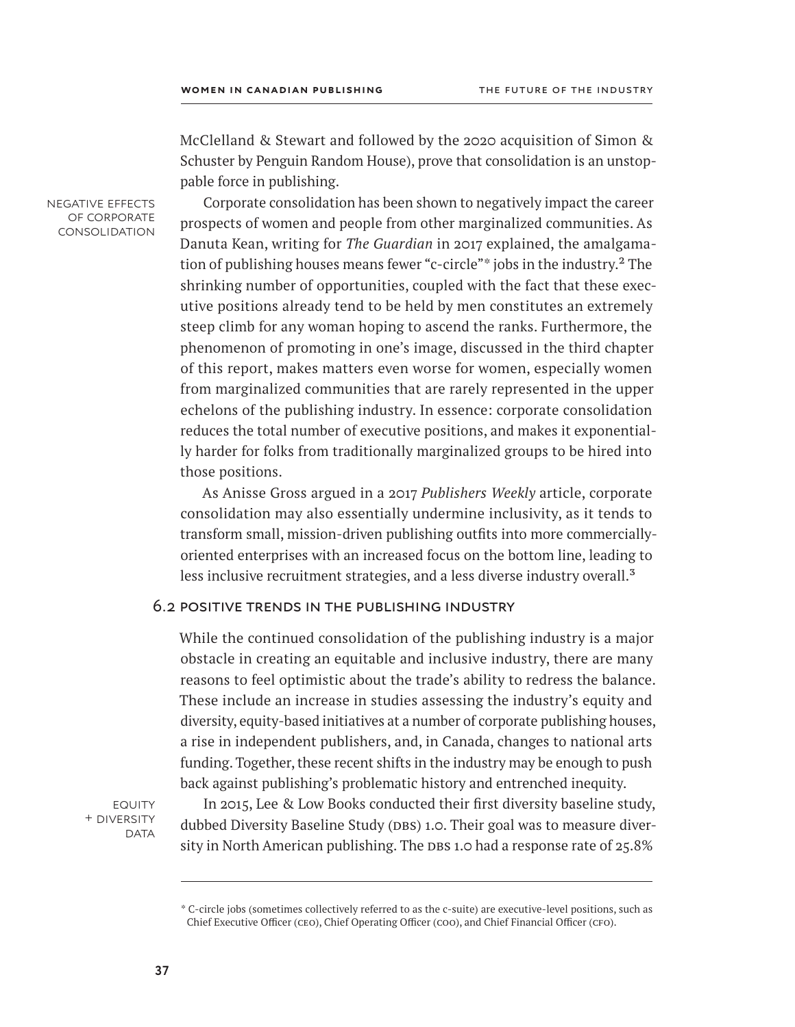McClelland & Stewart and followed by the 2020 acquisition of Simon & Schuster by Penguin Random House), prove that consolidation is an unstoppable force in publishing.

negative effects of corporate consolidation

Corporate consolidation has been shown to negatively impact the career prospects of women and people from other marginalized communities. As Danuta Kean, writing for *The Guardian* in 2017 explained, the amalgamation of publishing houses means fewer "c-circle"\* jobs in the industry.<sup>2</sup> The shrinking number of opportunities, coupled with the fact that these executive positions already tend to be held by men constitutes an extremely steep climb for any woman hoping to ascend the ranks. Furthermore, the phenomenon of promoting in one's image, discussed in the third chapter of this report, makes matters even worse for women, especially women from marginalized communities that are rarely represented in the upper echelons of the publishing industry. In essence: corporate consolidation reduces the total number of executive positions, and makes it exponentially harder for folks from traditionally marginalized groups to be hired into those positions.

As Anisse Gross argued in a 2017 *Publishers Weekly* article, corporate consolidation may also essentially undermine inclusivity, as it tends to transform small, mission-driven publishing outfits into more commerciallyoriented enterprises with an increased focus on the bottom line, leading to less inclusive recruitment strategies, and a less diverse industry overall.<sup>3</sup>

### 6.2 positive trends in the publishing industry

While the continued consolidation of the publishing industry is a major obstacle in creating an equitable and inclusive industry, there are many reasons to feel optimistic about the trade's ability to redress the balance. These include an increase in studies assessing the industry's equity and diversity, equity-based initiatives at a number of corporate publishing houses, a rise in independent publishers, and, in Canada, changes to national arts funding. Together, these recent shifts in the industry may be enough to push back against publishing's problematic history and entrenched inequity.

**EQUITY** + diversity **DATA** 

In 2015, Lee & Low Books conducted their first diversity baseline study, dubbed Diversity Baseline Study (DBS) 1.0. Their goal was to measure diversity in North American publishing. The DBS 1.0 had a response rate of  $25.8\%$ 

<sup>\*</sup> C-circle jobs (sometimes collectively referred to as the c-suite) are executive-level positions, such as Chief Executive Officer (ceo), Chief Operating Officer (coo), and Chief Financial Officer (cfo).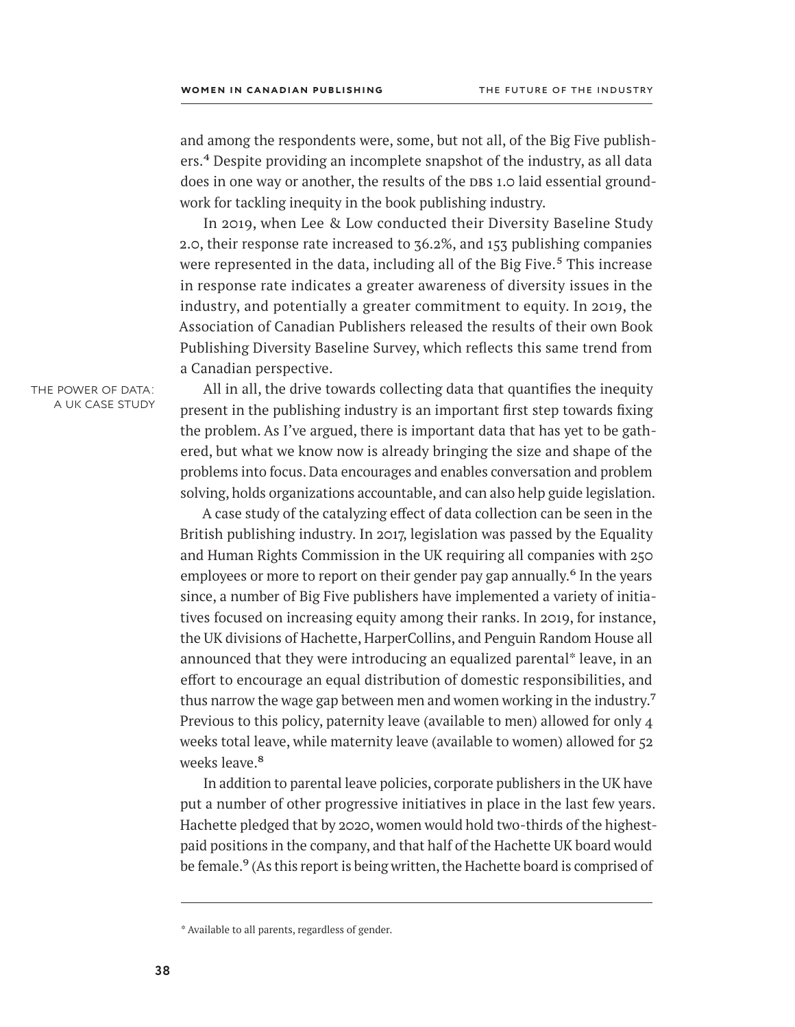and among the respondents were, some, but not all, of the Big Five publishers.<sup>4</sup> Despite providing an incomplete snapshot of the industry, as all data does in one way or another, the results of the DBS 1.0 laid essential groundwork for tackling inequity in the book publishing industry.

In 2019, when Lee & Low conducted their Diversity Baseline Study 2.0, their response rate increased to 36.2%, and 153 publishing companies were represented in the data, including all of the Big Five.<sup>5</sup> This increase in response rate indicates a greater awareness of diversity issues in the industry, and potentially a greater commitment to equity. In 2019, the Association of Canadian Publishers released the results of their own Book Publishing Diversity Baseline Survey, which reflects this same trend from a Canadian perspective.

the power of data: a uk case study

All in all, the drive towards collecting data that quantifies the inequity present in the publishing industry is an important first step towards fixing the problem. As I've argued, there is important data that has yet to be gathered, but what we know now is already bringing the size and shape of the problems into focus. Data encourages and enables conversation and problem solving, holds organizations accountable, and can also help guide legislation.

A case study of the catalyzing effect of data collection can be seen in the British publishing industry. In 2017, legislation was passed by the Equality and Human Rights Commission in the UK requiring all companies with 250 employees or more to report on their gender pay gap annually.<sup>6</sup> In the years since, a number of Big Five publishers have implemented a variety of initiatives focused on increasing equity among their ranks. In 2019, for instance, the UK divisions of Hachette, HarperCollins, and Penguin Random House all announced that they were introducing an equalized parental\* leave, in an effort to encourage an equal distribution of domestic responsibilities, and thus narrow the wage gap between men and women working in the industry.<sup>7</sup> Previous to this policy, paternity leave (available to men) allowed for only 4 weeks total leave, while maternity leave (available to women) allowed for 52 weeks leave.<sup>8</sup>

In addition to parental leave policies, corporate publishers in the UK have put a number of other progressive initiatives in place in the last few years. Hachette pledged that by 2020, women would hold two-thirds of the highestpaid positions in the company, and that half of the Hachette UK board would be female.<sup>9</sup> (As this report is being written, the Hachette board is comprised of

<sup>\*</sup> Available to all parents, regardless of gender.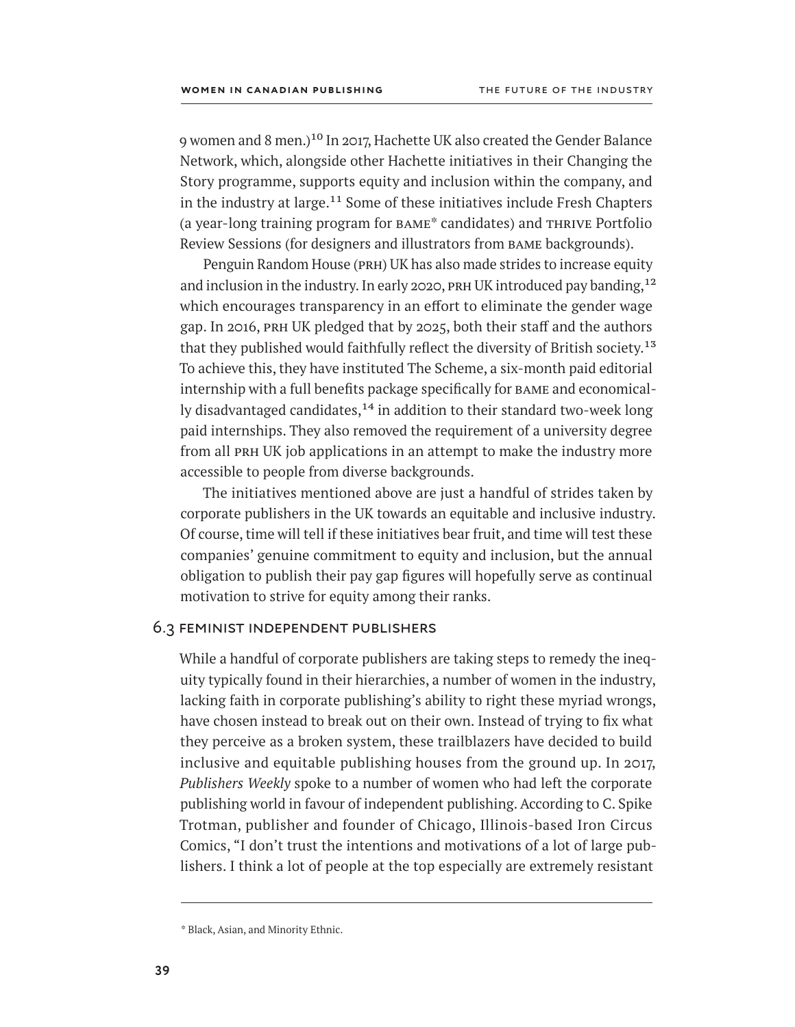9 women and 8 men.)<sup>10</sup> In 2017, Hachette UK also created the Gender Balance Network, which, alongside other Hachette initiatives in their Changing the Story programme, supports equity and inclusion within the company, and in the industry at large.<sup>11</sup> Some of these initiatives include Fresh Chapters (a year-long training program for bame\* candidates) and thrive Portfolio Review Sessions (for designers and illustrators from bame backgrounds).

Penguin Random House (PRH) UK has also made strides to increase equity and inclusion in the industry. In early 2020, PRH UK introduced pay banding,  $12$ which encourages transparency in an effort to eliminate the gender wage gap. In 2016, PRH UK pledged that by 2025, both their staff and the authors that they published would faithfully reflect the diversity of British society.<sup>13</sup> To achieve this, they have instituted The Scheme, a six-month paid editorial internship with a full benefits package specifically for bame and economically disadvantaged candidates, $14$  in addition to their standard two-week long paid internships. They also removed the requirement of a university degree from all PRH UK job applications in an attempt to make the industry more accessible to people from diverse backgrounds.

The initiatives mentioned above are just a handful of strides taken by corporate publishers in the UK towards an equitable and inclusive industry. Of course, time will tell if these initiatives bear fruit, and time will test these companies' genuine commitment to equity and inclusion, but the annual obligation to publish their pay gap figures will hopefully serve as continual motivation to strive for equity among their ranks.

# 6.3 feminist independent publishers

While a handful of corporate publishers are taking steps to remedy the inequity typically found in their hierarchies, a number of women in the industry, lacking faith in corporate publishing's ability to right these myriad wrongs, have chosen instead to break out on their own. Instead of trying to fix what they perceive as a broken system, these trailblazers have decided to build inclusive and equitable publishing houses from the ground up. In 2017, *Publishers Weekly* spoke to a number of women who had left the corporate publishing world in favour of independent publishing. According to C. Spike Trotman, publisher and founder of Chicago, Illinois-based Iron Circus Comics, "I don't trust the intentions and motivations of a lot of large publishers. I think a lot of people at the top especially are extremely resistant

<sup>\*</sup> Black, Asian, and Minority Ethnic.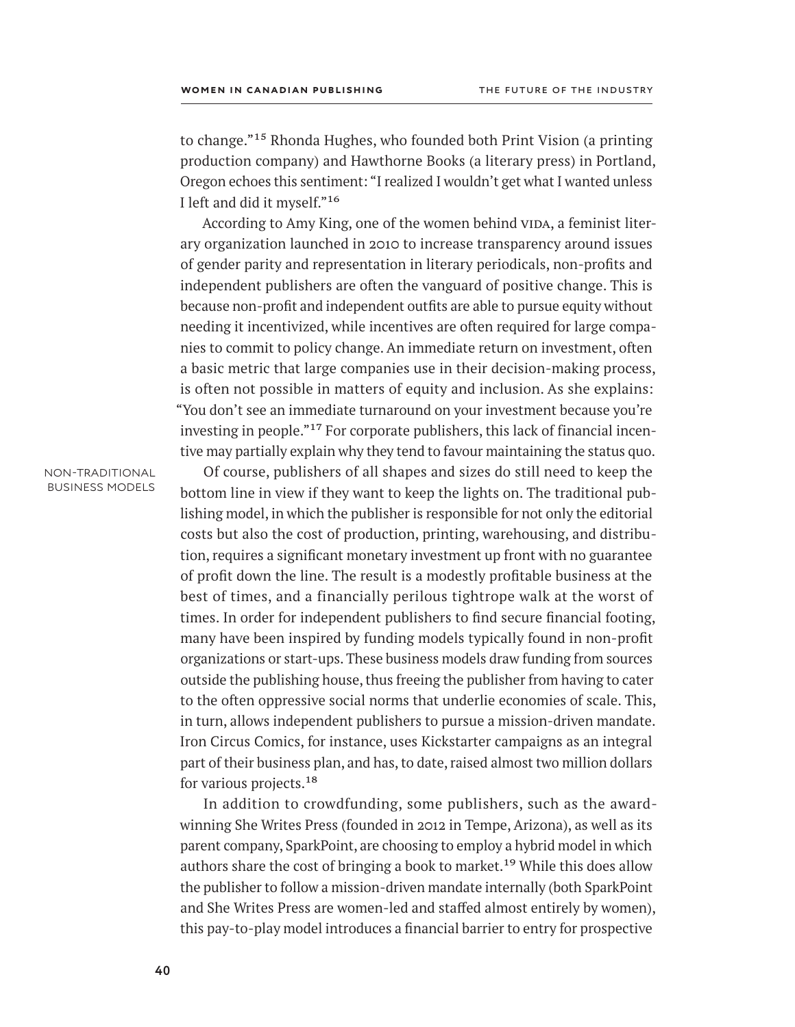to change."15 Rhonda Hughes, who founded both Print Vision (a printing production company) and Hawthorne Books (a literary press) in Portland, Oregon echoes this sentiment: "I realized I wouldn't get what I wanted unless I left and did it myself."16

According to Amy King, one of the women behind VIDA, a feminist literary organization launched in 2010 to increase transparency around issues of gender parity and representation in literary periodicals, non-profits and independent publishers are often the vanguard of positive change. This is because non-profit and independent outfits are able to pursue equity without needing it incentivized, while incentives are often required for large companies to commit to policy change. An immediate return on investment, often a basic metric that large companies use in their decision-making process, is often not possible in matters of equity and inclusion. As she explains: "You don't see an immediate turnaround on your investment because you're investing in people."17 For corporate publishers, this lack of financial incentive may partially explain why they tend to favour maintaining the status quo.

#### non-traditional business models

Of course, publishers of all shapes and sizes do still need to keep the bottom line in view if they want to keep the lights on. The traditional publishing model, in which the publisher is responsible for not only the editorial costs but also the cost of production, printing, warehousing, and distribution, requires a significant monetary investment up front with no guarantee of profit down the line. The result is a modestly profitable business at the best of times, and a financially perilous tightrope walk at the worst of times. In order for independent publishers to find secure financial footing, many have been inspired by funding models typically found in non-profit organizations or start-ups. These business models draw funding from sources outside the publishing house, thus freeing the publisher from having to cater to the often oppressive social norms that underlie economies of scale. This, in turn, allows independent publishers to pursue a mission-driven mandate. Iron Circus Comics, for instance, uses Kickstarter campaigns as an integral part of their business plan, and has, to date, raised almost two million dollars for various projects.<sup>18</sup>

In addition to crowdfunding, some publishers, such as the awardwinning She Writes Press (founded in 2012 in Tempe, Arizona), as well as its parent company, SparkPoint, are choosing to employ a hybrid model in which authors share the cost of bringing a book to market.<sup>19</sup> While this does allow the publisher to follow a mission-driven mandate internally (both SparkPoint and She Writes Press are women-led and staffed almost entirely by women), this pay-to-play model introduces a financial barrier to entry for prospective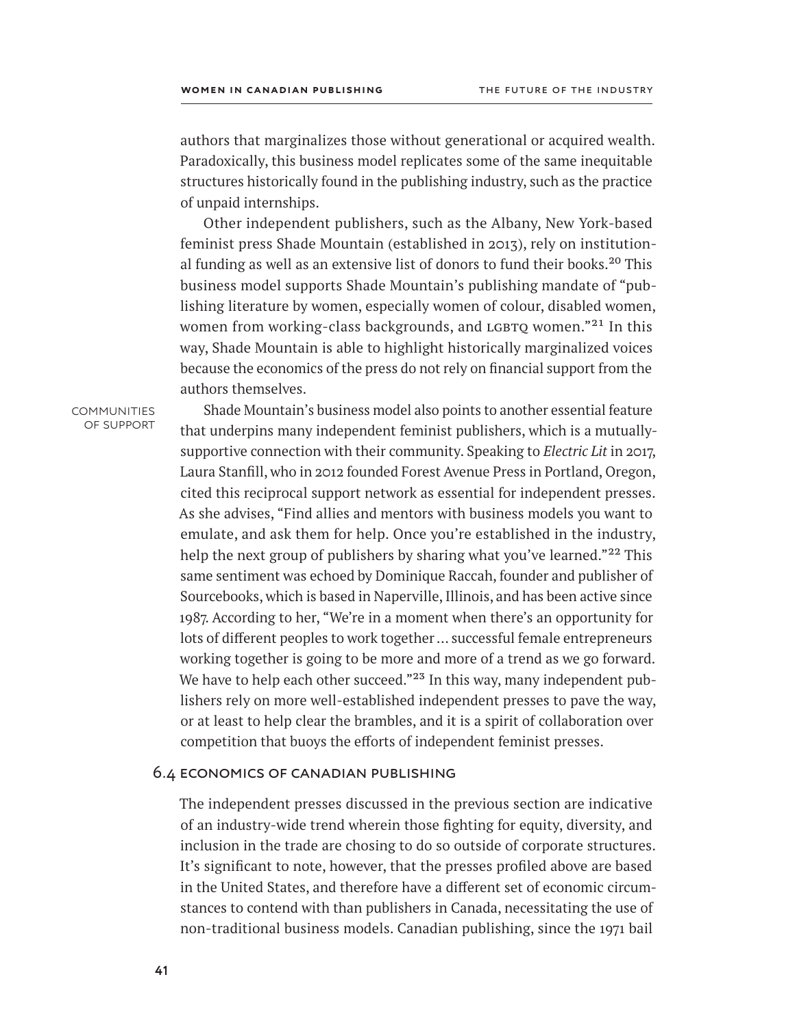authors that marginalizes those without generational or acquired wealth. Paradoxically, this business model replicates some of the same inequitable structures historically found in the publishing industry, such as the practice of unpaid internships.

Other independent publishers, such as the Albany, New York-based feminist press Shade Mountain (established in 2013), rely on institutional funding as well as an extensive list of donors to fund their books.<sup>20</sup> This business model supports Shade Mountain's publishing mandate of "publishing literature by women, especially women of colour, disabled women, women from working-class backgrounds, and LGBTQ women."<sup>21</sup> In this way, Shade Mountain is able to highlight historically marginalized voices because the economics of the press do not rely on financial support from the authors themselves.

**COMMUNITIES** of support

Shade Mountain's business model also points to another essential feature that underpins many independent feminist publishers, which is a mutuallysupportive connection with their community. Speaking to *Electric Lit* in 2017, Laura Stanfill, who in 2012 founded Forest Avenue Press in Portland, Oregon, cited this reciprocal support network as essential for independent presses. As she advises, "Find allies and mentors with business models you want to emulate, and ask them for help. Once you're established in the industry, help the next group of publishers by sharing what you've learned."<sup>22</sup> This same sentiment was echoed by Dominique Raccah, founder and publisher of Sourcebooks, which is based in Naperville, Illinois, and has been active since 1987. According to her, "We're in a moment when there's an opportunity for lots of different peoples to work together … successful female entrepreneurs working together is going to be more and more of a trend as we go forward. We have to help each other succeed."<sup>23</sup> In this way, many independent publishers rely on more well-established independent presses to pave the way, or at least to help clear the brambles, and it is a spirit of collaboration over competition that buoys the efforts of independent feminist presses.

### 6.4 economics of canadian publishing

The independent presses discussed in the previous section are indicative of an industry-wide trend wherein those fighting for equity, diversity, and inclusion in the trade are chosing to do so outside of corporate structures. It's significant to note, however, that the presses profiled above are based in the United States, and therefore have a different set of economic circumstances to contend with than publishers in Canada, necessitating the use of non-traditional business models. Canadian publishing, since the 1971 bail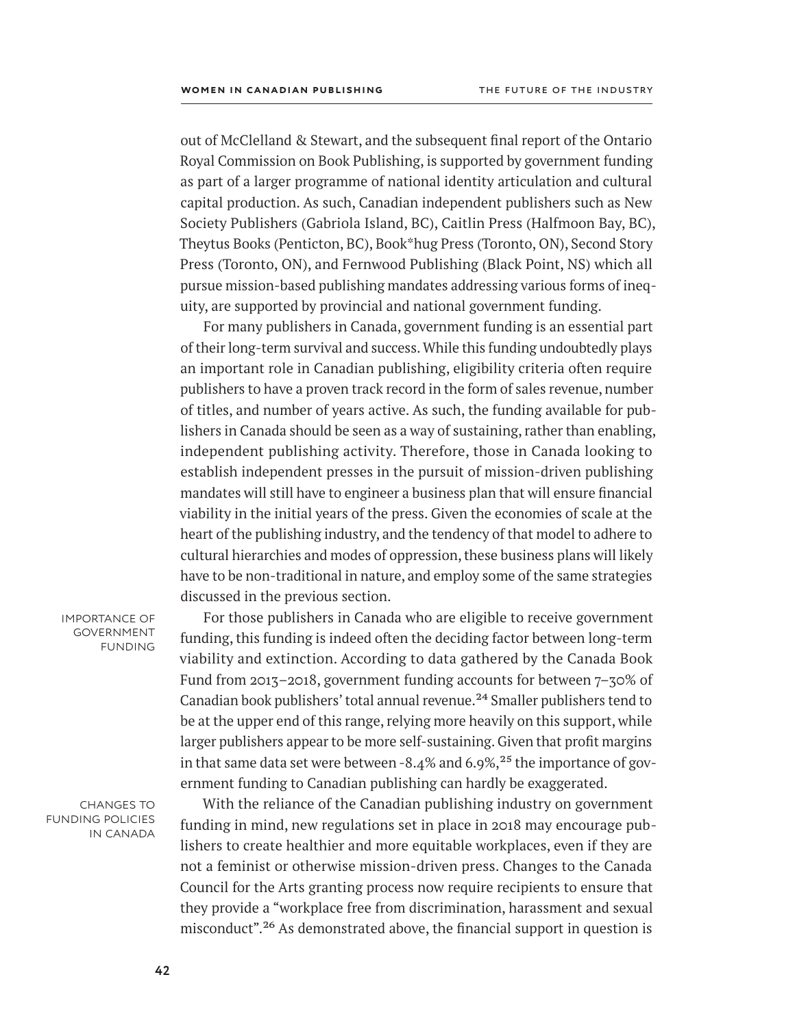out of McClelland & Stewart, and the subsequent final report of the Ontario Royal Commission on Book Publishing, is supported by government funding as part of a larger programme of national identity articulation and cultural capital production. As such, Canadian independent publishers such as New Society Publishers (Gabriola Island, BC), Caitlin Press (Halfmoon Bay, BC), Theytus Books (Penticton, BC), Book\*hug Press (Toronto, ON), Second Story Press (Toronto, ON), and Fernwood Publishing (Black Point, NS) which all pursue mission-based publishing mandates addressing various forms of inequity, are supported by provincial and national government funding.

For many publishers in Canada, government funding is an essential part of their long-term survival and success. While this funding undoubtedly plays an important role in Canadian publishing, eligibility criteria often require publishers to have a proven track record in the form of sales revenue, number of titles, and number of years active. As such, the funding available for publishers in Canada should be seen as a way of sustaining, rather than enabling, independent publishing activity. Therefore, those in Canada looking to establish independent presses in the pursuit of mission-driven publishing mandates will still have to engineer a business plan that will ensure financial viability in the initial years of the press. Given the economies of scale at the heart of the publishing industry, and the tendency of that model to adhere to cultural hierarchies and modes of oppression, these business plans will likely have to be non-traditional in nature, and employ some of the same strategies discussed in the previous section.

importance of **GOVERNMENT** funding

For those publishers in Canada who are eligible to receive government funding, this funding is indeed often the deciding factor between long-term viability and extinction. According to data gathered by the Canada Book Fund from 2013–2018, government funding accounts for between 7–30% of Canadian book publishers' total annual revenue.24 Smaller publishers tend to be at the upper end of this range, relying more heavily on this support, while larger publishers appear to be more self-sustaining. Given that profit margins in that same data set were between -8.4% and 6.9%,<sup>25</sup> the importance of government funding to Canadian publishing can hardly be exaggerated.

changes to funding policies in canada

With the reliance of the Canadian publishing industry on government funding in mind, new regulations set in place in 2018 may encourage publishers to create healthier and more equitable workplaces, even if they are not a feminist or otherwise mission-driven press. Changes to the Canada Council for the Arts granting process now require recipients to ensure that they provide a "workplace free from discrimination, harassment and sexual misconduct".26 As demonstrated above, the financial support in question is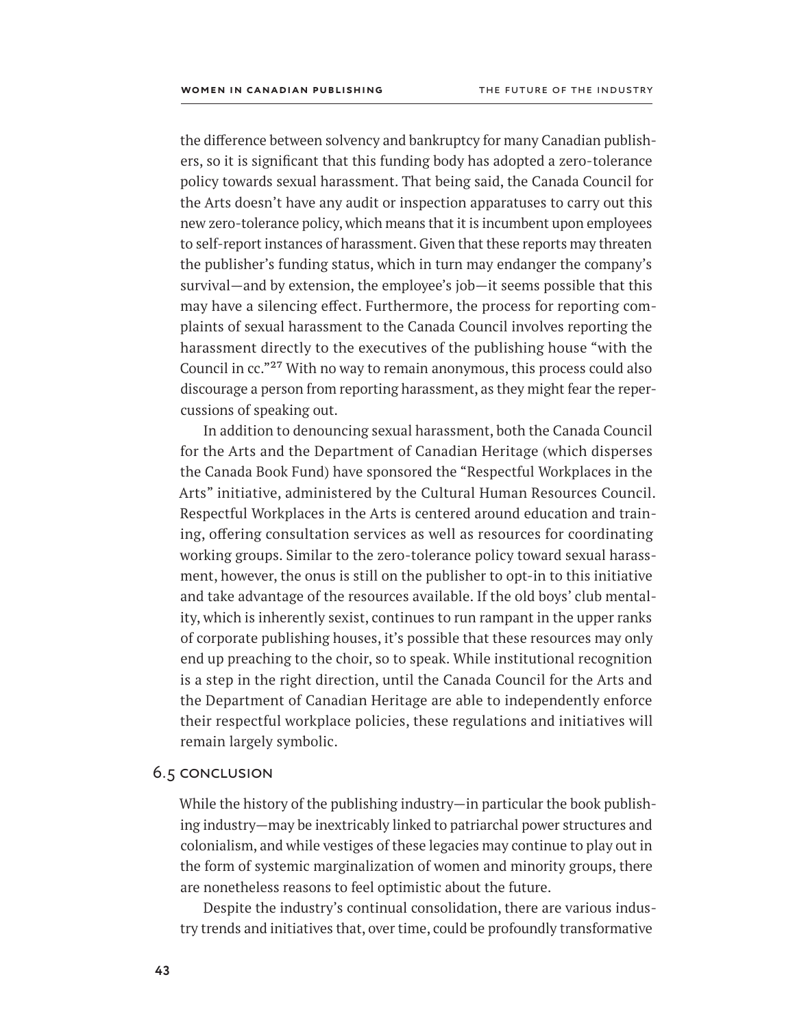the difference between solvency and bankruptcy for many Canadian publishers, so it is significant that this funding body has adopted a zero-tolerance policy towards sexual harassment. That being said, the Canada Council for the Arts doesn't have any audit or inspection apparatuses to carry out this new zero-tolerance policy, which means that it is incumbent upon employees to self-report instances of harassment. Given that these reports may threaten the publisher's funding status, which in turn may endanger the company's survival—and by extension, the employee's job—it seems possible that this may have a silencing effect. Furthermore, the process for reporting complaints of sexual harassment to the Canada Council involves reporting the harassment directly to the executives of the publishing house "with the Council in cc."27 With no way to remain anonymous, this process could also discourage a person from reporting harassment, as they might fear the repercussions of speaking out.

In addition to denouncing sexual harassment, both the Canada Council for the Arts and the Department of Canadian Heritage (which disperses the Canada Book Fund) have sponsored the "Respectful Workplaces in the Arts" initiative, administered by the Cultural Human Resources Council. Respectful Workplaces in the Arts is centered around education and training, offering consultation services as well as resources for coordinating working groups. Similar to the zero-tolerance policy toward sexual harassment, however, the onus is still on the publisher to opt-in to this initiative and take advantage of the resources available. If the old boys' club mentality, which is inherently sexist, continues to run rampant in the upper ranks of corporate publishing houses, it's possible that these resources may only end up preaching to the choir, so to speak. While institutional recognition is a step in the right direction, until the Canada Council for the Arts and the Department of Canadian Heritage are able to independently enforce their respectful workplace policies, these regulations and initiatives will remain largely symbolic.

### 6.5 conclusion

While the history of the publishing industry—in particular the book publishing industry—may be inextricably linked to patriarchal power structures and colonialism, and while vestiges of these legacies may continue to play out in the form of systemic marginalization of women and minority groups, there are nonetheless reasons to feel optimistic about the future.

Despite the industry's continual consolidation, there are various industry trends and initiatives that, over time, could be profoundly transformative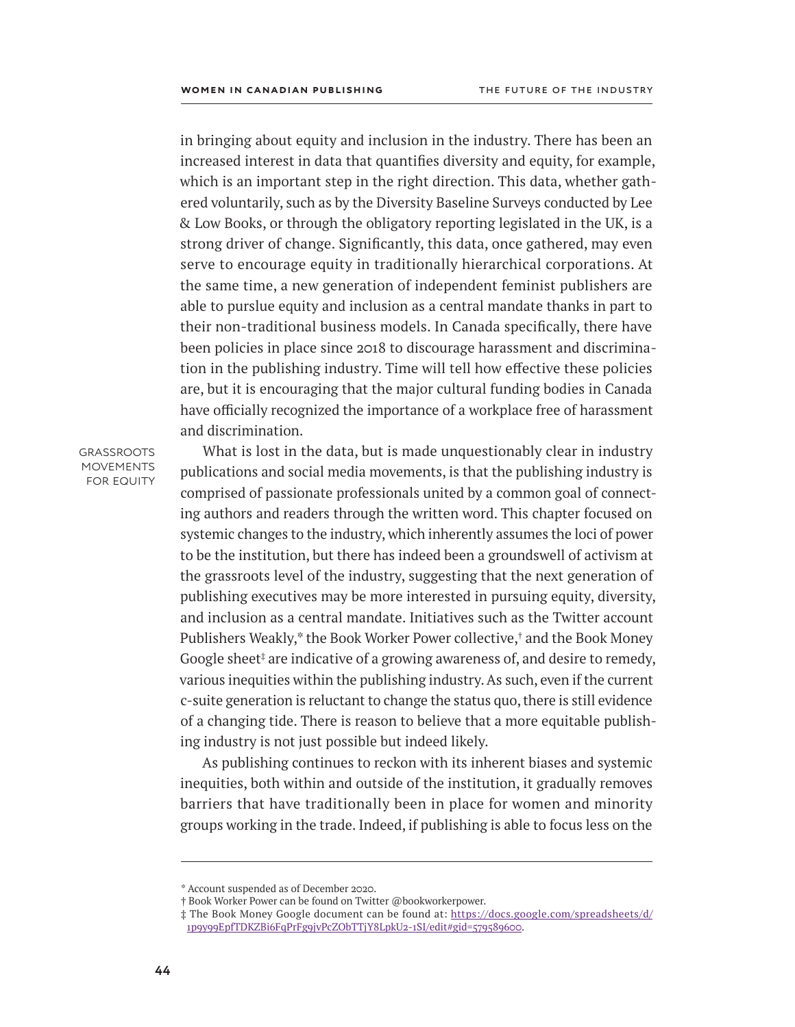in bringing about equity and inclusion in the industry. There has been an increased interest in data that quantifies diversity and equity, for example, which is an important step in the right direction. This data, whether gathered voluntarily, such as by the Diversity Baseline Surveys conducted by Lee & Low Books, or through the obligatory reporting legislated in the UK, is a strong driver of change. Significantly, this data, once gathered, may even serve to encourage equity in traditionally hierarchical corporations. At the same time, a new generation of independent feminist publishers are able to purslue equity and inclusion as a central mandate thanks in part to their non-traditional business models. In Canada specifically, there have been policies in place since 2018 to discourage harassment and discrimination in the publishing industry. Time will tell how effective these policies are, but it is encouraging that the major cultural funding bodies in Canada have officially recognized the importance of a workplace free of harassment and discrimination.

**GRASSROOTS MOVEMENTS** FOR EQUITY

What is lost in the data, but is made unquestionably clear in industry publications and social media movements, is that the publishing industry is comprised of passionate professionals united by a common goal of connecting authors and readers through the written word. This chapter focused on systemic changes to the industry, which inherently assumes the loci of power to be the institution, but there has indeed been a groundswell of activism at the grassroots level of the industry, suggesting that the next generation of publishing executives may be more interested in pursuing equity, diversity, and inclusion as a central mandate. Initiatives such as the Twitter account Publishers Weakly,\* the Book Worker Power collective,† and the Book Money Google sheet<sup>‡</sup> are indicative of a growing awareness of, and desire to remedy, various inequities within the publishing industry. As such, even if the current c-suite generation is reluctant to change the status quo, there is still evidence of a changing tide. There is reason to believe that a more equitable publishing industry is not just possible but indeed likely.

As publishing continues to reckon with its inherent biases and systemic inequities, both within and outside of the institution, it gradually removes barriers that have traditionally been in place for women and minority groups working in the trade. Indeed, if publishing is able to focus less on the

<sup>\*</sup> Account suspended as of December 2020.

<sup>†</sup> Book Worker Power can be found on Twitter @bookworkerpower.

<sup>‡</sup> The Book Money Google document can be found at: [https://docs.google.com/spreadsheets/d/](https://docs.google.com/spreadsheets/d/1p9y99EpfTDKZBi6FqPrFg9jvPcZObTTjY8LpkU2-1SI/edit#gid=579589600) [1p9y99EpfTDKZBi6FqPrFg9jvPcZObTTjY8LpkU2-1SI/edit#gid=579589600.](https://docs.google.com/spreadsheets/d/1p9y99EpfTDKZBi6FqPrFg9jvPcZObTTjY8LpkU2-1SI/edit#gid=579589600)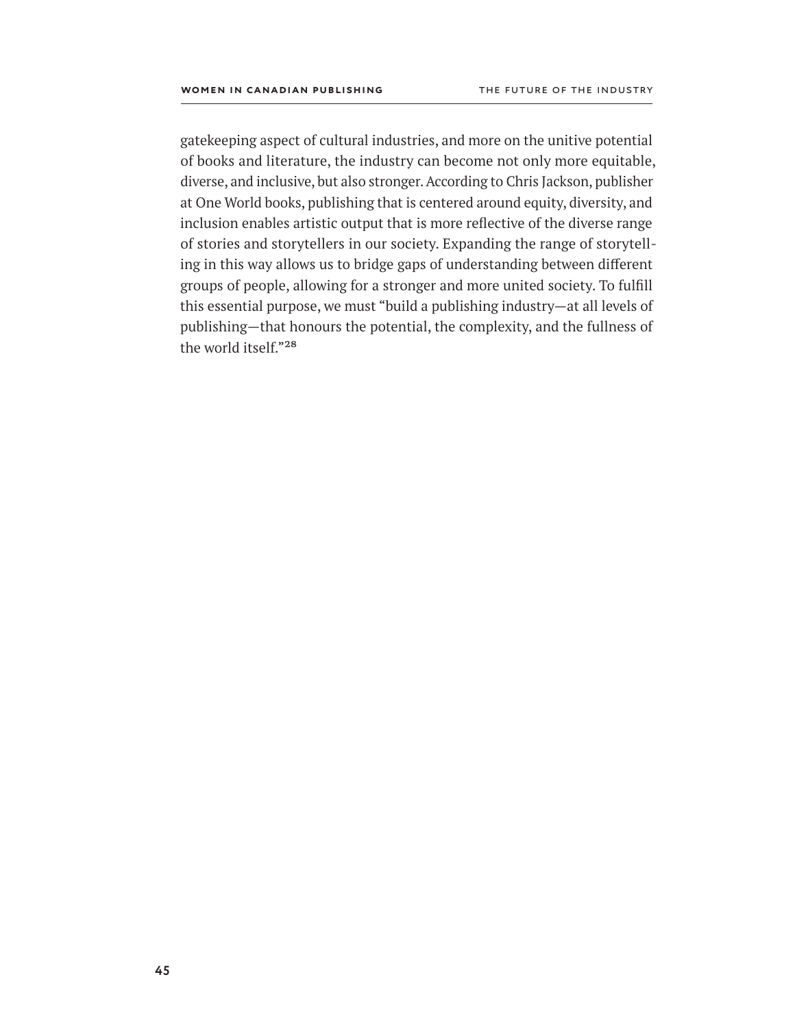gatekeeping aspect of cultural industries, and more on the unitive potential of books and literature, the industry can become not only more equitable, diverse, and inclusive, but also stronger. According to Chris Jackson, publisher at One World books, publishing that is centered around equity, diversity, and inclusion enables artistic output that is more reflective of the diverse range of stories and storytellers in our society. Expanding the range of storytelling in this way allows us to bridge gaps of understanding between different groups of people, allowing for a stronger and more united society. To fulfill this essential purpose, we must "build a publishing industry—at all levels of publishing—that honours the potential, the complexity, and the fullness of the world itself."28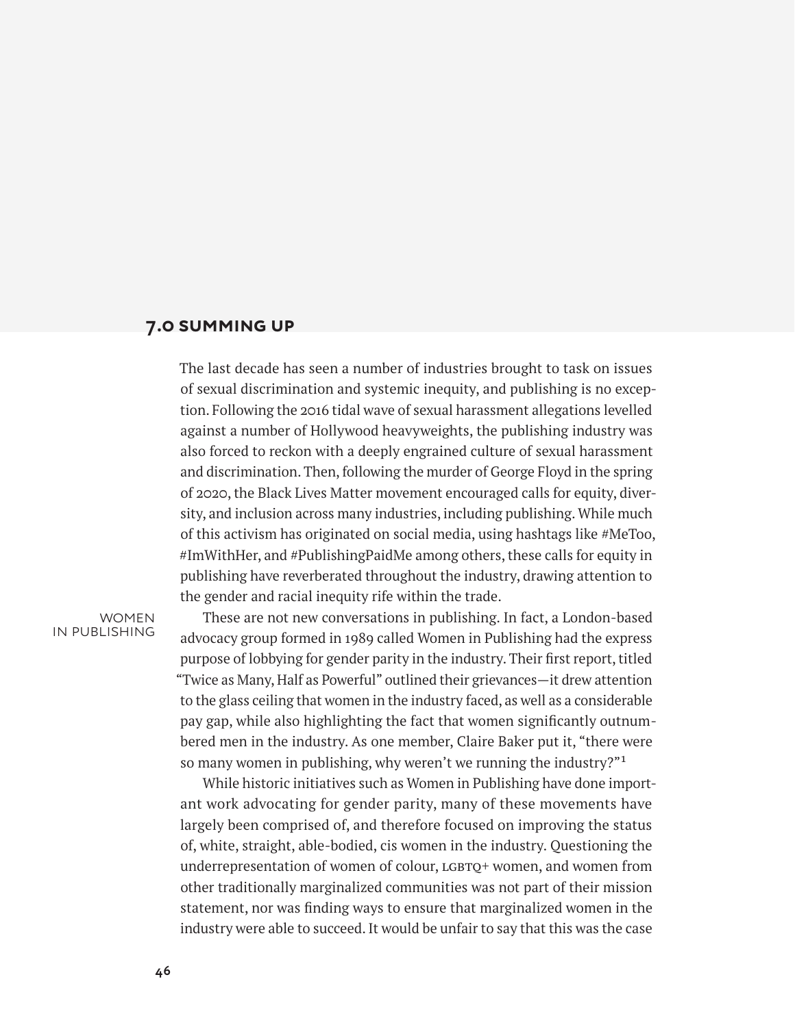# **7.0 summing up**

The last decade has seen a number of industries brought to task on issues of sexual discrimination and systemic inequity, and publishing is no exception. Following the 2016 tidal wave of sexual harassment allegations levelled against a number of Hollywood heavyweights, the publishing industry was also forced to reckon with a deeply engrained culture of sexual harassment and discrimination. Then, following the murder of George Floyd in the spring of 2020, the Black Lives Matter movement encouraged calls for equity, diversity, and inclusion across many industries, including publishing. While much of this activism has originated on social media, using hashtags like #MeToo, #ImWithHer, and #PublishingPaidMe among others, these calls for equity in publishing have reverberated throughout the industry, drawing attention to the gender and racial inequity rife within the trade.

#### **WOMEN** in publishing

These are not new conversations in publishing. In fact, a London-based advocacy group formed in 1989 called Women in Publishing had the express purpose of lobbying for gender parity in the industry. Their first report, titled "Twice as Many, Half as Powerful" outlined their grievances—it drew attention to the glass ceiling that women in the industry faced, as well as a considerable pay gap, while also highlighting the fact that women significantly outnumbered men in the industry. As one member, Claire Baker put it, "there were so many women in publishing, why weren't we running the industry?"1

While historic initiatives such as Women in Publishing have done important work advocating for gender parity, many of these movements have largely been comprised of, and therefore focused on improving the status of, white, straight, able-bodied, cis women in the industry. Questioning the underrepresentation of women of colour, LGBTQ+ women, and women from other traditionally marginalized communities was not part of their mission statement, nor was finding ways to ensure that marginalized women in the industry were able to succeed. It would be unfair to say that this was the case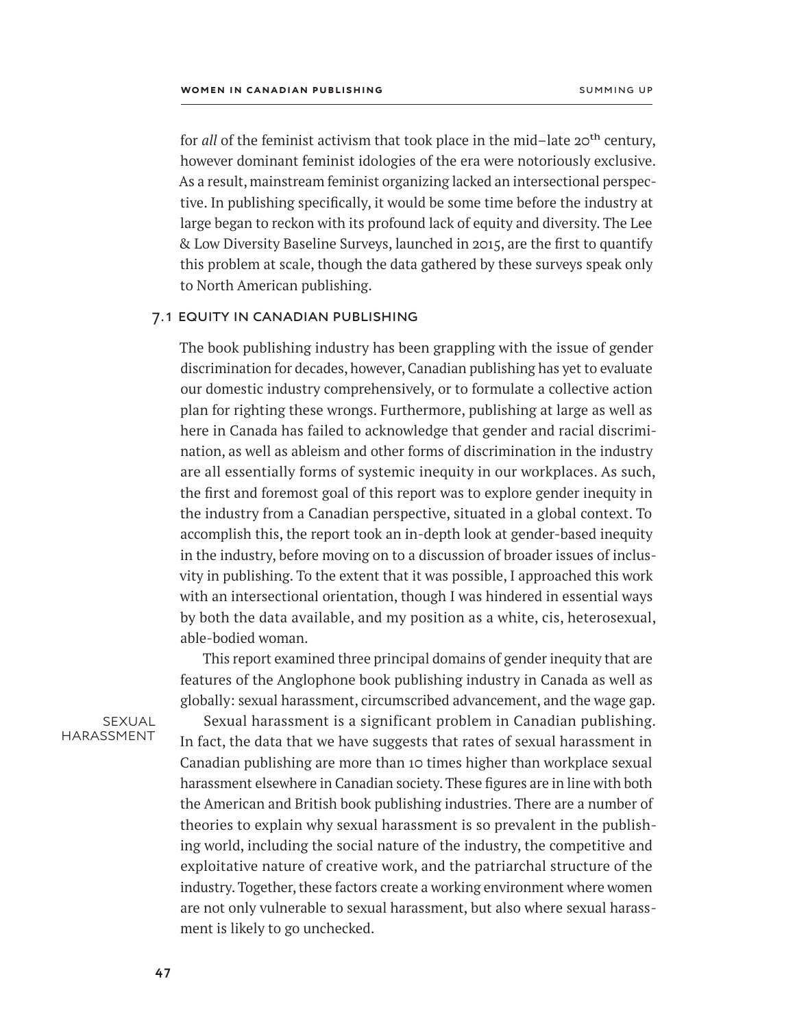for *all* of the feminist activism that took place in the mid–late 20<sup>th</sup> century, however dominant feminist idologies of the era were notoriously exclusive. As a result, mainstream feminist organizing lacked an intersectional perspective. In publishing specifically, it would be some time before the industry at large began to reckon with its profound lack of equity and diversity. The Lee & Low Diversity Baseline Surveys, launched in 2015, are the first to quantify this problem at scale, though the data gathered by these surveys speak only to North American publishing.

### 7.1 equity in canadian publishing

The book publishing industry has been grappling with the issue of gender discrimination for decades, however, Canadian publishing has yet to evaluate our domestic industry comprehensively, or to formulate a collective action plan for righting these wrongs. Furthermore, publishing at large as well as here in Canada has failed to acknowledge that gender and racial discrimination, as well as ableism and other forms of discrimination in the industry are all essentially forms of systemic inequity in our workplaces. As such, the first and foremost goal of this report was to explore gender inequity in the industry from a Canadian perspective, situated in a global context. To accomplish this, the report took an in-depth look at gender-based inequity in the industry, before moving on to a discussion of broader issues of inclusvity in publishing. To the extent that it was possible, I approached this work with an intersectional orientation, though I was hindered in essential ways by both the data available, and my position as a white, cis, heterosexual, able-bodied woman.

This report examined three principal domains of gender inequity that are features of the Anglophone book publishing industry in Canada as well as globally: sexual harassment, circumscribed advancement, and the wage gap.

sexual harassment

Sexual harassment is a significant problem in Canadian publishing. In fact, the data that we have suggests that rates of sexual harassment in Canadian publishing are more than 10 times higher than workplace sexual harassment elsewhere in Canadian society. These figures are in line with both the American and British book publishing industries. There are a number of theories to explain why sexual harassment is so prevalent in the publishing world, including the social nature of the industry, the competitive and exploitative nature of creative work, and the patriarchal structure of the industry. Together, these factors create a working environment where women are not only vulnerable to sexual harassment, but also where sexual harassment is likely to go unchecked.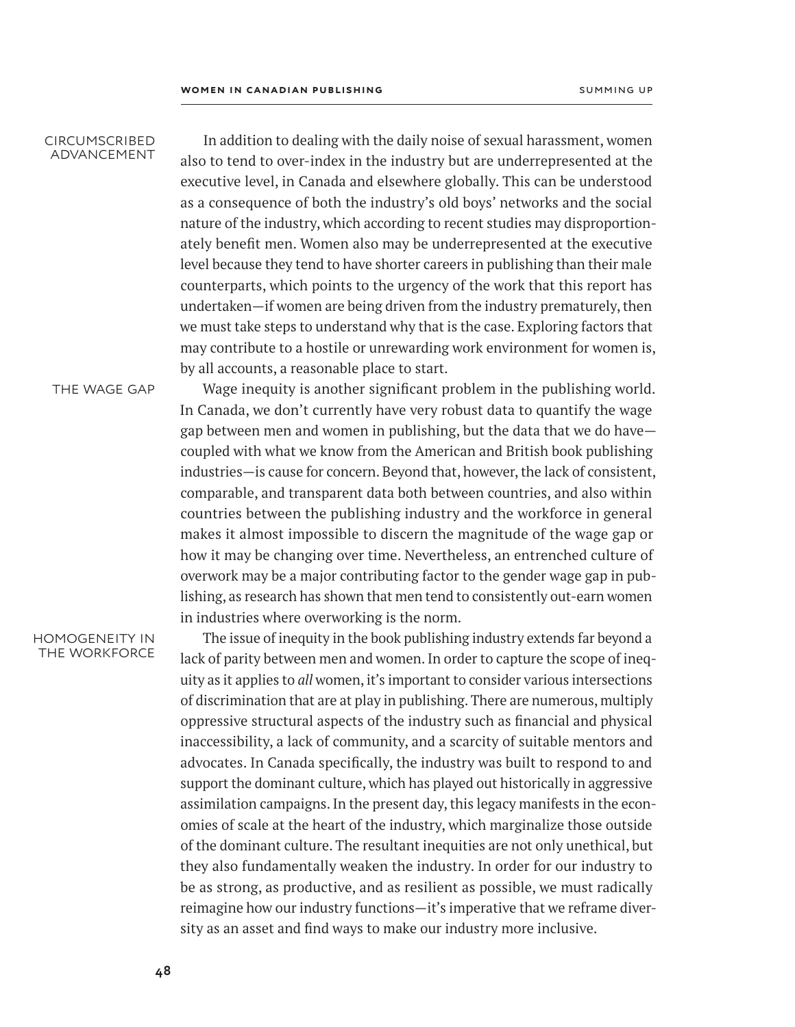#### circumscribed advancement

In addition to dealing with the daily noise of sexual harassment, women also to tend to over-index in the industry but are underrepresented at the executive level, in Canada and elsewhere globally. This can be understood as a consequence of both the industry's old boys' networks and the social nature of the industry, which according to recent studies may disproportionately benefit men. Women also may be underrepresented at the executive level because they tend to have shorter careers in publishing than their male counterparts, which points to the urgency of the work that this report has undertaken—if women are being driven from the industry prematurely, then we must take steps to understand why that is the case. Exploring factors that may contribute to a hostile or unrewarding work environment for women is, by all accounts, a reasonable place to start.

THE WAGE GAP

Wage inequity is another significant problem in the publishing world. In Canada, we don't currently have very robust data to quantify the wage gap between men and women in publishing, but the data that we do have coupled with what we know from the American and British book publishing industries—is cause for concern. Beyond that, however, the lack of consistent, comparable, and transparent data both between countries, and also within countries between the publishing industry and the workforce in general makes it almost impossible to discern the magnitude of the wage gap or how it may be changing over time. Nevertheless, an entrenched culture of overwork may be a major contributing factor to the gender wage gap in publishing, as research has shown that men tend to consistently out-earn women in industries where overworking is the norm.

#### homogeneity in the workforce

The issue of inequity in the book publishing industry extends far beyond a lack of parity between men and women. In order to capture the scope of inequity as it applies to *all* women, it's important to consider various intersections of discrimination that are at play in publishing. There are numerous, multiply oppressive structural aspects of the industry such as financial and physical inaccessibility, a lack of community, and a scarcity of suitable mentors and advocates. In Canada specifically, the industry was built to respond to and support the dominant culture, which has played out historically in aggressive assimilation campaigns. In the present day, this legacy manifests in the economies of scale at the heart of the industry, which marginalize those outside of the dominant culture. The resultant inequities are not only unethical, but they also fundamentally weaken the industry. In order for our industry to be as strong, as productive, and as resilient as possible, we must radically reimagine how our industry functions—it's imperative that we reframe diversity as an asset and find ways to make our industry more inclusive.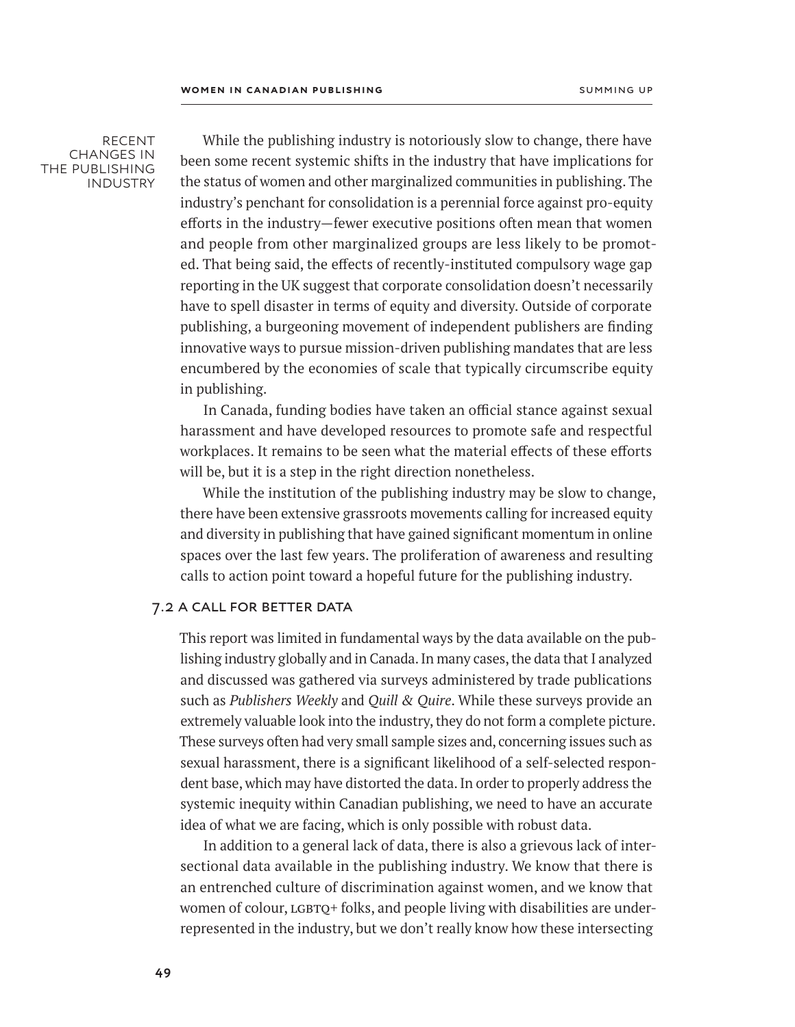**RECENT** changes in the publishing **INDUSTRY** 

While the publishing industry is notoriously slow to change, there have been some recent systemic shifts in the industry that have implications for the status of women and other marginalized communities in publishing. The industry's penchant for consolidation is a perennial force against pro-equity efforts in the industry—fewer executive positions often mean that women and people from other marginalized groups are less likely to be promoted. That being said, the effects of recently-instituted compulsory wage gap reporting in the UK suggest that corporate consolidation doesn't necessarily have to spell disaster in terms of equity and diversity. Outside of corporate publishing, a burgeoning movement of independent publishers are finding innovative ways to pursue mission-driven publishing mandates that are less encumbered by the economies of scale that typically circumscribe equity in publishing.

In Canada, funding bodies have taken an official stance against sexual harassment and have developed resources to promote safe and respectful workplaces. It remains to be seen what the material effects of these efforts will be, but it is a step in the right direction nonetheless.

While the institution of the publishing industry may be slow to change, there have been extensive grassroots movements calling for increased equity and diversity in publishing that have gained significant momentum in online spaces over the last few years. The proliferation of awareness and resulting calls to action point toward a hopeful future for the publishing industry.

#### 7.2 a call for better data

This report was limited in fundamental ways by the data available on the publishing industry globally and in Canada. In many cases, the data that I analyzed and discussed was gathered via surveys administered by trade publications such as *Publishers Weekly* and *Quill & Quire*. While these surveys provide an extremely valuable look into the industry, they do not form a complete picture. These surveys often had very small sample sizes and, concerning issues such as sexual harassment, there is a significant likelihood of a self-selected respondent base, which may have distorted the data. In order to properly address the systemic inequity within Canadian publishing, we need to have an accurate idea of what we are facing, which is only possible with robust data.

In addition to a general lack of data, there is also a grievous lack of intersectional data available in the publishing industry. We know that there is an entrenched culture of discrimination against women, and we know that women of colour,  $LGPQ+$  folks, and people living with disabilities are underrepresented in the industry, but we don't really know how these intersecting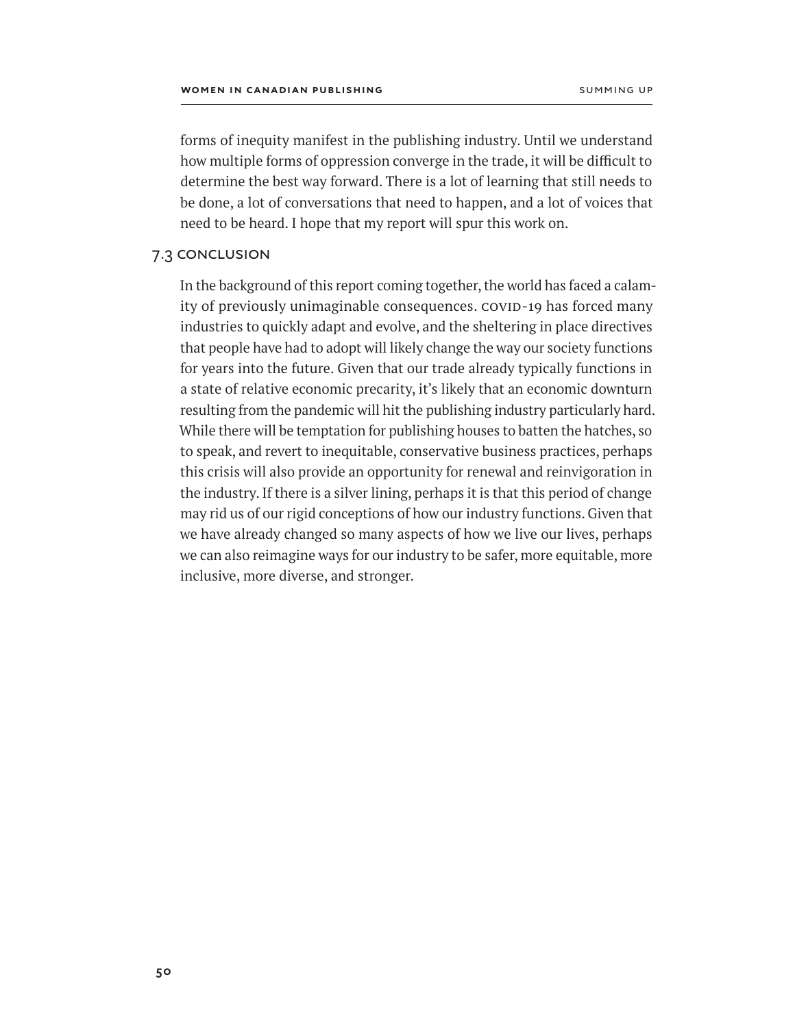forms of inequity manifest in the publishing industry. Until we understand how multiple forms of oppression converge in the trade, it will be difficult to determine the best way forward. There is a lot of learning that still needs to be done, a lot of conversations that need to happen, and a lot of voices that need to be heard. I hope that my report will spur this work on.

# 7.3 conclusion

In the background of this report coming together, the world has faced a calamity of previously unimaginable consequences. COVID-19 has forced many industries to quickly adapt and evolve, and the sheltering in place directives that people have had to adopt will likely change the way our society functions for years into the future. Given that our trade already typically functions in a state of relative economic precarity, it's likely that an economic downturn resulting from the pandemic will hit the publishing industry particularly hard. While there will be temptation for publishing houses to batten the hatches, so to speak, and revert to inequitable, conservative business practices, perhaps this crisis will also provide an opportunity for renewal and reinvigoration in the industry. If there is a silver lining, perhaps it is that this period of change may rid us of our rigid conceptions of how our industry functions. Given that we have already changed so many aspects of how we live our lives, perhaps we can also reimagine ways for our industry to be safer, more equitable, more inclusive, more diverse, and stronger.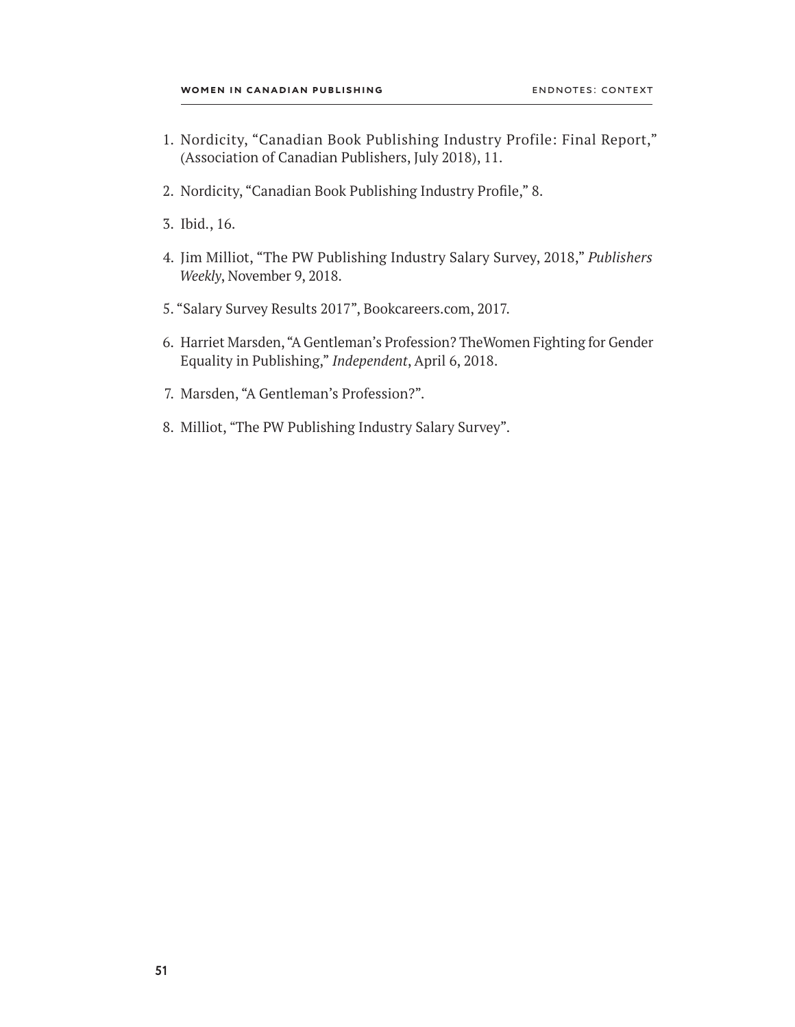- 1. Nordicity, "Canadian Book Publishing Industry Profile: Final Report," (Association of Canadian Publishers, July 2018), 11.
- 2. Nordicity, "Canadian Book Publishing Industry Profile," 8.
- 3. Ibid., 16.
- 4. Jim Milliot, "The PW Publishing Industry Salary Survey, 2018," *Publishers Weekly*, November 9, 2018.
- 5. "Salary Survey Results 2017", Bookcareers.com, 2017.
- 6. Harriet Marsden, "A Gentleman's Profession? TheWomen Fighting for Gender Equality in Publishing," *Independent*, April 6, 2018.
- 7. Marsden, "A Gentleman's Profession?".
- 8. Milliot, "The PW Publishing Industry Salary Survey".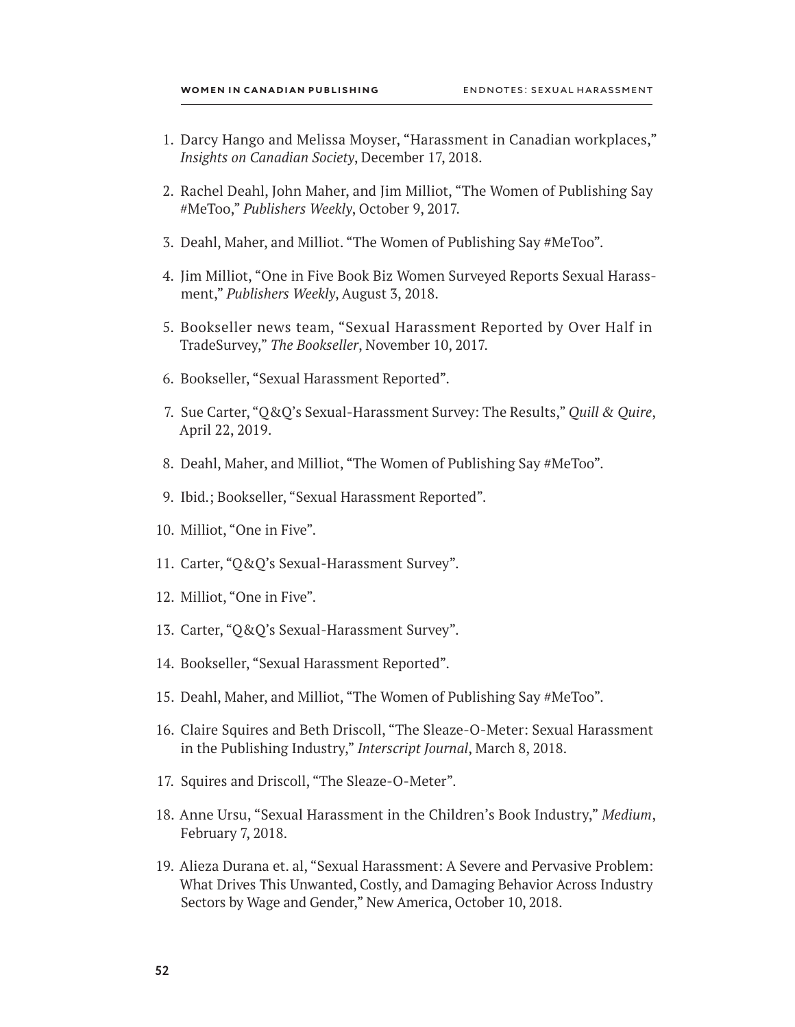- 1. Darcy Hango and Melissa Moyser, "Harassment in Canadian workplaces," *Insights on Canadian Society*, December 17, 2018.
- 2. Rachel Deahl, John Maher, and Jim Milliot, "The Women of Publishing Say #MeToo," *Publishers Weekly*, October 9, 2017.
- 3. Deahl, Maher, and Milliot. "The Women of Publishing Say #MeToo".
- 4. Jim Milliot, "One in Five Book Biz Women Surveyed Reports Sexual Harassment," *Publishers Weekly*, August 3, 2018.
- 5. Bookseller news team, "Sexual Harassment Reported by Over Half in TradeSurvey," *The Bookseller*, November 10, 2017.
- 6. Bookseller, "Sexual Harassment Reported".
- 7. Sue Carter, "Q&Q's Sexual-Harassment Survey: The Results," *Quill & Quire*, April 22, 2019.
- 8. Deahl, Maher, and Milliot, "The Women of Publishing Say #MeToo".
- 9. Ibid.; Bookseller, "Sexual Harassment Reported".
- 10. Milliot, "One in Five".
- 11. Carter, "Q&Q's Sexual-Harassment Survey".
- 12. Milliot, "One in Five".
- 13. Carter, "Q&Q's Sexual-Harassment Survey".
- 14. Bookseller, "Sexual Harassment Reported".
- 15. Deahl, Maher, and Milliot, "The Women of Publishing Say #MeToo".
- 16. Claire Squires and Beth Driscoll, "The Sleaze-O-Meter: Sexual Harassment in the Publishing Industry," *Interscript Journal*, March 8, 2018.
- 17. Squires and Driscoll, "The Sleaze-O-Meter".
- 18. Anne Ursu, "Sexual Harassment in the Children's Book Industry," *Medium*, February 7, 2018.
- 19. Alieza Durana et. al, "Sexual Harassment: A Severe and Pervasive Problem: What Drives This Unwanted, Costly, and Damaging Behavior Across Industry Sectors by Wage and Gender," New America, October 10, 2018.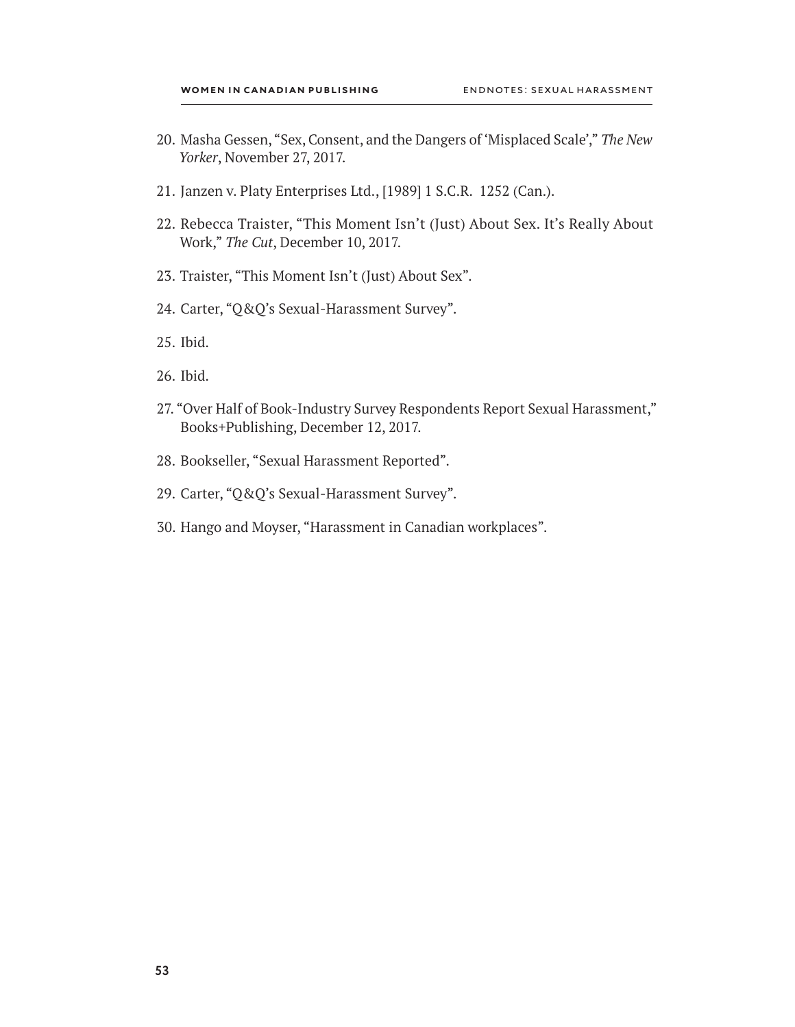- 20. Masha Gessen, "Sex, Consent, and the Dangers of 'Misplaced Scale'," *The New Yorker*, November 27, 2017.
- 21. Janzen v. Platy Enterprises Ltd., [1989] 1 S.C.R. 1252 (Can.).
- 22. Rebecca Traister, "This Moment Isn't (Just) About Sex. It's Really About Work," *The Cut*, December 10, 2017.
- 23. Traister, "This Moment Isn't (Just) About Sex".
- 24. Carter, "Q&Q's Sexual-Harassment Survey".
- 25. Ibid.
- 26. Ibid.
- 27. "Over Half of Book-Industry Survey Respondents Report Sexual Harassment," Books+Publishing, December 12, 2017.
- 28. Bookseller, "Sexual Harassment Reported".
- 29. Carter, "Q&Q's Sexual-Harassment Survey".
- 30. Hango and Moyser, "Harassment in Canadian workplaces".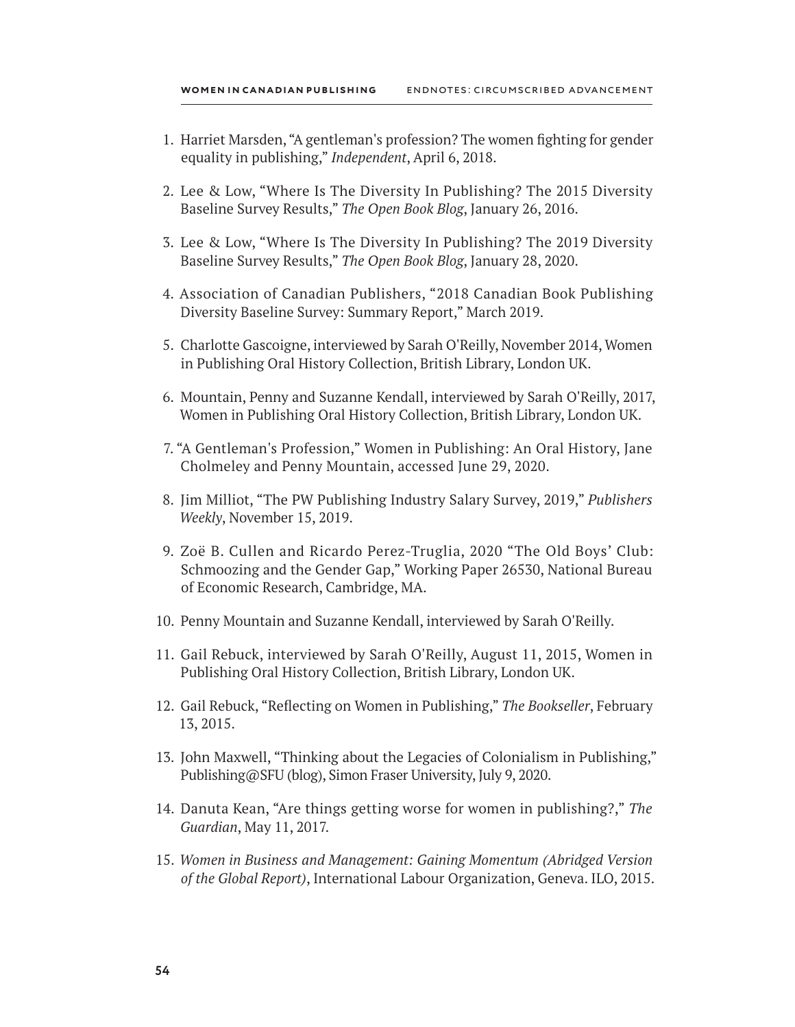- 1. Harriet Marsden, "A gentleman's profession? The women fighting for gender equality in publishing," *Independent*, April 6, 2018.
- 2. Lee & Low, "Where Is The Diversity In Publishing? The 2015 Diversity Baseline Survey Results," *The Open Book Blog*, January 26, 2016.
- 3. Lee & Low, "Where Is The Diversity In Publishing? The 2019 Diversity Baseline Survey Results," *The Open Book Blog*, January 28, 2020.
- 4. Association of Canadian Publishers, "2018 Canadian Book Publishing Diversity Baseline Survey: Summary Report," March 2019.
- 5. Charlotte Gascoigne, interviewed by Sarah O'Reilly, November 2014, Women in Publishing Oral History Collection, British Library, London UK.
- 6. Mountain, Penny and Suzanne Kendall, interviewed by Sarah O'Reilly, 2017, Women in Publishing Oral History Collection, British Library, London UK.
- 7. "A Gentleman's Profession," Women in Publishing: An Oral History, Jane Cholmeley and Penny Mountain, accessed June 29, 2020.
- 8. Jim Milliot, "The PW Publishing Industry Salary Survey, 2019," *Publishers Weekly*, November 15, 2019.
- 9. Zoë B. Cullen and Ricardo Perez-Truglia, 2020 "The Old Boys' Club: Schmoozing and the Gender Gap," Working Paper 26530, National Bureau of Economic Research, Cambridge, MA.
- 10. Penny Mountain and Suzanne Kendall, interviewed by Sarah O'Reilly.
- 11. Gail Rebuck, interviewed by Sarah O'Reilly, August 11, 2015, Women in Publishing Oral History Collection, British Library, London UK.
- 12. Gail Rebuck, "Reflecting on Women in Publishing," *The Bookseller*, February 13, 2015.
- 13. John Maxwell, "Thinking about the Legacies of Colonialism in Publishing," Publishing@SFU (blog), Simon Fraser University, July 9, 2020.
- 14. Danuta Kean, "Are things getting worse for women in publishing?," *The Guardian*, May 11, 2017.
- 15. *Women in Business and Management: Gaining Momentum (Abridged Version of the Global Report)*, International Labour Organization, Geneva. ILO, 2015.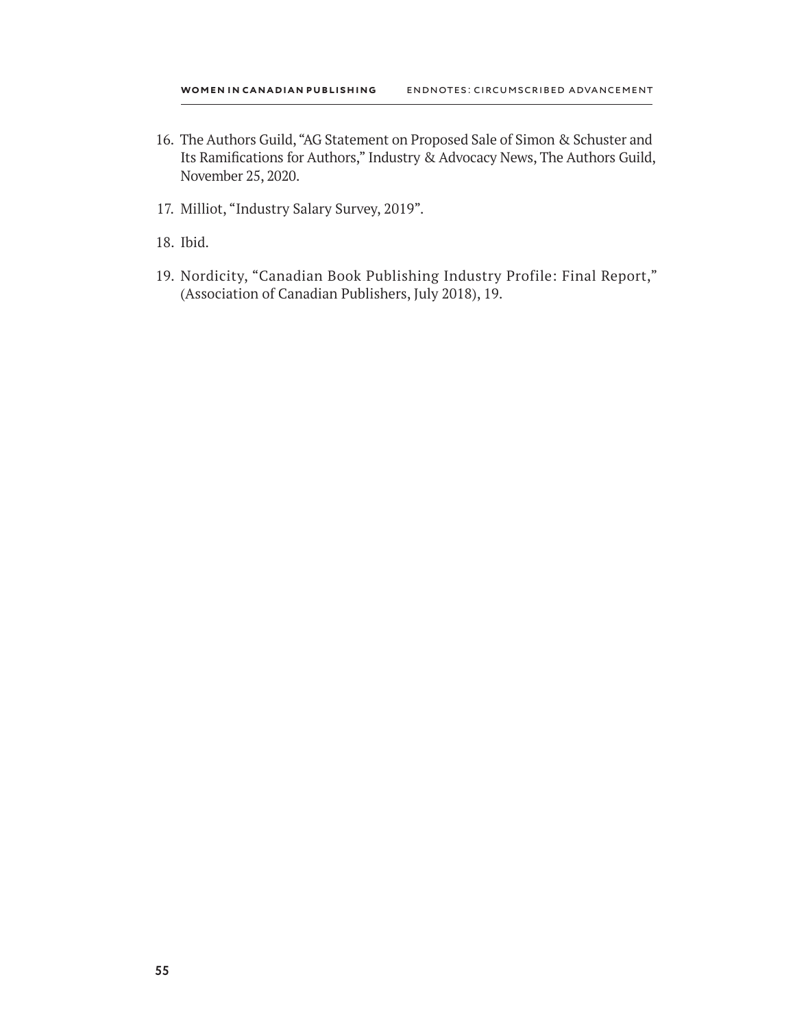- 16. The Authors Guild, "AG Statement on Proposed Sale of Simon & Schuster and Its Ramifications for Authors," Industry & Advocacy News, The Authors Guild, November 25, 2020.
- 17. Milliot, "Industry Salary Survey, 2019".
- 18. Ibid.
- 19. Nordicity, "Canadian Book Publishing Industry Profile: Final Report," (Association of Canadian Publishers, July 2018), 19.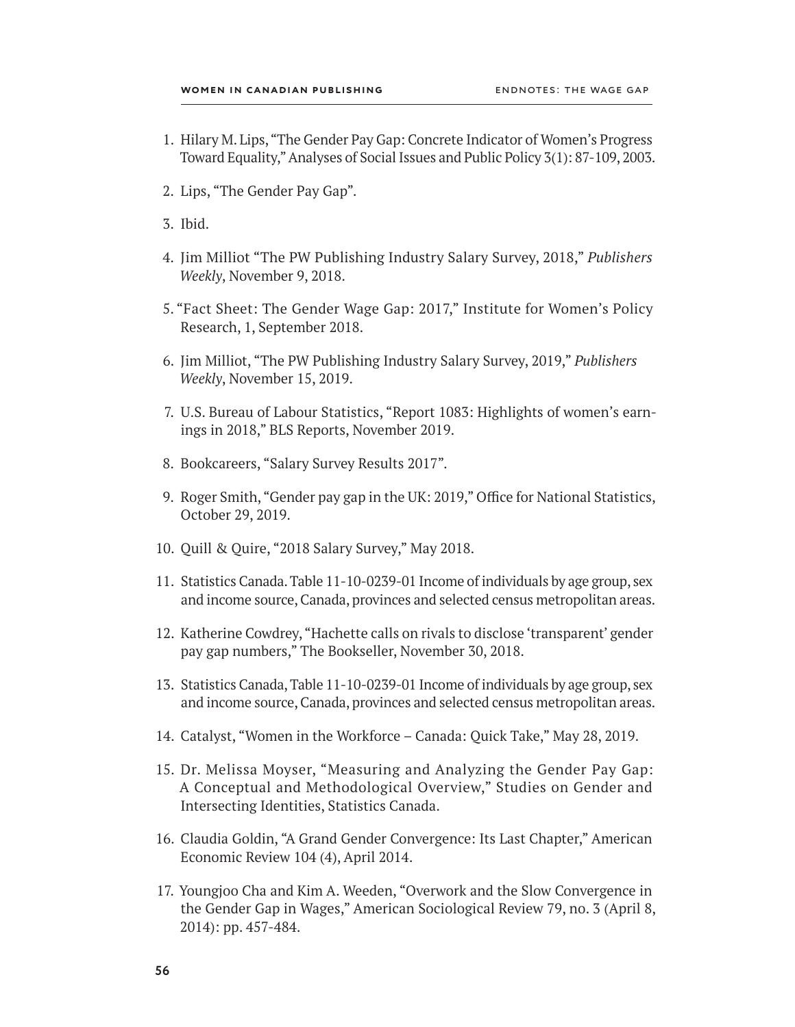- 1. Hilary M. Lips, "The Gender Pay Gap: Concrete Indicator of Women's Progress Toward Equality," Analyses of Social Issues and Public Policy 3(1): 87-109, 2003.
- 2. Lips, "The Gender Pay Gap".
- 3. Ibid.
- 4. Jim Milliot "The PW Publishing Industry Salary Survey, 2018," *Publishers Weekly*, November 9, 2018.
- 5. "Fact Sheet: The Gender Wage Gap: 2017," Institute for Women's Policy Research, 1, September 2018.
- 6. Jim Milliot, "The PW Publishing Industry Salary Survey, 2019," *Publishers Weekly*, November 15, 2019.
- 7. U.S. Bureau of Labour Statistics, "Report 1083: Highlights of women's earnings in 2018," BLS Reports, November 2019.
- 8. Bookcareers, "Salary Survey Results 2017".
- 9. Roger Smith, "Gender pay gap in the UK: 2019," Office for National Statistics, October 29, 2019.
- 10. Quill & Quire, "2018 Salary Survey," May 2018.
- 11. Statistics Canada. Table 11-10-0239-01 Income of individuals by age group, sex and income source, Canada, provinces and selected census metropolitan areas.
- 12. Katherine Cowdrey, "Hachette calls on rivals to disclose 'transparent' gender pay gap numbers," The Bookseller, November 30, 2018.
- 13. Statistics Canada, Table 11-10-0239-01 Income of individuals by age group, sex and income source, Canada, provinces and selected census metropolitan areas.
- 14. Catalyst, "Women in the Workforce Canada: Quick Take," May 28, 2019.
- 15. Dr. Melissa Moyser, "Measuring and Analyzing the Gender Pay Gap: A Conceptual and Methodological Overview," Studies on Gender and Intersecting Identities, Statistics Canada.
- 16. Claudia Goldin, "A Grand Gender Convergence: Its Last Chapter," American Economic Review 104 (4), April 2014.
- 17. Youngjoo Cha and Kim A. Weeden, "Overwork and the Slow Convergence in the Gender Gap in Wages," American Sociological Review 79, no. 3 (April 8, 2014): pp. 457-484.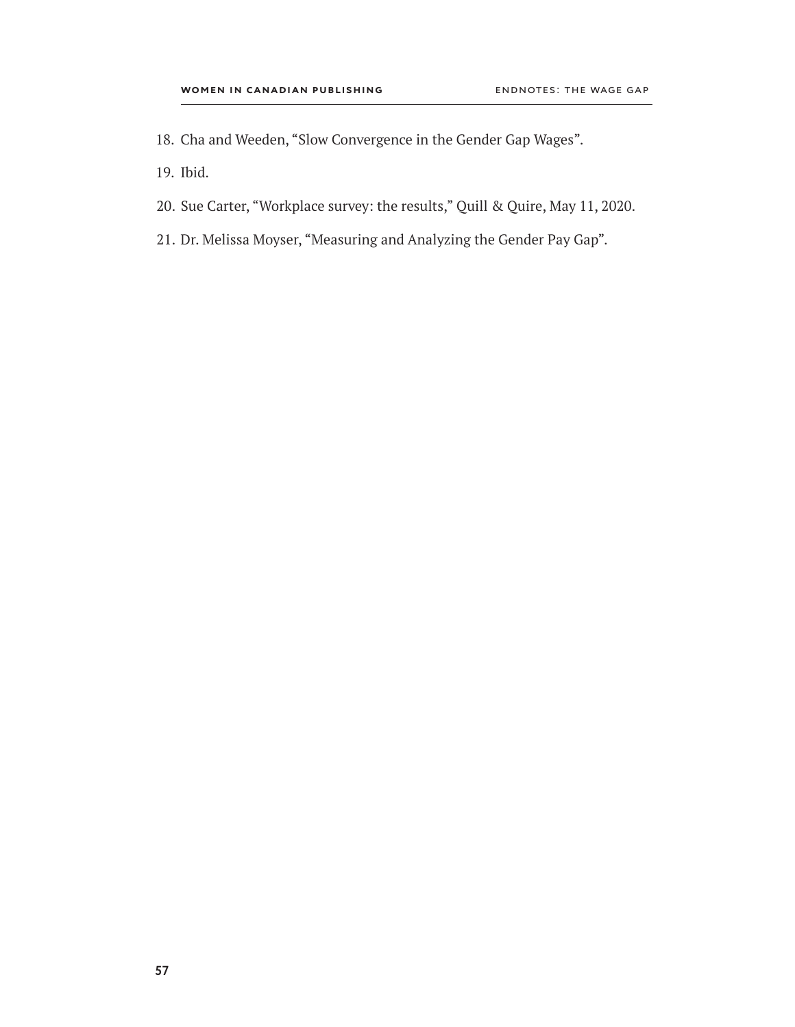- 18. Cha and Weeden, "Slow Convergence in the Gender Gap Wages".
- 19. Ibid.
- 20. Sue Carter, "Workplace survey: the results," Quill & Quire, May 11, 2020.
- 21. Dr. Melissa Moyser, "Measuring and Analyzing the Gender Pay Gap".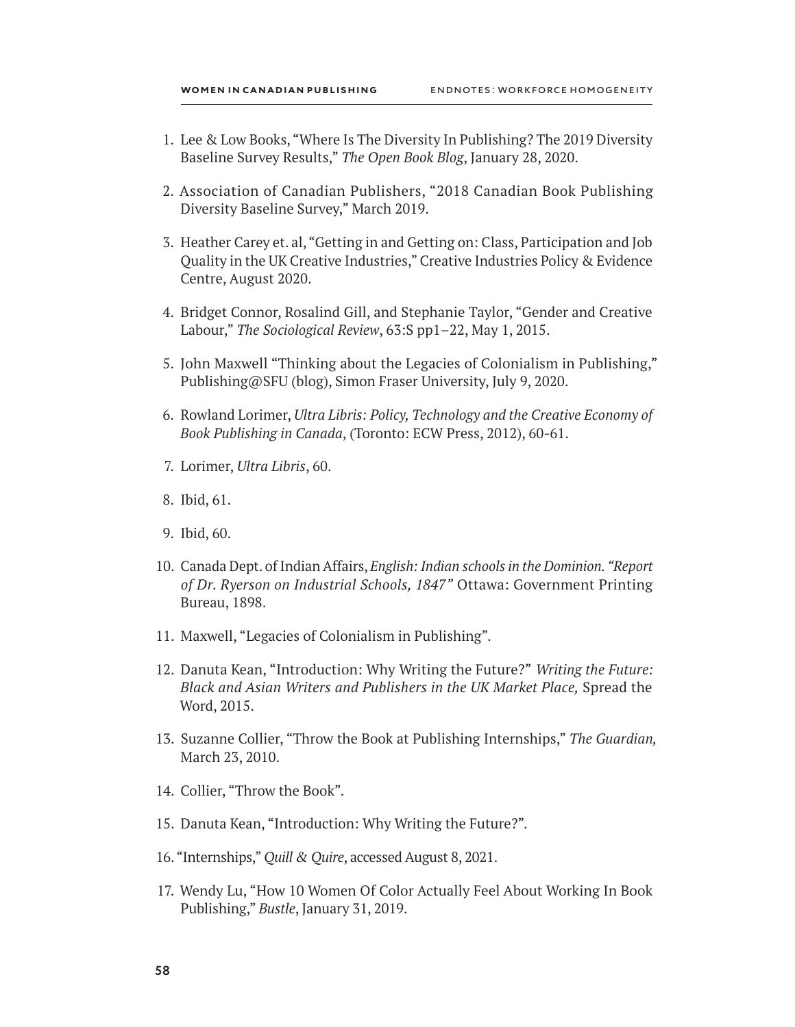- 1. Lee & Low Books, "Where Is The Diversity In Publishing? The 2019 Diversity Baseline Survey Results," *The Open Book Blog*, January 28, 2020.
- 2. Association of Canadian Publishers, "2018 Canadian Book Publishing Diversity Baseline Survey," March 2019.
- 3. Heather Carey et. al, "Getting in and Getting on: Class, Participation and Job Quality in the UK Creative Industries," Creative Industries Policy & Evidence Centre, August 2020.
- 4. Bridget Connor, Rosalind Gill, and Stephanie Taylor, "Gender and Creative Labour," *The Sociological Review*, 63:S pp1–22, May 1, 2015.
- 5. John Maxwell "Thinking about the Legacies of Colonialism in Publishing," Publishing@SFU (blog), Simon Fraser University, July 9, 2020.
- 6. Rowland Lorimer, *Ultra Libris: Policy, Technology and the Creative Economy of Book Publishing in Canada*, (Toronto: ECW Press, 2012), 60-61.
- 7. Lorimer, *Ultra Libris*, 60.
- 8. Ibid, 61.
- 9. Ibid, 60.
- 10. Canada Dept. of Indian Affairs, *English: Indian schools in the Dominion. "Report of Dr. Ryerson on Industrial Schools, 1847"* Ottawa: Government Printing Bureau, 1898.
- 11. Maxwell, "Legacies of Colonialism in Publishing".
- 12. Danuta Kean, "Introduction: Why Writing the Future?" *Writing the Future: Black and Asian Writers and Publishers in the UK Market Place,* Spread the Word, 2015.
- 13. Suzanne Collier, "Throw the Book at Publishing Internships," *The Guardian,*  March 23, 2010.
- 14. Collier, "Throw the Book".
- 15. Danuta Kean, "Introduction: Why Writing the Future?".
- 16. "Internships," *Quill & Quire*, accessed August 8, 2021.
- 17. Wendy Lu, "How 10 Women Of Color Actually Feel About Working In Book Publishing," *Bustle*, January 31, 2019.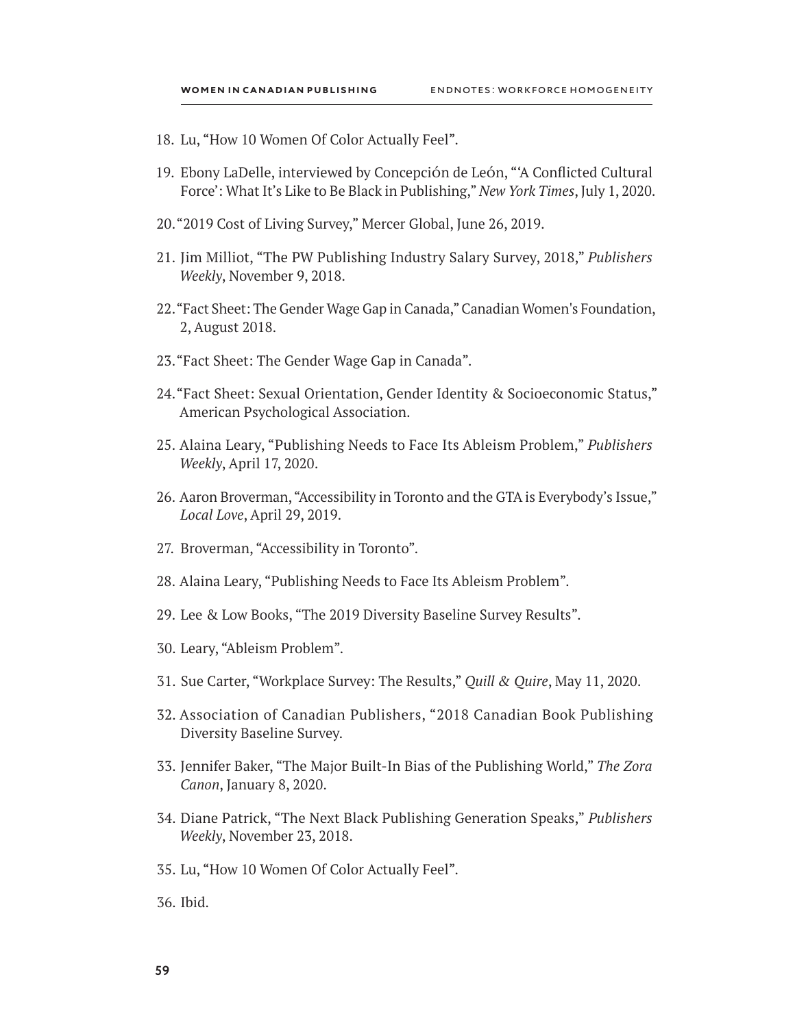- 18. Lu, "How 10 Women Of Color Actually Feel".
- 19. Ebony LaDelle, interviewed by Concepción de León, "'A Conflicted Cultural Force': What It's Like to Be Black in Publishing," *New York Times*, July 1, 2020.
- 20."2019 Cost of Living Survey," Mercer Global, June 26, 2019.
- 21. Jim Milliot, "The PW Publishing Industry Salary Survey, 2018," *Publishers Weekly*, November 9, 2018.
- 22."Fact Sheet: The Gender Wage Gap in Canada," Canadian Women's Foundation, 2, August 2018.
- 23."Fact Sheet: The Gender Wage Gap in Canada".
- 24."Fact Sheet: Sexual Orientation, Gender Identity & Socioeconomic Status," American Psychological Association.
- 25. Alaina Leary, "Publishing Needs to Face Its Ableism Problem," *Publishers Weekly*, April 17, 2020.
- 26. Aaron Broverman, "Accessibility in Toronto and the GTA is Everybody's Issue," *Local Love*, April 29, 2019.
- 27. Broverman, "Accessibility in Toronto".
- 28. Alaina Leary, "Publishing Needs to Face Its Ableism Problem".
- 29. Lee & Low Books, "The 2019 Diversity Baseline Survey Results".
- 30. Leary, "Ableism Problem".
- 31. Sue Carter, "Workplace Survey: The Results," *Quill & Quire*, May 11, 2020.
- 32. Association of Canadian Publishers, "2018 Canadian Book Publishing Diversity Baseline Survey.
- 33. Jennifer Baker, "The Major Built-In Bias of the Publishing World," *The Zora Canon*, January 8, 2020.
- 34. Diane Patrick, "The Next Black Publishing Generation Speaks," *Publishers Weekly*, November 23, 2018.
- 35. Lu, "How 10 Women Of Color Actually Feel".
- 36. Ibid.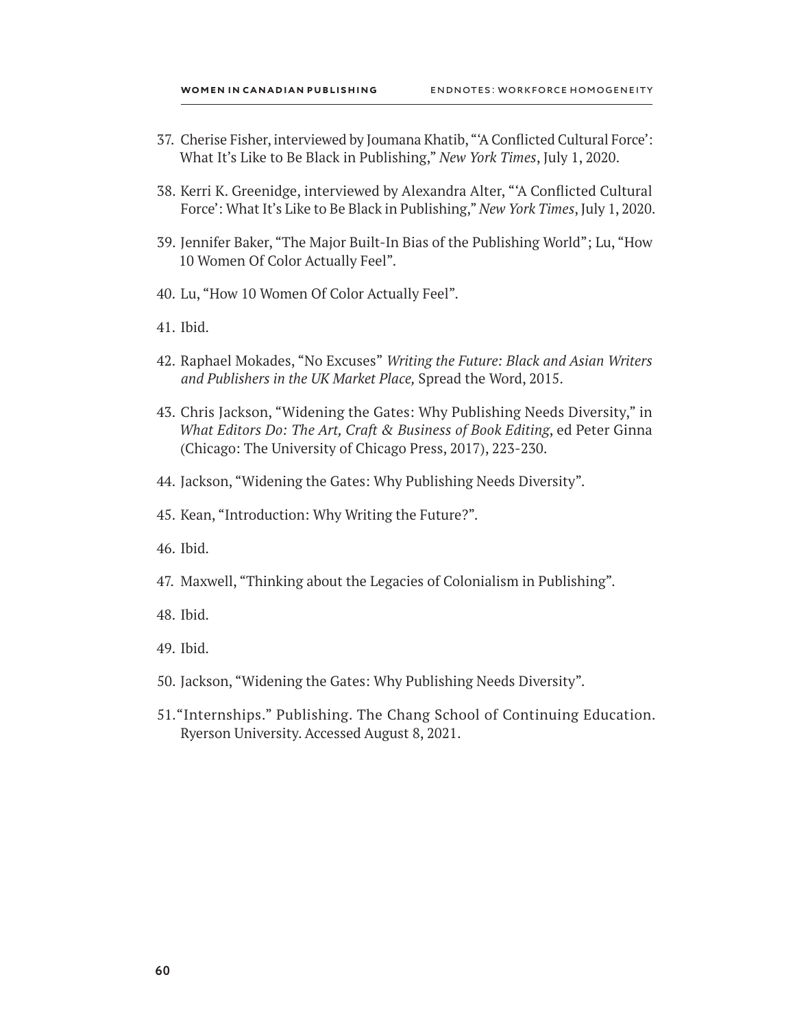- 37. Cherise Fisher, interviewed by Joumana Khatib, "'A Conflicted Cultural Force': What It's Like to Be Black in Publishing," *New York Times*, July 1, 2020.
- 38. Kerri K. Greenidge, interviewed by Alexandra Alter, "'A Conflicted Cultural Force': What It's Like to Be Black in Publishing," *New York Times*, July 1, 2020.
- 39. Jennifer Baker, "The Major Built-In Bias of the Publishing World"; Lu, "How 10 Women Of Color Actually Feel".
- 40. Lu, "How 10 Women Of Color Actually Feel".
- 41. Ibid.
- 42. Raphael Mokades, "No Excuses" *Writing the Future: Black and Asian Writers and Publishers in the UK Market Place,* Spread the Word, 2015.
- 43. Chris Jackson, "Widening the Gates: Why Publishing Needs Diversity," in *What Editors Do: The Art, Craft & Business of Book Editing*, ed Peter Ginna (Chicago: The University of Chicago Press, 2017), 223-230.
- 44. Jackson, "Widening the Gates: Why Publishing Needs Diversity".
- 45. Kean, "Introduction: Why Writing the Future?".
- 46. Ibid.
- 47. Maxwell, "Thinking about the Legacies of Colonialism in Publishing".
- 48. Ibid.
- 49. Ibid.
- 50. Jackson, "Widening the Gates: Why Publishing Needs Diversity".
- 51."Internships." Publishing. The Chang School of Continuing Education. Ryerson University. Accessed August 8, 2021.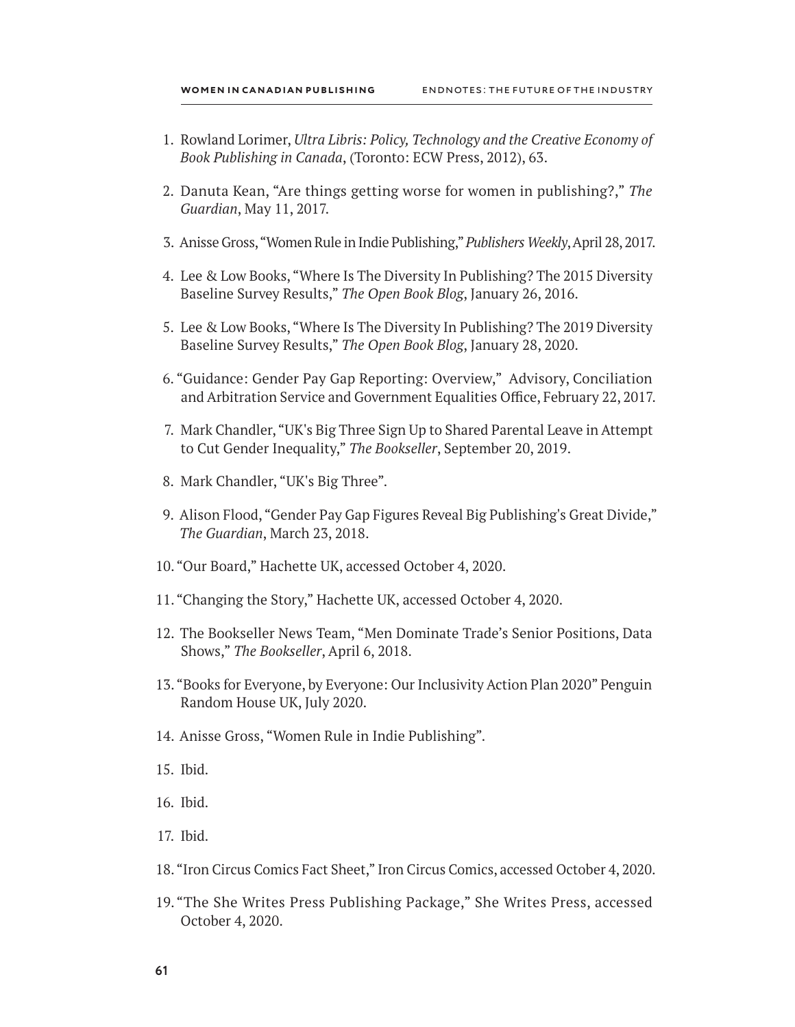- 1. Rowland Lorimer, *Ultra Libris: Policy, Technology and the Creative Economy of Book Publishing in Canada*, (Toronto: ECW Press, 2012), 63.
- 2. Danuta Kean, "Are things getting worse for women in publishing?," *The Guardian*, May 11, 2017.
- 3. Anisse Gross, "Women Rule in Indie Publishing," *Publishers Weekly*, April 28, 2017.
- 4. Lee & Low Books, "Where Is The Diversity In Publishing? The 2015 Diversity Baseline Survey Results," *The Open Book Blog*, January 26, 2016.
- 5. Lee & Low Books, "Where Is The Diversity In Publishing? The 2019 Diversity Baseline Survey Results," *The Open Book Blog*, January 28, 2020.
- 6. "Guidance: Gender Pay Gap Reporting: Overview," Advisory, Conciliation and Arbitration Service and Government Equalities Office, February 22, 2017.
- 7. Mark Chandler, "UK's Big Three Sign Up to Shared Parental Leave in Attempt to Cut Gender Inequality," *The Bookseller*, September 20, 2019.
- 8. Mark Chandler, "UK's Big Three".
- 9. Alison Flood, "Gender Pay Gap Figures Reveal Big Publishing's Great Divide," *The Guardian*, March 23, 2018.
- 10."Our Board," Hachette UK, accessed October 4, 2020.
- 11."Changing the Story," Hachette UK, accessed October 4, 2020.
- 12. The Bookseller News Team, "Men Dominate Trade's Senior Positions, Data Shows," *The Bookseller*, April 6, 2018.
- 13."Books for Everyone, by Everyone: Our Inclusivity Action Plan 2020" Penguin Random House UK, July 2020.
- 14. Anisse Gross, "Women Rule in Indie Publishing".
- 15. Ibid.
- 16. Ibid.
- 17. Ibid.
- 18. "Iron Circus Comics Fact Sheet," Iron Circus Comics, accessed October 4, 2020.
- 19."The She Writes Press Publishing Package," She Writes Press, accessed October 4, 2020.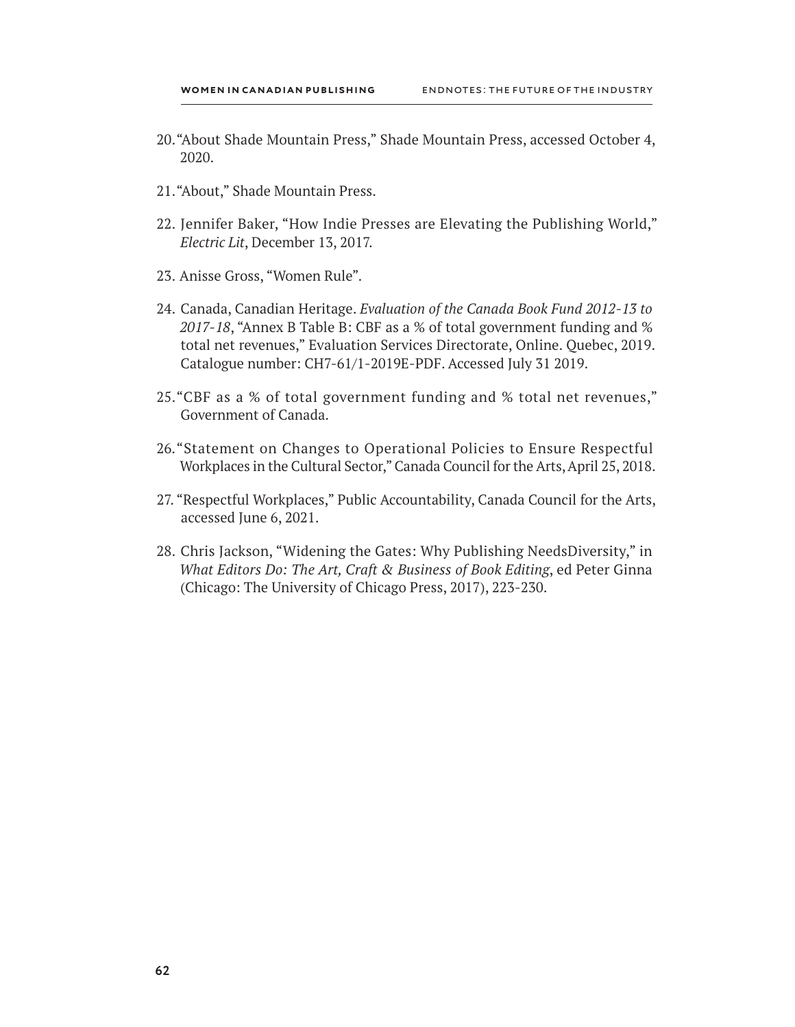- 20."About Shade Mountain Press," Shade Mountain Press, accessed October 4, 2020.
- 21."About," Shade Mountain Press.
- 22. Jennifer Baker, "How Indie Presses are Elevating the Publishing World," *Electric Lit*, December 13, 2017.
- 23. Anisse Gross, "Women Rule".
- 24. Canada, Canadian Heritage. *Evaluation of the Canada Book Fund 2012-13 to 2017-18*, "Annex B Table B: CBF as a % of total government funding and % total net revenues," Evaluation Services Directorate, Online. Quebec, 2019. Catalogue number: CH7-61/1-2019E-PDF. Accessed July 31 2019.
- 25."CBF as a % of total government funding and % total net revenues," Government of Canada.
- 26."Statement on Changes to Operational Policies to Ensure Respectful Workplaces in the Cultural Sector," Canada Council for the Arts, April 25, 2018.
- 27. "Respectful Workplaces," Public Accountability, Canada Council for the Arts, accessed June 6, 2021.
- 28. Chris Jackson, "Widening the Gates: Why Publishing NeedsDiversity," in *What Editors Do: The Art, Craft & Business of Book Editing*, ed Peter Ginna (Chicago: The University of Chicago Press, 2017), 223-230.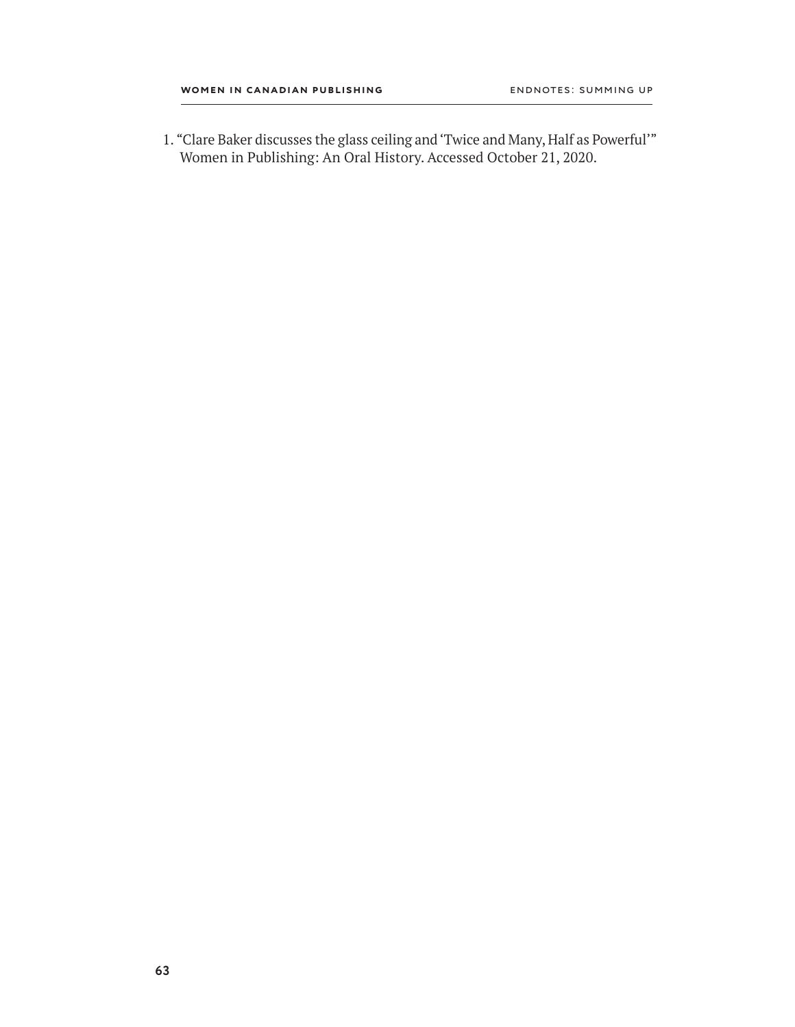1. "Clare Baker discusses the glass ceiling and 'Twice and Many, Half as Powerful'" Women in Publishing: An Oral History. Accessed October 21, 2020.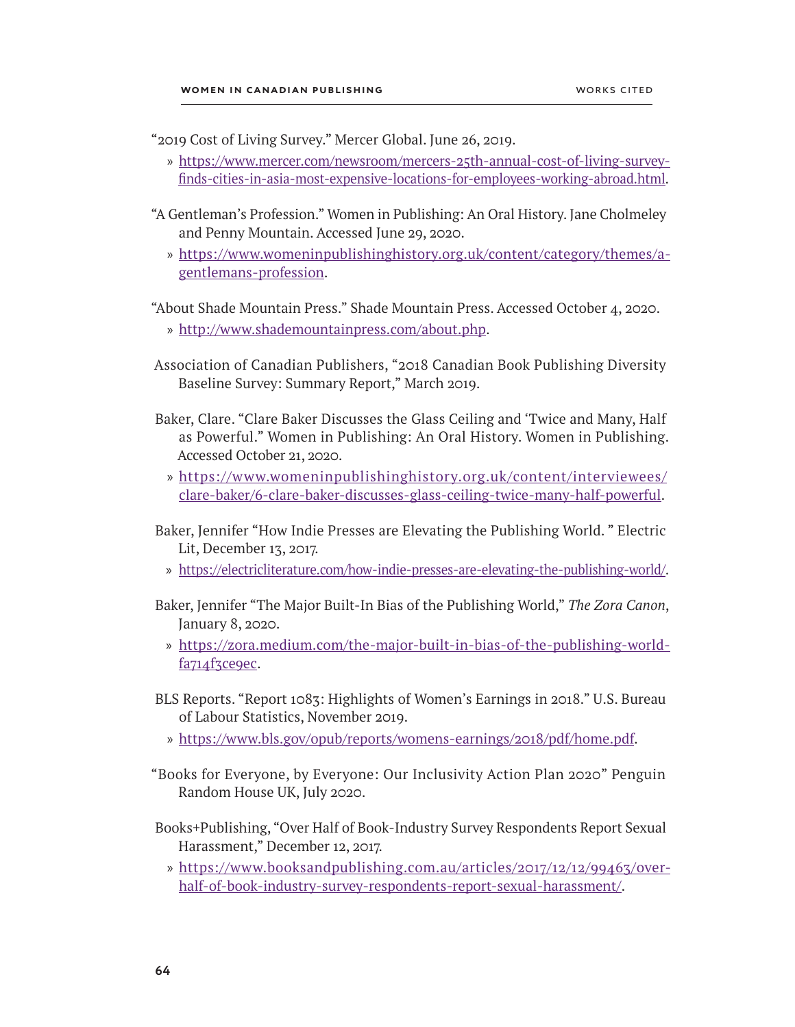"2019 Cost of Living Survey." Mercer Global. June 26, 2019.

- » [https://www.mercer.com/newsroom/mercers-25th-annual-cost-of-living-survey](https://www.mercer.com/newsroom/mercers-25th-annual-cost-of-living-survey-finds-cities-in-asia-most-expensive-locations-for-employees-working-abroad.html)[finds-cities-in-asia-most-expensive-locations-for-employees-working-abroad.html.](https://www.mercer.com/newsroom/mercers-25th-annual-cost-of-living-survey-finds-cities-in-asia-most-expensive-locations-for-employees-working-abroad.html)
- "A Gentleman's Profession." Women in Publishing: An Oral History. Jane Cholmeley and Penny Mountain. Accessed June 29, 2020.
	- » [https://www.womeninpublishinghistory.org.uk/content/category/themes/a](https://www.womeninpublishinghistory.org.uk/content/category/themes/a-gentlemans-profession)[gentlemans-profession.](https://www.womeninpublishinghistory.org.uk/content/category/themes/a-gentlemans-profession)

"About Shade Mountain Press." Shade Mountain Press. Accessed October 4, 2020.

- » <http://www.shademountainpress.com/about.php>.
- Association of Canadian Publishers, "2018 Canadian Book Publishing Diversity Baseline Survey: Summary Report," March 2019.
- Baker, Clare. "Clare Baker Discusses the Glass Ceiling and 'Twice and Many, Half as Powerful." Women in Publishing: An Oral History. Women in Publishing. Accessed October 21, 2020.
	- » [https://www.womeninpublishinghistory.org.uk/content/interviewees/](https://www.womeninpublishinghistory.org.uk/content/interviewees/clare-baker/6-clare-baker-discusses-glass-ceiling-twice-many-half-powerful) [clare-baker/6-clare-baker-discusses-glass-ceiling-twice-many-half-powerful](https://www.womeninpublishinghistory.org.uk/content/interviewees/clare-baker/6-clare-baker-discusses-glass-ceiling-twice-many-half-powerful).
- Baker, Jennifer "How Indie Presses are Elevating the Publishing World. " Electric Lit, December 13, 2017.
	- » [https://electricliterature.com/how-indie-presses-are-elevating-the-publishing-world/.](https://electricliterature.com/how-indie-presses-are-elevating-the-publishing-world/)
- Baker, Jennifer "The Major Built-In Bias of the Publishing World," *The Zora Canon*, January 8, 2020.
	- » [https://zora.medium.com/the-major-built-in-bias-of-the-publishing-world](https://zora.medium.com/the-major-built-in-bias-of-the-publishing-world-fa714f3ce9ec)[fa714f3ce9ec](https://zora.medium.com/the-major-built-in-bias-of-the-publishing-world-fa714f3ce9ec).
- BLS Reports. "Report 1083: Highlights of Women's Earnings in 2018." U.S. Bureau of Labour Statistics, November 2019.
	- » <https://www.bls.gov/opub/reports/womens-earnings/2018/pdf/home.pdf>.
- "Books for Everyone, by Everyone: Our Inclusivity Action Plan 2020" Penguin Random House UK, July 2020.
- Books+Publishing, "Over Half of Book-Industry Survey Respondents Report Sexual Harassment," December 12, 2017.
	- » [https://www.booksandpublishing.com.au/articles/2017/12/12/99463/over](https://www.booksandpublishing.com.au/articles/2017/12/12/99463/over-half-of-book-industry-survey-respondents-report-sexual-harassment/)[half-of-book-industry-survey-respondents-report-sexual-harassment/.](https://www.booksandpublishing.com.au/articles/2017/12/12/99463/over-half-of-book-industry-survey-respondents-report-sexual-harassment/)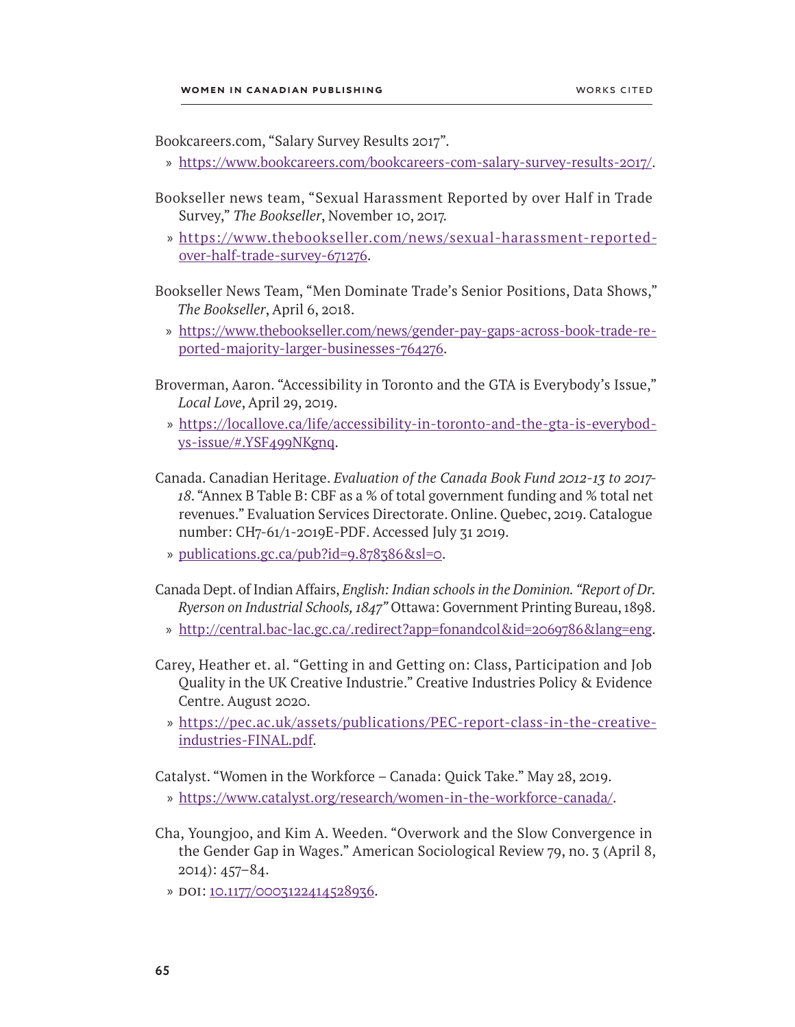Bookcareers.com, "Salary Survey Results 2017".

- » <https://www.bookcareers.com/bookcareers-com-salary-survey-results-2017/>.
- Bookseller news team, "Sexual Harassment Reported by over Half in Trade Survey," *The Bookseller*, November 10, 2017.
	- » [https://www.thebookseller.com/news/sexual-harassment-reported](https://www.thebookseller.com/news/sexual-harassment-reported-over-half-trade-survey-671276)[over-half-trade-survey-671276.](https://www.thebookseller.com/news/sexual-harassment-reported-over-half-trade-survey-671276)

Bookseller News Team, "Men Dominate Trade's Senior Positions, Data Shows," *The Bookseller*, April 6, 2018.

- » [https://www.thebookseller.com/news/gender-pay-gaps-across-book-trade-re](https://www.thebookseller.com/news/gender-pay-gaps-across-book-trade-reported-majority-larger-businesses-764276)[ported-majority-larger-businesses-764276.](https://www.thebookseller.com/news/gender-pay-gaps-across-book-trade-reported-majority-larger-businesses-764276)
- Broverman, Aaron. "Accessibility in Toronto and the GTA is Everybody's Issue," *Local Love*, April 29, 2019.
	- » [https://locallove.ca/life/accessibility-in-toronto-and-the-gta-is-everybod](https://locallove.ca/life/accessibility-in-toronto-and-the-gta-is-everybodys-issue/#.YSF499NKgnq)[ys-issue/#.YSF499NKgnq.](https://locallove.ca/life/accessibility-in-toronto-and-the-gta-is-everybodys-issue/#.YSF499NKgnq)
- Canada. Canadian Heritage. *Evaluation of the Canada Book Fund 2012-13 to 2017-18*. "Annex B Table B: CBF as a % of total government funding and % total net revenues." Evaluation Services Directorate. Online. Quebec, 2019. Catalogue number: CH7-61/1-2019E-PDF. Accessed July 31 2019.
	- » [publications.gc.ca/pub?id=9.878386&sl=0.](http://publications.gc.ca/pub?id=9.878386&sl=0.)
- Canada Dept. of Indian Affairs, *English: Indian schools in the Dominion. "Report of Dr. Ryerson on Industrial Schools, 1847"* Ottawa: Government Printing Bureau, 1898.
	- » <http://central.bac-lac.gc.ca/.redirect?app=fonandcol&id=2069786&lang=eng>.
- Carey, Heather et. al. "Getting in and Getting on: Class, Participation and Job Quality in the UK Creative Industrie." Creative Industries Policy & Evidence Centre. August 2020.
	- » [https://pec.ac.uk/assets/publications/PEC-report-class-in-the-creative](https://pec.ac.uk/assets/publications/PEC-report-class-in-the-creative-industries-FINAL.pdf)[industries-FINAL.pdf.](https://pec.ac.uk/assets/publications/PEC-report-class-in-the-creative-industries-FINAL.pdf)

Catalyst. "Women in the Workforce – Canada: Quick Take." May 28, 2019.

- » <https://www.catalyst.org/research/women-in-the-workforce-canada/>.
- Cha, Youngjoo, and Kim A. Weeden. "Overwork and the Slow Convergence in the Gender Gap in Wages." American Sociological Review 79, no. 3 (April 8, 2014): 457–84.
	- » DOI: [10.1177/0003122414528936](https://doi.org/10.1177%2F0003122414528936).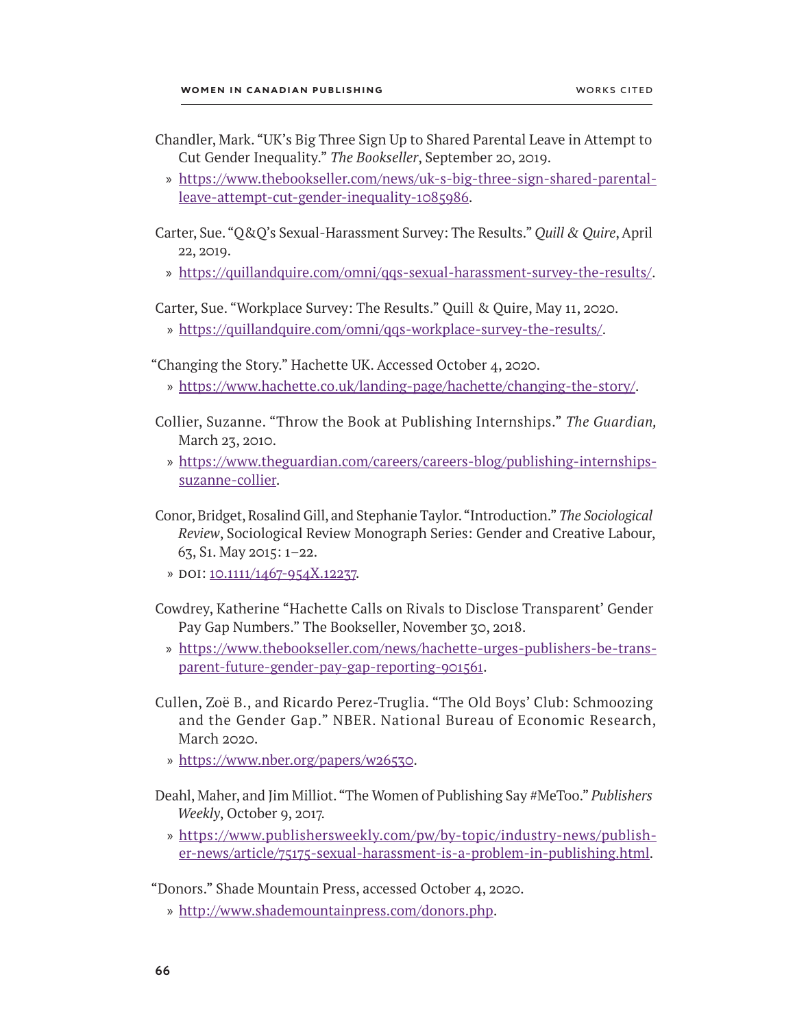- Chandler, Mark. "UK's Big Three Sign Up to Shared Parental Leave in Attempt to Cut Gender Inequality." *The Bookseller*, September 20, 2019.
	- » [https://www.thebookseller.com/news/uk-s-big-three-sign-shared-parental](https://www.thebookseller.com/news/uk-s-big-three-sign-shared-parental-leave-attempt-cut-gender-inequality-1085986)[leave-attempt-cut-gender-inequality-1085986](https://www.thebookseller.com/news/uk-s-big-three-sign-shared-parental-leave-attempt-cut-gender-inequality-1085986).
- Carter, Sue. "Q&Q's Sexual-Harassment Survey: The Results." *Quill & Quire*, April 22, 2019.
	- » <https://quillandquire.com/omni/qqs-sexual-harassment-survey-the-results/>.

Carter, Sue. "Workplace Survey: The Results." Quill & Quire, May 11, 2020.

» [https://quillandquire.com/omni/qqs-workplace-survey-the-results/.](https://quillandquire.com/omni/qqs-workplace-survey-the-results/)

"Changing the Story." Hachette UK. Accessed October 4, 2020.

- » <https://www.hachette.co.uk/landing-page/hachette/changing-the-story/>.
- Collier, Suzanne. "Throw the Book at Publishing Internships." *The Guardian,*  March 23, 2010.
	- » [https://www.theguardian.com/careers/careers-blog/publishing-internships](https://www.theguardian.com/careers/careers-blog/publishing-internships-suzanne-collier)[suzanne-collier.](https://www.theguardian.com/careers/careers-blog/publishing-internships-suzanne-collier)
- Conor, Bridget, Rosalind Gill, and Stephanie Taylor. "Introduction." *The Sociological Review*, Sociological Review Monograph Series: Gender and Creative Labour, 63, S1. May 2015: 1–22.
	- » doi: [10.1111/1467-954X.12237.](https://doi.org/10.1111/1467-954X.12237)
- Cowdrey, Katherine "Hachette Calls on Rivals to Disclose Transparent' Gender Pay Gap Numbers." The Bookseller, November 30, 2018.
	- » [https://www.thebookseller.com/news/hachette-urges-publishers-be-trans](https://www.thebookseller.com/news/hachette-urges-publishers-be-transparent-future-gender-pay-gap-reporting-901561)[parent-future-gender-pay-gap-reporting-901561](https://www.thebookseller.com/news/hachette-urges-publishers-be-transparent-future-gender-pay-gap-reporting-901561).
- Cullen, Zoë B., and Ricardo Perez-Truglia. "The Old Boys' Club: Schmoozing and the Gender Gap." NBER. National Bureau of Economic Research, March 2020.
	- » [https://www.nber.org/papers/w26530.](https://www.nber.org/system/files/working_papers/w26530/revisions/w26530.rev1.pdf)
- Deahl, Maher, and Jim Milliot. "The Women of Publishing Say #MeToo." *Publishers Weekly*, October 9, 2017.
	- » [https://www.publishersweekly.com/pw/by-topic/industry-news/publish](https://www.publishersweekly.com/pw/by-topic/industry-news/publisher-news/article/75175-sexual-harassment-is-a-problem-in-publishing.html)[er-news/article/75175-sexual-harassment-is-a-problem-in-publishing.html](https://www.publishersweekly.com/pw/by-topic/industry-news/publisher-news/article/75175-sexual-harassment-is-a-problem-in-publishing.html).

"Donors." Shade Mountain Press, accessed October 4, 2020.

» <http://www.shademountainpress.com/donors.php>.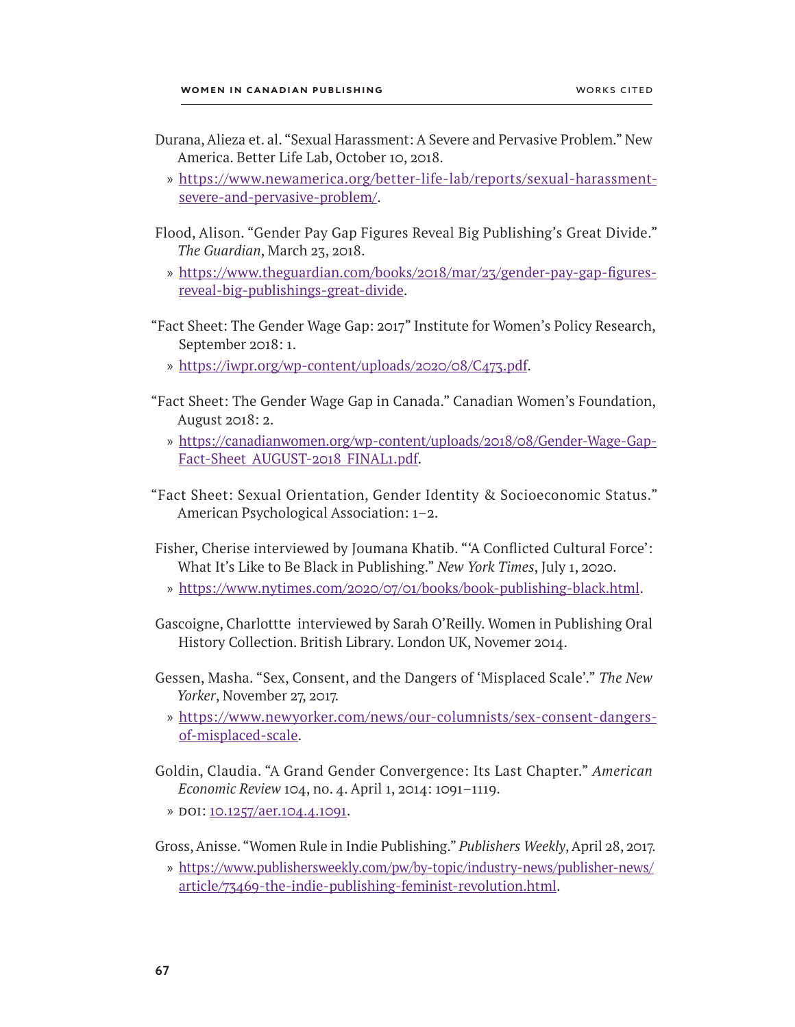- Durana, Alieza et. al. "Sexual Harassment: A Severe and Pervasive Problem." New America. Better Life Lab, October 10, 2018.
	- » [https://www.newamerica.org/better-life-lab/reports/sexual-harassment](https://www.newamerica.org/better-life-lab/reports/sexual-harassment-severe-and-pervasive-problem/severe-and-pervasive-problem/)[severe-and-pervasive-problem/.](https://www.newamerica.org/better-life-lab/reports/sexual-harassment-severe-and-pervasive-problem/severe-and-pervasive-problem/)
- Flood, Alison. "Gender Pay Gap Figures Reveal Big Publishing's Great Divide." *The Guardian*, March 23, 2018.
	- » [https://www.theguardian.com/books/2018/mar/23/gender-pay-gap-figures](https://www.theguardian.com/books/2018/mar/23/gender-pay-gap-figures-reveal-big-publishings-great-divide)[reveal-big-publishings-great-divide.](https://www.theguardian.com/books/2018/mar/23/gender-pay-gap-figures-reveal-big-publishings-great-divide)
- "Fact Sheet: The Gender Wage Gap: 2017" Institute for Women's Policy Research, September 2018: 1.
	- » <https://iwpr.org/wp-content/uploads/2020/08/C473.pdf>.
- "Fact Sheet: The Gender Wage Gap in Canada." Canadian Women's Foundation, August 2018: 2.
	- » [https://canadianwomen.org/wp-content/uploads/2018/08/Gender-Wage-Gap-](https://canadianwomen.org/wp-content/uploads/2018/08/Gender-Wage-Gap-Fact-Sheet_AUGUST-2018_FINAL1.pdf)[Fact-Sheet\\_AUGUST-2018\\_FINAL1.pdf.](https://canadianwomen.org/wp-content/uploads/2018/08/Gender-Wage-Gap-Fact-Sheet_AUGUST-2018_FINAL1.pdf)
- "Fact Sheet: Sexual Orientation, Gender Identity & Socioeconomic Status." American Psychological Association: 1–2.
- Fisher, Cherise interviewed by Joumana Khatib. "'A Conflicted Cultural Force': What It's Like to Be Black in Publishing." *New York Times*, July 1, 2020.
	- » [https://www.nytimes.com/2020/07/01/books/book-publishing-black.html.](https://www.nytimes.com/2020/07/01/books/book-publishing-black.html)
- Gascoigne, Charlottte interviewed by Sarah O'Reilly. Women in Publishing Oral History Collection. British Library. London UK, Novemer 2014.
- Gessen, Masha. "Sex, Consent, and the Dangers of 'Misplaced Scale'." *The New Yorker*, November 27, 2017.
	- » [https://www.newyorker.com/news/our-columnists/sex-consent-dangers](https://www.newyorker.com/news/our-columnists/sex-consent-dangers-of-misplaced-scale)[of-misplaced-scale](https://www.newyorker.com/news/our-columnists/sex-consent-dangers-of-misplaced-scale).
- Goldin, Claudia. "A Grand Gender Convergence: Its Last Chapter." *American Economic Review* 104, no. 4. April 1, 2014: 1091–1119.
	- » doi: [10.1257/aer.104.4.1091](https://doi.org/10.1257/aer.104.4.1091).

Gross, Anisse. "Women Rule in Indie Publishing." *Publishers Weekly*, April 28, 2017.

» [https://www.publishersweekly.com/pw/by-topic/industry-news/publisher-news/](https://www.publishersweekly.com/pw/by-topic/industry-news/publisher-news/article/73469-the-indie-publishing-feminist-revolution.html) [article/73469-the-indie-publishing-feminist-revolution.html.](https://www.publishersweekly.com/pw/by-topic/industry-news/publisher-news/article/73469-the-indie-publishing-feminist-revolution.html)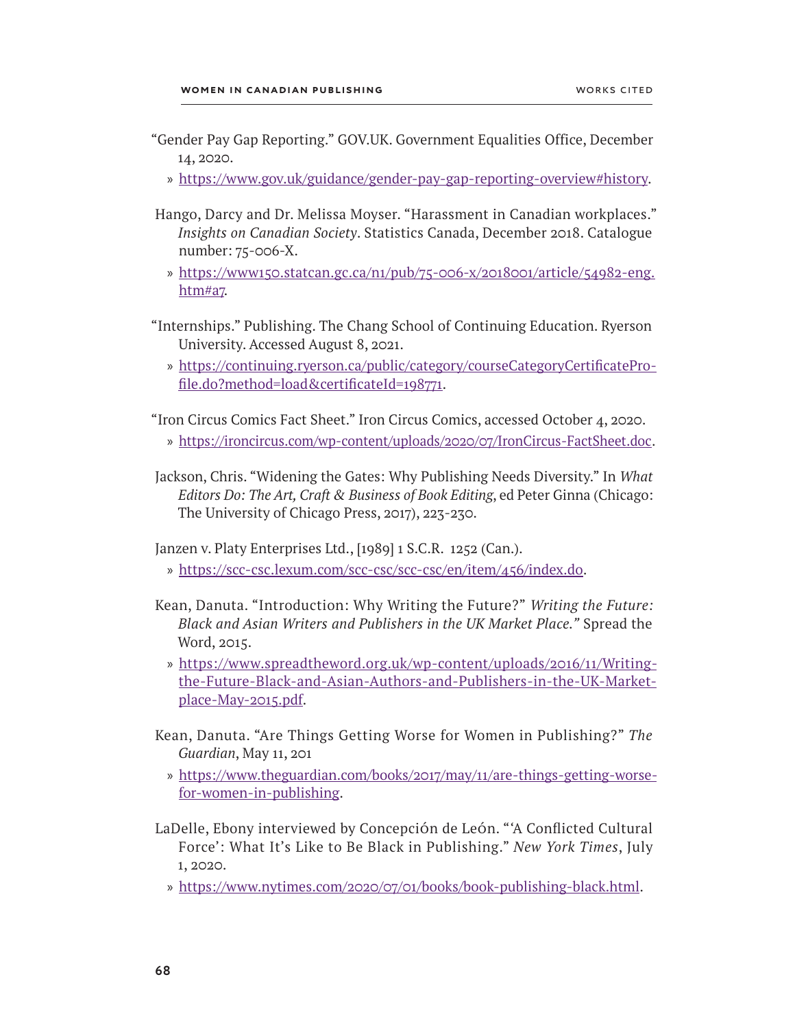- "Gender Pay Gap Reporting." GOV.UK. Government Equalities Office, December 14, 2020.
	- » <https://www.gov.uk/guidance/gender-pay-gap-reporting-overview#history>.
- Hango, Darcy and Dr. Melissa Moyser. "Harassment in Canadian workplaces." *Insights on Canadian Society*. Statistics Canada, December 2018. Catalogue number: 75-006-X.
	- » [https://www150.statcan.gc.ca/n1/pub/75-006-x/2018001/article/54982-eng.](https://www150.statcan.gc.ca/n1/pub/75-006-x/2018001/article/54982-eng.htm#a7) [htm#a7.](https://www150.statcan.gc.ca/n1/pub/75-006-x/2018001/article/54982-eng.htm#a7)
- "Internships." Publishing. The Chang School of Continuing Education. Ryerson University. Accessed August 8, 2021.
	- » [https://continuing.ryerson.ca/public/category/courseCategoryCertificatePro](https://continuing.ryerson.ca/public/category/courseCategoryCertificateProfile.do?method=load&certificateId=198771)[file.do?method=load&certificateId=198771.](https://continuing.ryerson.ca/public/category/courseCategoryCertificateProfile.do?method=load&certificateId=198771)

"Iron Circus Comics Fact Sheet." Iron Circus Comics, accessed October 4, 2020.

- » <https://ironcircus.com/wp-content/uploads/2020/07/IronCircus-FactSheet.doc>.
- Jackson, Chris. "Widening the Gates: Why Publishing Needs Diversity." In *What Editors Do: The Art, Craft & Business of Book Editing*, ed Peter Ginna (Chicago: The University of Chicago Press, 2017), 223-230.

Janzen v. Platy Enterprises Ltd., [1989] 1 S.C.R. 1252 (Can.).

- » <https://scc-csc.lexum.com/scc-csc/scc-csc/en/item/456/index.do>.
- Kean, Danuta. "Introduction: Why Writing the Future?" *Writing the Future: Black and Asian Writers and Publishers in the UK Market Place."* Spread the Word, 2015.
	- » [https://www.spreadtheword.org.uk/wp-content/uploads/2016/11/Writing](https://www.spreadtheword.org.uk/wp-content/uploads/2016/11/Writing-the-Future-Black-and-Asian-Authors-and-Publishers-in-the-UK-Marketplace-May-2015.pdf)[the-Future-Black-and-Asian-Authors-and-Publishers-in-the-UK-Market](https://www.spreadtheword.org.uk/wp-content/uploads/2016/11/Writing-the-Future-Black-and-Asian-Authors-and-Publishers-in-the-UK-Marketplace-May-2015.pdf)[place-May-2015.pdf](https://www.spreadtheword.org.uk/wp-content/uploads/2016/11/Writing-the-Future-Black-and-Asian-Authors-and-Publishers-in-the-UK-Marketplace-May-2015.pdf).
- Kean, Danuta. "Are Things Getting Worse for Women in Publishing?" *The Guardian*, May 11, 201
	- » [https://www.theguardian.com/books/2017/may/11/are-things-getting-worse](https://www.theguardian.com/books/2017/may/11/are-things-getting-worse-for-women-in-publishing)[for-women-in-publishing](https://www.theguardian.com/books/2017/may/11/are-things-getting-worse-for-women-in-publishing).
- LaDelle, Ebony interviewed by ConcepciÓn de LeÓn. "'A Conflicted Cultural Force': What It's Like to Be Black in Publishing." *New York Times*, July 1, 2020.
	- » [https://www.nytimes.com/2020/07/01/books/book-publishing-black.html.](https://www.nytimes.com/2020/07/01/books/book-publishing-black.html)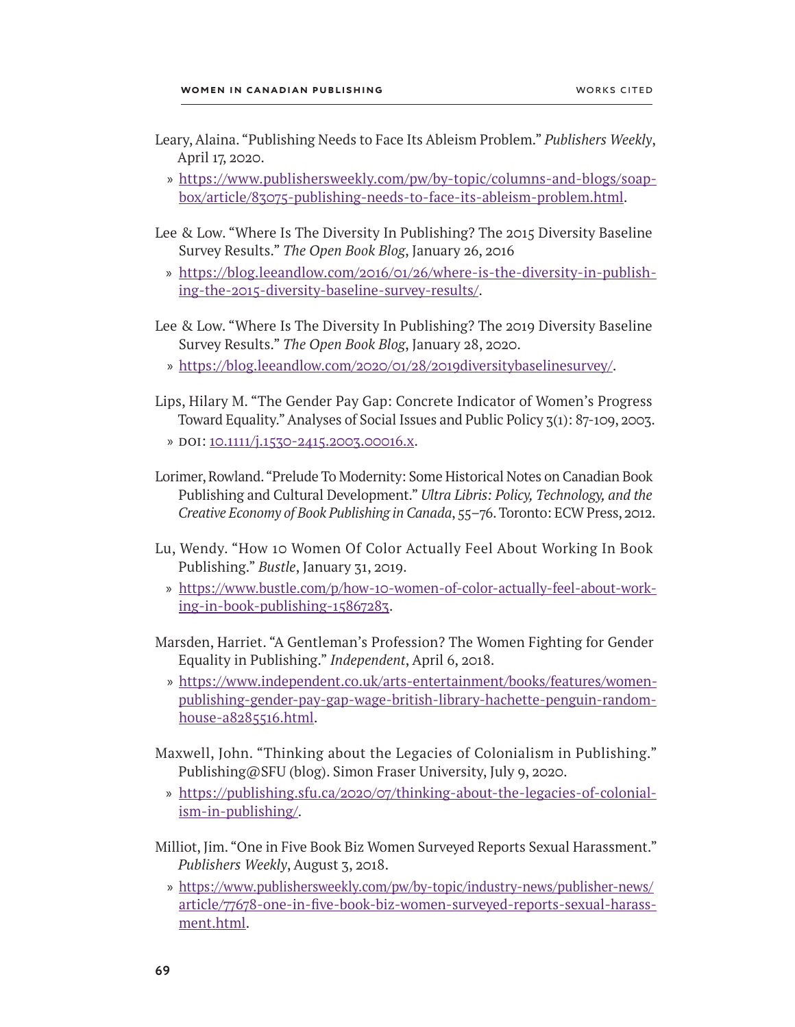- Leary, Alaina. "Publishing Needs to Face Its Ableism Problem." *Publishers Weekly*, April 17, 2020.
	- » [https://www.publishersweekly.com/pw/by-topic/columns-and-blogs/soap](https://www.publishersweekly.com/pw/by-topic/columns-and-blogs/soapbox/article/83075-publishing-needs-to-face-its-ableism-problem.html)[box/article/83075-publishing-needs-to-face-its-ableism-problem.html](https://www.publishersweekly.com/pw/by-topic/columns-and-blogs/soapbox/article/83075-publishing-needs-to-face-its-ableism-problem.html).
- Lee & Low. "Where Is The Diversity In Publishing? The 2015 Diversity Baseline Survey Results." *The Open Book Blog*, January 26, 2016
	- » [https://blog.leeandlow.com/2016/01/26/where-is-the-diversity-in-publish](https://blog.leeandlow.com/2016/01/26/where-is-the-diversity-in-publishing-the-2015-diversity-baseline-survey-results/)[ing-the-2015-diversity-baseline-survey-results/.](https://blog.leeandlow.com/2016/01/26/where-is-the-diversity-in-publishing-the-2015-diversity-baseline-survey-results/)
- Lee & Low. "Where Is The Diversity In Publishing? The 2019 Diversity Baseline Survey Results." *The Open Book Blog*, January 28, 2020.
	- » [https://blog.leeandlow.com/2020/01/28/2019diversitybaselinesurvey/.](https://blog.leeandlow.com/2020/01/28/2019diversitybaselinesurvey/)
- Lips, Hilary M. "The Gender Pay Gap: Concrete Indicator of Women's Progress Toward Equality." Analyses of Social Issues and Public Policy 3(1): 87-109, 2003.
	- » doi: [10.1111/j.1530-2415.2003.00016.x](https://doi.org/10.1111/j.1530-2415.2003.00016.x).
- Lorimer, Rowland. "Prelude To Modernity: Some Historical Notes on Canadian Book Publishing and Cultural Development." *Ultra Libris: Policy, Technology, and the Creative Economy of Book Publishing in Canada*, 55–76. Toronto: ECW Press, 2012.
- Lu, Wendy. "How 10 Women Of Color Actually Feel About Working In Book Publishing." *Bustle*, January 31, 2019.
	- » [https://www.bustle.com/p/how-10-women-of-color-actually-feel-about-work](https://www.bustle.com/p/how-10-women-of-color-actually-feel-about-working-in-book-publishing-15867283)[ing-in-book-publishing-15867283.](https://www.bustle.com/p/how-10-women-of-color-actually-feel-about-working-in-book-publishing-15867283)
- Marsden, Harriet. "A Gentleman's Profession? The Women Fighting for Gender Equality in Publishing." *Independent*, April 6, 2018.
	- » [https://www.independent.co.uk/arts-entertainment/books/features/women](https://www.independent.co.uk/arts-entertainment/books/features/women-publishing-gender-pay-gap-wage-british-library-hachette-penguin-random-house-a8285516.html)[publishing-gender-pay-gap-wage-british-library-hachette-penguin-random](https://www.independent.co.uk/arts-entertainment/books/features/women-publishing-gender-pay-gap-wage-british-library-hachette-penguin-random-house-a8285516.html)[house-a8285516.html.](https://www.independent.co.uk/arts-entertainment/books/features/women-publishing-gender-pay-gap-wage-british-library-hachette-penguin-random-house-a8285516.html)
- Maxwell, John. "Thinking about the Legacies of Colonialism in Publishing." Publishing@SFU (blog). Simon Fraser University, July 9, 2020.
	- » [https://publishing.sfu.ca/2020/07/thinking-about-the-legacies-of-colonial](https://publishing.sfu.ca/2020/07/thinking-about-the-legacies-of-colonialism-in-publishing/)[ism-in-publishing/.](https://publishing.sfu.ca/2020/07/thinking-about-the-legacies-of-colonialism-in-publishing/)
- Milliot, Jim. "One in Five Book Biz Women Surveyed Reports Sexual Harassment." *Publishers Weekly*, August 3, 2018.
	- » https://www.publishersweekly.com/pw/by-topic/industry-news/publisher-news/ article/77678-one-in-five-book-biz-women-surveyed-reports-sexual-harassment.html.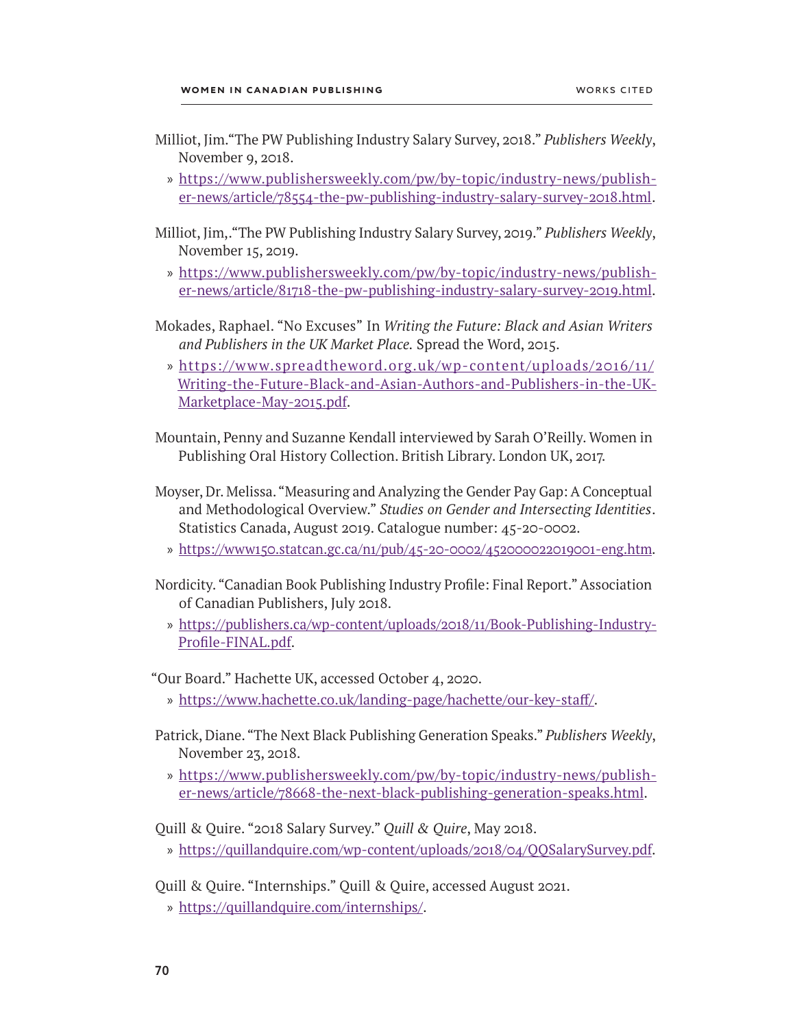- Milliot, Jim."The PW Publishing Industry Salary Survey, 2018." *Publishers Weekly*, November 9, 2018.
	- » [https://www.publishersweekly.com/pw/by-topic/industry-news/publish](https://www.publishersweekly.com/pw/by-topic/industry-news/publisher-news/article/78554-the-pw-publishing-industry-salary-survey-2018.html)[er-news/article/78554-the-pw-publishing-industry-salary-survey-2018.html](https://www.publishersweekly.com/pw/by-topic/industry-news/publisher-news/article/78554-the-pw-publishing-industry-salary-survey-2018.html).
- Milliot, Jim,."The PW Publishing Industry Salary Survey, 2019." *Publishers Weekly*, November 15, 2019.
	- » [https://www.publishersweekly.com/pw/by-topic/industry-news/publish](https://www.publishersweekly.com/pw/by-topic/industry-news/publisher-news/article/81718-the-pw-publishing-industry-salary-survey-2019.html)[er-news/article/81718-the-pw-publishing-industry-salary-survey-2019.html](https://www.publishersweekly.com/pw/by-topic/industry-news/publisher-news/article/81718-the-pw-publishing-industry-salary-survey-2019.html).
- Mokades, Raphael. "No Excuses" In *Writing the Future: Black and Asian Writers and Publishers in the UK Market Place.* Spread the Word, 2015.
	- » [https://www.spreadtheword.org.uk/wp-content/uploads/2016/11/](https://www.spreadtheword.org.uk/wp-content/uploads/2016/11/Writing-the-Future-Black-and-Asian-Authors-and-Publishers-in-the-UK-Marketplace-May-2015.pdf) [Writing-the-Future-Black-and-Asian-Authors-and-Publishers-in-the-UK-](https://www.spreadtheword.org.uk/wp-content/uploads/2016/11/Writing-the-Future-Black-and-Asian-Authors-and-Publishers-in-the-UK-Marketplace-May-2015.pdf)[Marketplace-May-2015.pdf](https://www.spreadtheword.org.uk/wp-content/uploads/2016/11/Writing-the-Future-Black-and-Asian-Authors-and-Publishers-in-the-UK-Marketplace-May-2015.pdf).
- Mountain, Penny and Suzanne Kendall interviewed by Sarah O'Reilly. Women in Publishing Oral History Collection. British Library. London UK, 2017.
- Moyser, Dr. Melissa. "Measuring and Analyzing the Gender Pay Gap: A Conceptual and Methodological Overview." *Studies on Gender and Intersecting Identities*. Statistics Canada, August 2019. Catalogue number: 45-20-0002.
	- » <https://www150.statcan.gc.ca/n1/pub/45-20-0002/452000022019001-eng.htm>.
- Nordicity. "Canadian Book Publishing Industry Profile: Final Report." Association of Canadian Publishers, July 2018.
	- » [https://publishers.ca/wp-content/uploads/2018/11/Book-Publishing-Industry-](https://publishers.ca/wp-content/uploads/2018/11/Book-Publishing-Industry-Profile-FINAL.pdf)[Profile-FINAL.pdf](https://publishers.ca/wp-content/uploads/2018/11/Book-Publishing-Industry-Profile-FINAL.pdf).

"Our Board." Hachette UK, accessed October 4, 2020.

- » [https://www.hachette.co.uk/landing-page/hachette/our-key-staff/.](https://www.hachette.co.uk/landing-page/hachette/our-key-staff/)
- Patrick, Diane. "The Next Black Publishing Generation Speaks." *Publishers Weekly*, November 23, 2018.
	- » [https://www.publishersweekly.com/pw/by-topic/industry-news/publish](https://www.publishersweekly.com/pw/by-topic/industry-news/publisher-news/article/78668-the-next-black-publishing-generation-speaks.html)[er-news/article/78668-the-next-black-publishing-generation-speaks.html](https://www.publishersweekly.com/pw/by-topic/industry-news/publisher-news/article/78668-the-next-black-publishing-generation-speaks.html).

Quill & Quire. "2018 Salary Survey." *Quill & Quire*, May 2018.

» <https://quillandquire.com/wp-content/uploads/2018/04/QQSalarySurvey.pdf>.

Quill & Quire. "Internships." Quill & Quire, accessed August 2021.

» [https://quillandquire.com/internships/.](https://quillandquire.com/internships/)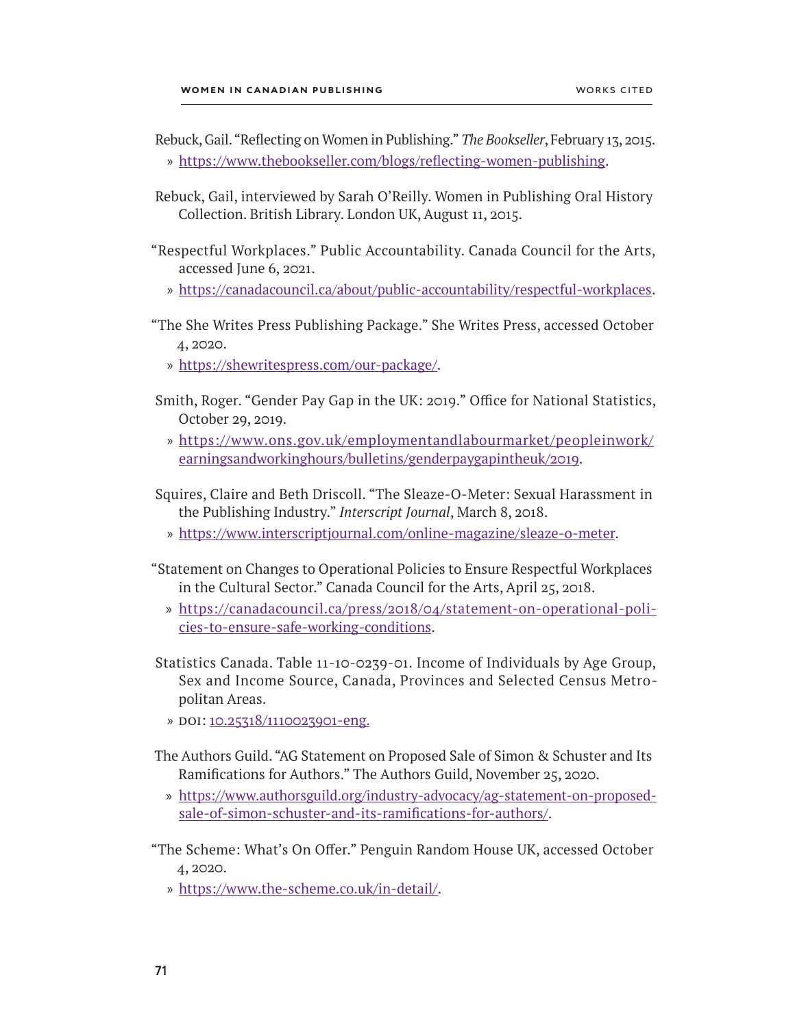- Rebuck, Gail. "Reflecting on Women in Publishing." *The Bookseller*, February 13, 2015. » <https://www.thebookseller.com/blogs/reflecting-women-publishing>.
- Rebuck, Gail, interviewed by Sarah O'Reilly. Women in Publishing Oral History Collection. British Library. London UK, August 11, 2015.
- "Respectful Workplaces." Public Accountability. Canada Council for the Arts, accessed June 6, 2021.
	- » <https://canadacouncil.ca/about/public-accountability/respectful-workplaces>.
- "The She Writes Press Publishing Package." She Writes Press, accessed October 4, 2020.
	- » <https://shewritespress.com/our-package/.>
- Smith, Roger. "Gender Pay Gap in the UK: 2019." Office for National Statistics, October 29, 2019.
	- » [https://www.ons.gov.uk/employmentandlabourmarket/peopleinwork/](https://www.ons.gov.uk/employmentandlabourmarket/peopleinwork/earningsandworkinghours/bulletins/genderpaygapintheuk/2019) [earningsandworkinghours/bulletins/genderpaygapintheuk/2019](https://www.ons.gov.uk/employmentandlabourmarket/peopleinwork/earningsandworkinghours/bulletins/genderpaygapintheuk/2019).
- Squires, Claire and Beth Driscoll. "The Sleaze-O-Meter: Sexual Harassment in the Publishing Industry." *Interscript Journal*, March 8, 2018.
	- » [https://www.interscriptjournal.com/online-magazine/sleaze-o-meter.](https://www.interscriptjournal.com/online-magazine/sleaze-o-meter)
- "Statement on Changes to Operational Policies to Ensure Respectful Workplaces in the Cultural Sector." Canada Council for the Arts, April 25, 2018.
	- » [https://canadacouncil.ca/press/2018/04/statement-on-operational-poli](https://canadacouncil.ca/press/2018/04/statement-on-operational-policies-to-ensure-safe-working-conditions)[cies-to-ensure-safe-working-conditions](https://canadacouncil.ca/press/2018/04/statement-on-operational-policies-to-ensure-safe-working-conditions).
- Statistics Canada. Table 11-10-0239-01. Income of Individuals by Age Group, Sex and Income Source, Canada, Provinces and Selected Census Metro politan Areas.
	- » doi: [10.25318/1110023901-eng.](https://doi.org/10.25318/1110023901-eng)
- The Authors Guild. "AG Statement on Proposed Sale of Simon & Schuster and Its Ramifications for Authors." The Authors Guild, November 25, 2020.
	- » [https://www.authorsguild.org/industry-advocacy/ag-statement-on-proposed](https://www.authorsguild.org/industry-advocacy/ag-statement-on-proposed-sale-of-simon-schuster-and-its-ramifications-for-authors/)[sale-of-simon-schuster-and-its-ramifications-for-authors/](https://www.authorsguild.org/industry-advocacy/ag-statement-on-proposed-sale-of-simon-schuster-and-its-ramifications-for-authors/).
- "The Scheme: What's On Offer." Penguin Random House UK, accessed October 4, 2020.
	- » <https://www.the-scheme.co.uk/in-detail/>.